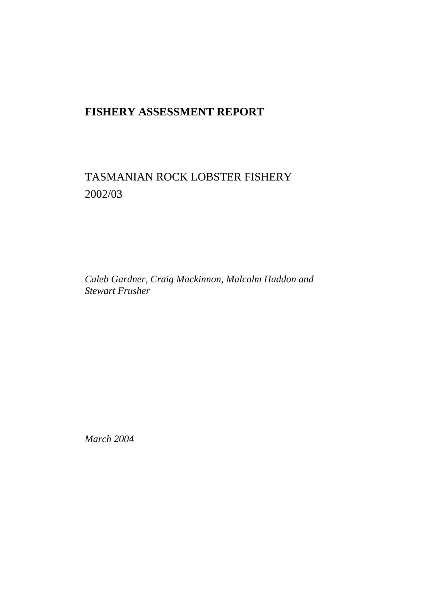# **FISHERY ASSESSMENT REPORT**

# TASMANIAN ROCK LOBSTER FISHERY 2002/03

*Caleb Gardner, Craig Mackinnon, Malcolm Haddon and Stewart Frusher* 

*March 2004*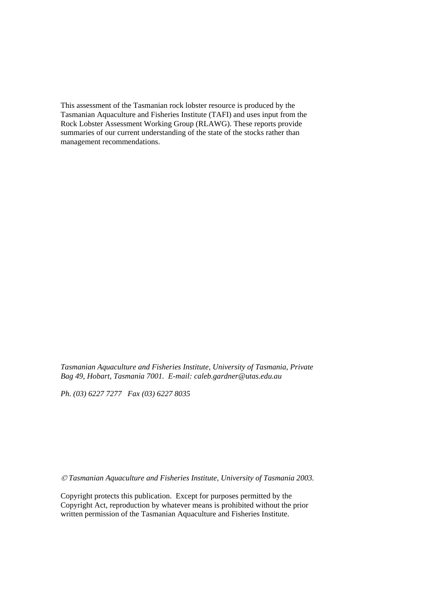This assessment of the Tasmanian rock lobster resource is produced by the Tasmanian Aquaculture and Fisheries Institute (TAFI) and uses input from the Rock Lobster Assessment Working Group (RLAWG). These reports provide summaries of our current understanding of the state of the stocks rather than management recommendations.

*Tasmanian Aquaculture and Fisheries Institute, University of Tasmania, Private Bag 49, Hobart, Tasmania 7001. E-mail: caleb.gardner@utas.edu.au* 

*Ph. (03) 6227 7277 Fax (03) 6227 8035*

 *Tasmanian Aquaculture and Fisheries Institute, University of Tasmania 2003.* 

Copyright protects this publication. Except for purposes permitted by the Copyright Act, reproduction by whatever means is prohibited without the prior written permission of the Tasmanian Aquaculture and Fisheries Institute.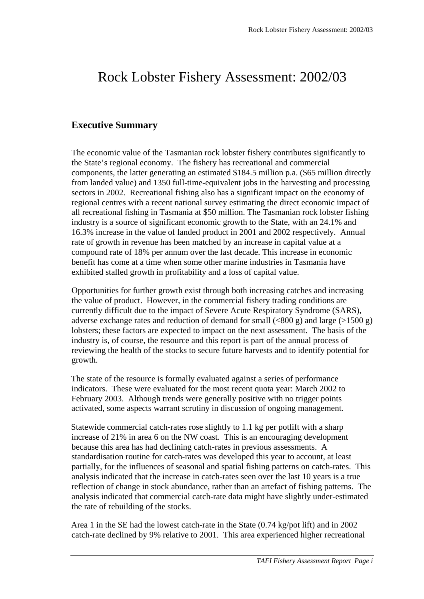# <span id="page-2-0"></span>Rock Lobster Fishery Assessment: 2002/03

## **Executive Summary**

The economic value of the Tasmanian rock lobster fishery contributes significantly to the State's regional economy. The fishery has recreational and commercial components, the latter generating an estimated \$184.5 million p.a. (\$65 million directly from landed value) and 1350 full-time-equivalent jobs in the harvesting and processing sectors in 2002. Recreational fishing also has a significant impact on the economy of regional centres with a recent national survey estimating the direct economic impact of all recreational fishing in Tasmania at \$50 million. The Tasmanian rock lobster fishing industry is a source of significant economic growth to the State, with an 24.1% and 16.3% increase in the value of landed product in 2001 and 2002 respectively. Annual rate of growth in revenue has been matched by an increase in capital value at a compound rate of 18% per annum over the last decade. This increase in economic benefit has come at a time when some other marine industries in Tasmania have exhibited stalled growth in profitability and a loss of capital value.

Opportunities for further growth exist through both increasing catches and increasing the value of product. However, in the commercial fishery trading conditions are currently difficult due to the impact of Severe Acute Respiratory Syndrome (SARS), adverse exchange rates and reduction of demand for small  $(\leq 800 \text{ g})$  and large  $(>1500 \text{ g})$ lobsters; these factors are expected to impact on the next assessment. The basis of the industry is, of course, the resource and this report is part of the annual process of reviewing the health of the stocks to secure future harvests and to identify potential for growth.

The state of the resource is formally evaluated against a series of performance indicators. These were evaluated for the most recent quota year: March 2002 to February 2003. Although trends were generally positive with no trigger points activated, some aspects warrant scrutiny in discussion of ongoing management.

Statewide commercial catch-rates rose slightly to 1.1 kg per potlift with a sharp increase of 21% in area 6 on the NW coast. This is an encouraging development because this area has had declining catch-rates in previous assessments. A standardisation routine for catch-rates was developed this year to account, at least partially, for the influences of seasonal and spatial fishing patterns on catch-rates. This analysis indicated that the increase in catch-rates seen over the last 10 years is a true reflection of change in stock abundance, rather than an artefact of fishing patterns. The analysis indicated that commercial catch-rate data might have slightly under-estimated the rate of rebuilding of the stocks.

Area 1 in the SE had the lowest catch-rate in the State (0.74 kg/pot lift) and in 2002 catch-rate declined by 9% relative to 2001. This area experienced higher recreational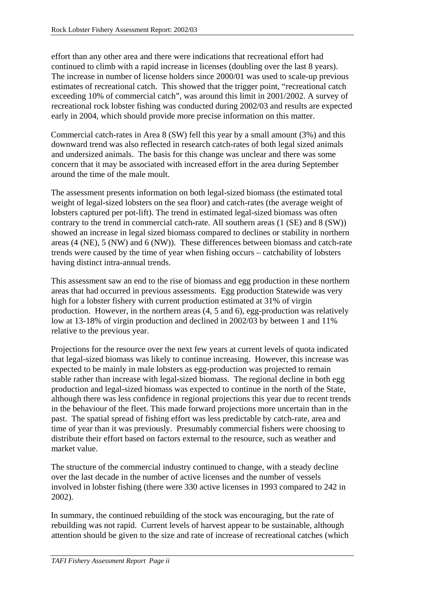effort than any other area and there were indications that recreational effort had continued to climb with a rapid increase in licenses (doubling over the last 8 years). The increase in number of license holders since 2000/01 was used to scale-up previous estimates of recreational catch. This showed that the trigger point, "recreational catch exceeding 10% of commercial catch", was around this limit in 2001/2002. A survey of recreational rock lobster fishing was conducted during 2002/03 and results are expected early in 2004, which should provide more precise information on this matter.

Commercial catch-rates in Area 8 (SW) fell this year by a small amount (3%) and this downward trend was also reflected in research catch-rates of both legal sized animals and undersized animals. The basis for this change was unclear and there was some concern that it may be associated with increased effort in the area during September around the time of the male moult.

The assessment presents information on both legal-sized biomass (the estimated total weight of legal-sized lobsters on the sea floor) and catch-rates (the average weight of lobsters captured per pot-lift). The trend in estimated legal-sized biomass was often contrary to the trend in commercial catch-rate. All southern areas (1 (SE) and 8 (SW)) showed an increase in legal sized biomass compared to declines or stability in northern areas (4 (NE), 5 (NW) and 6 (NW)). These differences between biomass and catch-rate trends were caused by the time of year when fishing occurs – catchability of lobsters having distinct intra-annual trends.

This assessment saw an end to the rise of biomass and egg production in these northern areas that had occurred in previous assessments. Egg production Statewide was very high for a lobster fishery with current production estimated at 31% of virgin production. However, in the northern areas (4, 5 and 6), egg-production was relatively low at 13-18% of virgin production and declined in 2002/03 by between 1 and 11% relative to the previous year.

Projections for the resource over the next few years at current levels of quota indicated that legal-sized biomass was likely to continue increasing. However, this increase was expected to be mainly in male lobsters as egg-production was projected to remain stable rather than increase with legal-sized biomass. The regional decline in both egg production and legal-sized biomass was expected to continue in the north of the State, although there was less confidence in regional projections this year due to recent trends in the behaviour of the fleet. This made forward projections more uncertain than in the past. The spatial spread of fishing effort was less predictable by catch-rate, area and time of year than it was previously. Presumably commercial fishers were choosing to distribute their effort based on factors external to the resource, such as weather and market value.

The structure of the commercial industry continued to change, with a steady decline over the last decade in the number of active licenses and the number of vessels involved in lobster fishing (there were 330 active licenses in 1993 compared to 242 in 2002).

In summary, the continued rebuilding of the stock was encouraging, but the rate of rebuilding was not rapid. Current levels of harvest appear to be sustainable, although attention should be given to the size and rate of increase of recreational catches (which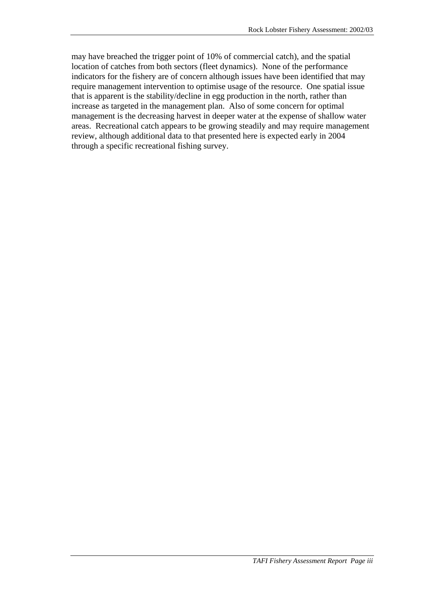may have breached the trigger point of 10% of commercial catch), and the spatial location of catches from both sectors (fleet dynamics). None of the performance indicators for the fishery are of concern although issues have been identified that may require management intervention to optimise usage of the resource. One spatial issue that is apparent is the stability/decline in egg production in the north, rather than increase as targeted in the management plan. Also of some concern for optimal management is the decreasing harvest in deeper water at the expense of shallow water areas. Recreational catch appears to be growing steadily and may require management review, although additional data to that presented here is expected early in 2004 through a specific recreational fishing survey.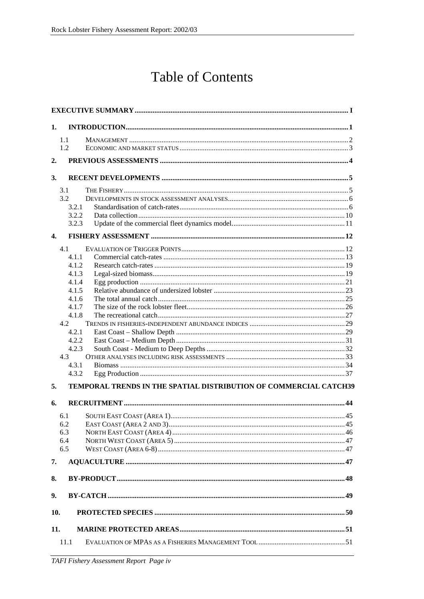# **Table of Contents**

| 1.           |                                                                   |  |  |  |  |  |
|--------------|-------------------------------------------------------------------|--|--|--|--|--|
|              | 1.1                                                               |  |  |  |  |  |
|              | 1.2                                                               |  |  |  |  |  |
|              |                                                                   |  |  |  |  |  |
| 2.           |                                                                   |  |  |  |  |  |
| 3.           |                                                                   |  |  |  |  |  |
|              | 3.1                                                               |  |  |  |  |  |
|              | 3.2                                                               |  |  |  |  |  |
|              | 3.2.1                                                             |  |  |  |  |  |
|              | 3.2.2                                                             |  |  |  |  |  |
|              | 3.2.3                                                             |  |  |  |  |  |
| $\mathbf{4}$ |                                                                   |  |  |  |  |  |
|              | 4.1                                                               |  |  |  |  |  |
|              | 4.1.1                                                             |  |  |  |  |  |
|              | 4.1.2                                                             |  |  |  |  |  |
|              | 4.1.3                                                             |  |  |  |  |  |
|              | 4.1.4                                                             |  |  |  |  |  |
|              | 4.1.5                                                             |  |  |  |  |  |
|              | 4.1.6                                                             |  |  |  |  |  |
|              | 4.1.7                                                             |  |  |  |  |  |
|              | 4.1.8                                                             |  |  |  |  |  |
|              | 4.2                                                               |  |  |  |  |  |
|              | 4.2.1                                                             |  |  |  |  |  |
|              | 4.2.2                                                             |  |  |  |  |  |
|              | 4.2.3                                                             |  |  |  |  |  |
|              | 4.3                                                               |  |  |  |  |  |
|              | 4.3.1                                                             |  |  |  |  |  |
|              | 4.3.2                                                             |  |  |  |  |  |
| 5.<br>6.     | TEMPORAL TRENDS IN THE SPATIAL DISTRIBUTION OF COMMERCIAL CATCH39 |  |  |  |  |  |
|              |                                                                   |  |  |  |  |  |
|              | 6.1                                                               |  |  |  |  |  |
|              | 6.2                                                               |  |  |  |  |  |
|              | 6.3                                                               |  |  |  |  |  |
|              | 6.4<br>6.5                                                        |  |  |  |  |  |
|              |                                                                   |  |  |  |  |  |
| 7.           |                                                                   |  |  |  |  |  |
| 8.           |                                                                   |  |  |  |  |  |
| 9.           |                                                                   |  |  |  |  |  |
| 10.          |                                                                   |  |  |  |  |  |
|              |                                                                   |  |  |  |  |  |
| 11.          | 11.1                                                              |  |  |  |  |  |
|              |                                                                   |  |  |  |  |  |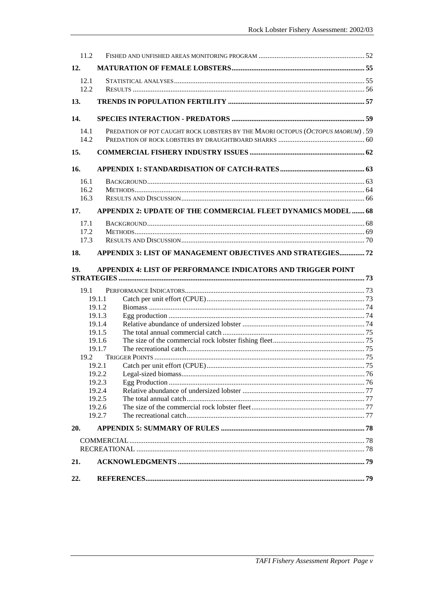| 11.2 |                  |                                                                                 |  |
|------|------------------|---------------------------------------------------------------------------------|--|
| 12.  |                  |                                                                                 |  |
| 12.1 |                  |                                                                                 |  |
| 12.2 |                  |                                                                                 |  |
| 13.  |                  |                                                                                 |  |
| 14.  |                  |                                                                                 |  |
| 14.1 |                  | PREDATION OF POT CAUGHT ROCK LOBSTERS BY THE MAORI OCTOPUS (OCTOPUS MAORUM). 59 |  |
| 14.2 |                  |                                                                                 |  |
| 15.  |                  |                                                                                 |  |
| 16.  |                  |                                                                                 |  |
| 16.1 |                  |                                                                                 |  |
| 16.2 |                  |                                                                                 |  |
| 16.3 |                  |                                                                                 |  |
| 17.  |                  | APPENDIX 2: UPDATE OF THE COMMERCIAL FLEET DYNAMICS MODEL  68                   |  |
| 17.1 |                  |                                                                                 |  |
| 17.2 |                  |                                                                                 |  |
| 17.3 |                  |                                                                                 |  |
| 18.  |                  | APPENDIX 3: LIST OF MANAGEMENT OBJECTIVES AND STRATEGIES72                      |  |
| 19.  |                  | APPENDIX 4: LIST OF PERFORMANCE INDICATORS AND TRIGGER POINT                    |  |
|      |                  |                                                                                 |  |
| 19.1 |                  |                                                                                 |  |
|      | 19.1.1           |                                                                                 |  |
|      | 19.1.2           |                                                                                 |  |
|      | 19.1.3           |                                                                                 |  |
|      | 19.1.4           |                                                                                 |  |
|      | 19.1.5<br>19.1.6 |                                                                                 |  |
|      | 19.1.7           |                                                                                 |  |
| 19.2 |                  |                                                                                 |  |
|      | 19.2.1           |                                                                                 |  |
|      | 19.2.2           |                                                                                 |  |
|      | 19.2.3           |                                                                                 |  |
|      | 19.2.4           |                                                                                 |  |
|      | 19.2.5           |                                                                                 |  |
|      | 19.2.6           |                                                                                 |  |
|      | 19.2.7           |                                                                                 |  |
| 20.  |                  |                                                                                 |  |
|      |                  |                                                                                 |  |
|      |                  |                                                                                 |  |
| 21.  |                  |                                                                                 |  |
| 22.  |                  |                                                                                 |  |
|      |                  |                                                                                 |  |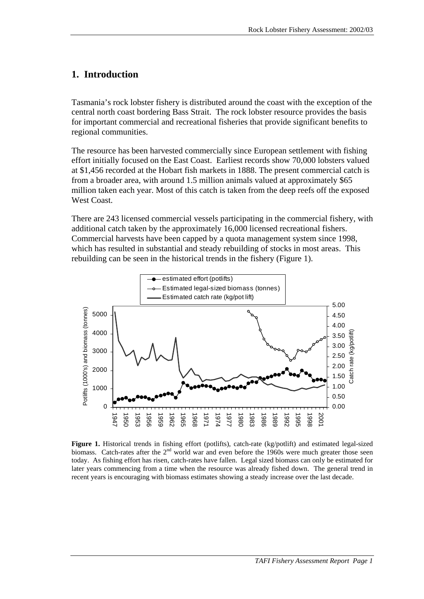### <span id="page-8-0"></span>**1. Introduction**

Tasmania's rock lobster fishery is distributed around the coast with the exception of the central north coast bordering Bass Strait. The rock lobster resource provides the basis for important commercial and recreational fisheries that provide significant benefits to regional communities.

The resource has been harvested commercially since European settlement with fishing effort initially focused on the East Coast. Earliest records show 70,000 lobsters valued at \$1,456 recorded at the Hobart fish markets in 1888. The present commercial catch is from a broader area, with around 1.5 million animals valued at approximately \$65 million taken each year. Most of this catch is taken from the deep reefs off the exposed West Coast.

There are 243 licensed commercial vessels participating in the commercial fishery, with additional catch taken by the approximately 16,000 licensed recreational fishers. Commercial harvests have been capped by a quota management system since 1998, which has resulted in substantial and steady rebuilding of stocks in most areas. This rebuilding can be seen in the historical trends in the fishery (Figure 1).



**Figure 1.** Historical trends in fishing effort (potlifts), catch-rate (kg/potlift) and estimated legal-sized biomass. Catch-rates after the 2<sup>nd</sup> world war and even before the 1960s were much greater those seen today. As fishing effort has risen, catch-rates have fallen. Legal sized biomass can only be estimated for later years commencing from a time when the resource was already fished down. The general trend in recent years is encouraging with biomass estimates showing a steady increase over the last decade.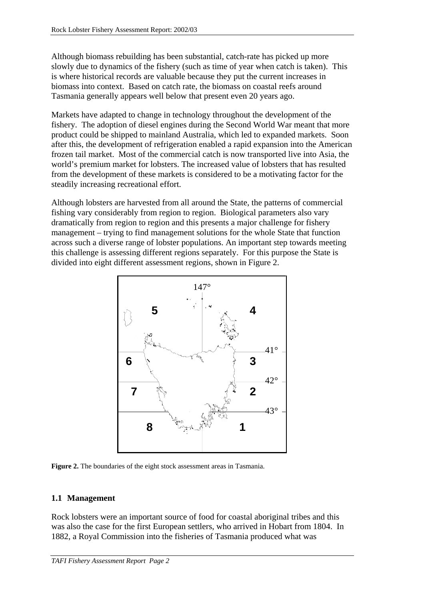<span id="page-9-0"></span>Although biomass rebuilding has been substantial, catch-rate has picked up more slowly due to dynamics of the fishery (such as time of year when catch is taken). This is where historical records are valuable because they put the current increases in biomass into context. Based on catch rate, the biomass on coastal reefs around Tasmania generally appears well below that present even 20 years ago.

Markets have adapted to change in technology throughout the development of the fishery. The adoption of diesel engines during the Second World War meant that more product could be shipped to mainland Australia, which led to expanded markets. Soon after this, the development of refrigeration enabled a rapid expansion into the American frozen tail market. Most of the commercial catch is now transported live into Asia, the world's premium market for lobsters. The increased value of lobsters that has resulted from the development of these markets is considered to be a motivating factor for the steadily increasing recreational effort.

Although lobsters are harvested from all around the State, the patterns of commercial fishing vary considerably from region to region. Biological parameters also vary dramatically from region to region and this presents a major challenge for fishery management – trying to find management solutions for the whole State that function across such a diverse range of lobster populations. An important step towards meeting this challenge is assessing different regions separately. For this purpose the State is divided into eight different assessment regions, shown in Figure 2.



**Figure 2.** The boundaries of the eight stock assessment areas in Tasmania.

#### **1.1 Management**

Rock lobsters were an important source of food for coastal aboriginal tribes and this was also the case for the first European settlers, who arrived in Hobart from 1804. In 1882, a Royal Commission into the fisheries of Tasmania produced what was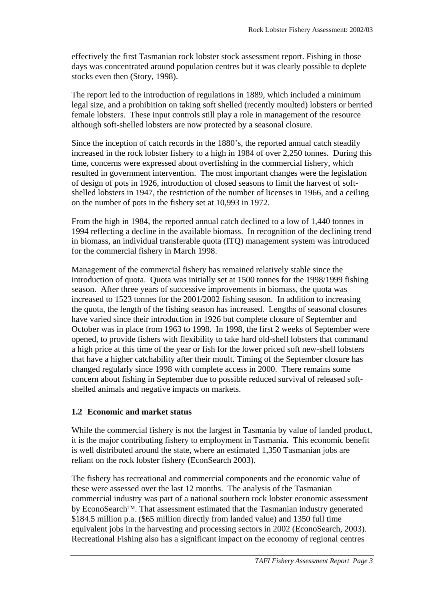<span id="page-10-0"></span>effectively the first Tasmanian rock lobster stock assessment report. Fishing in those days was concentrated around population centres but it was clearly possible to deplete stocks even then (Story, 1998).

The report led to the introduction of regulations in 1889, which included a minimum legal size, and a prohibition on taking soft shelled (recently moulted) lobsters or berried female lobsters. These input controls still play a role in management of the resource although soft-shelled lobsters are now protected by a seasonal closure.

Since the inception of catch records in the 1880's, the reported annual catch steadily increased in the rock lobster fishery to a high in 1984 of over 2,250 tonnes. During this time, concerns were expressed about overfishing in the commercial fishery, which resulted in government intervention. The most important changes were the legislation of design of pots in 1926, introduction of closed seasons to limit the harvest of softshelled lobsters in 1947, the restriction of the number of licenses in 1966, and a ceiling on the number of pots in the fishery set at 10,993 in 1972.

From the high in 1984, the reported annual catch declined to a low of 1,440 tonnes in 1994 reflecting a decline in the available biomass. In recognition of the declining trend in biomass, an individual transferable quota (ITQ) management system was introduced for the commercial fishery in March 1998.

Management of the commercial fishery has remained relatively stable since the introduction of quota. Quota was initially set at 1500 tonnes for the 1998/1999 fishing season. After three years of successive improvements in biomass, the quota was increased to 1523 tonnes for the 2001/2002 fishing season. In addition to increasing the quota, the length of the fishing season has increased. Lengths of seasonal closures have varied since their introduction in 1926 but complete closure of September and October was in place from 1963 to 1998. In 1998, the first 2 weeks of September were opened, to provide fishers with flexibility to take hard old-shell lobsters that command a high price at this time of the year or fish for the lower priced soft new-shell lobsters that have a higher catchability after their moult. Timing of the September closure has changed regularly since 1998 with complete access in 2000. There remains some concern about fishing in September due to possible reduced survival of released softshelled animals and negative impacts on markets.

#### **1.2 Economic and market status**

While the commercial fishery is not the largest in Tasmania by value of landed product, it is the major contributing fishery to employment in Tasmania. This economic benefit is well distributed around the state, where an estimated 1,350 Tasmanian jobs are reliant on the rock lobster fishery (EconSearch 2003).

The fishery has recreational and commercial components and the economic value of these were assessed over the last 12 months. The analysis of the Tasmanian commercial industry was part of a national southern rock lobster economic assessment by EconoSearch<sup>TM</sup>. That assessment estimated that the Tasmanian industry generated \$184.5 million p.a. (\$65 million directly from landed value) and 1350 full time equivalent jobs in the harvesting and processing sectors in 2002 (EconoSearch, 2003). Recreational Fishing also has a significant impact on the economy of regional centres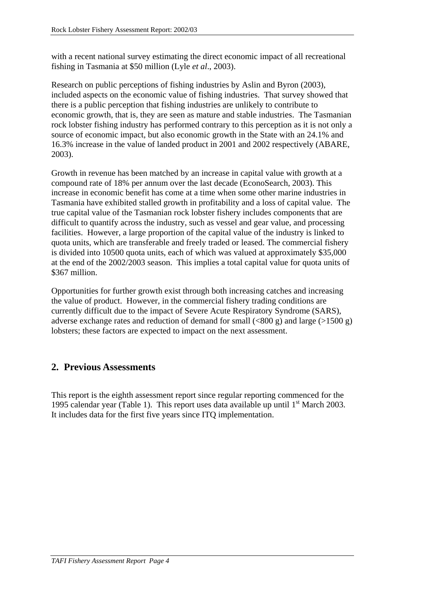<span id="page-11-0"></span>with a recent national survey estimating the direct economic impact of all recreational fishing in Tasmania at \$50 million (Lyle *et al*., 2003).

Research on public perceptions of fishing industries by Aslin and Byron (2003), included aspects on the economic value of fishing industries. That survey showed that there is a public perception that fishing industries are unlikely to contribute to economic growth, that is, they are seen as mature and stable industries. The Tasmanian rock lobster fishing industry has performed contrary to this perception as it is not only a source of economic impact, but also economic growth in the State with an 24.1% and 16.3% increase in the value of landed product in 2001 and 2002 respectively (ABARE, 2003).

Growth in revenue has been matched by an increase in capital value with growth at a compound rate of 18% per annum over the last decade (EconoSearch, 2003). This increase in economic benefit has come at a time when some other marine industries in Tasmania have exhibited stalled growth in profitability and a loss of capital value. The true capital value of the Tasmanian rock lobster fishery includes components that are difficult to quantify across the industry, such as vessel and gear value, and processing facilities. However, a large proportion of the capital value of the industry is linked to quota units, which are transferable and freely traded or leased. The commercial fishery is divided into 10500 quota units, each of which was valued at approximately \$35,000 at the end of the 2002/2003 season. This implies a total capital value for quota units of \$367 million.

Opportunities for further growth exist through both increasing catches and increasing the value of product. However, in the commercial fishery trading conditions are currently difficult due to the impact of Severe Acute Respiratory Syndrome (SARS), adverse exchange rates and reduction of demand for small  $(\leq 800 \text{ g})$  and large  $(>1500 \text{ g})$ lobsters; these factors are expected to impact on the next assessment.

# **2. Previous Assessments**

This report is the eighth assessment report since regular reporting commenced for the 1995 calendar year [\(Table 1\)](#page-12-0). This report uses data available up until  $1<sup>st</sup>$  March 2003. It includes data for the first five years since ITQ implementation.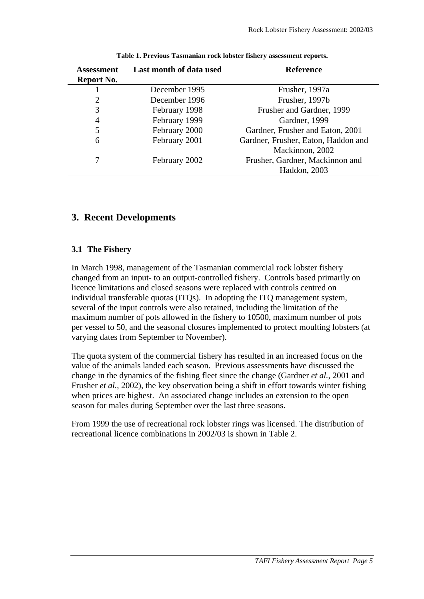<span id="page-12-0"></span>

| <b>Assessment</b> | Last month of data used | <b>Reference</b>                    |
|-------------------|-------------------------|-------------------------------------|
| Report No.        |                         |                                     |
|                   | December 1995           | Frusher, 1997a                      |
| 2                 | December 1996           | Frusher, 1997b                      |
| 3                 | February 1998           | Frusher and Gardner, 1999           |
| 4                 | February 1999           | Gardner, 1999                       |
| 5                 | February 2000           | Gardner, Frusher and Eaton, 2001    |
| 6                 | February 2001           | Gardner, Frusher, Eaton, Haddon and |
|                   |                         | Mackinnon, 2002                     |
| 7                 | February 2002           | Frusher, Gardner, Mackinnon and     |
|                   |                         | Haddon, 2003                        |

**Table 1. Previous Tasmanian rock lobster fishery assessment reports.** 

### **3. Recent Developments**

#### **3.1 The Fishery**

In March 1998, management of the Tasmanian commercial rock lobster fishery changed from an input- to an output-controlled fishery. Controls based primarily on licence limitations and closed seasons were replaced with controls centred on individual transferable quotas (ITQs). In adopting the ITQ management system, several of the input controls were also retained, including the limitation of the maximum number of pots allowed in the fishery to 10500, maximum number of pots per vessel to 50, and the seasonal closures implemented to protect moulting lobsters (at varying dates from September to November).

The quota system of the commercial fishery has resulted in an increased focus on the value of the animals landed each season. Previous assessments have discussed the change in the dynamics of the fishing fleet since the change (Gardner *et al.*, 2001 and Frusher *et al.*, 2002), the key observation being a shift in effort towards winter fishing when prices are highest. An associated change includes an extension to the open season for males during September over the last three seasons.

From 1999 the use of recreational rock lobster rings was licensed. The distribution of recreational licence combinations in 2002/03 is shown in [Table 2.](#page-13-0)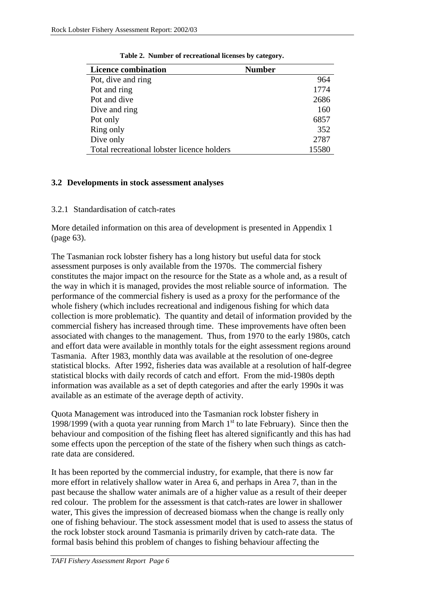<span id="page-13-0"></span>

| <b>Licence combination</b>                 | <b>Number</b> |
|--------------------------------------------|---------------|
| Pot, dive and ring                         | 964           |
| Pot and ring                               | 1774          |
| Pot and dive                               | 2686          |
| Dive and ring                              | 160           |
| Pot only                                   | 6857          |
| Ring only                                  | 352           |
| Dive only                                  | 2787          |
| Total recreational lobster licence holders | 15580         |

**Table 2. Number of recreational licenses by category.** 

#### **3.2 Developments in stock assessment analyses**

3.2.1 Standardisation of catch-rates

More detailed information on this area of development is presented in Appendix 1 (page [63\)](#page-70-0).

The Tasmanian rock lobster fishery has a long history but useful data for stock assessment purposes is only available from the 1970s. The commercial fishery constitutes the major impact on the resource for the State as a whole and, as a result of the way in which it is managed, provides the most reliable source of information. The performance of the commercial fishery is used as a proxy for the performance of the whole fishery (which includes recreational and indigenous fishing for which data collection is more problematic). The quantity and detail of information provided by the commercial fishery has increased through time. These improvements have often been associated with changes to the management. Thus, from 1970 to the early 1980s, catch and effort data were available in monthly totals for the eight assessment regions around Tasmania. After 1983, monthly data was available at the resolution of one-degree statistical blocks. After 1992, fisheries data was available at a resolution of half-degree statistical blocks with daily records of catch and effort. From the mid-1980s depth information was available as a set of depth categories and after the early 1990s it was available as an estimate of the average depth of activity.

Quota Management was introduced into the Tasmanian rock lobster fishery in 1998/1999 (with a quota year running from March  $1<sup>st</sup>$  to late February). Since then the behaviour and composition of the fishing fleet has altered significantly and this has had some effects upon the perception of the state of the fishery when such things as catchrate data are considered.

It has been reported by the commercial industry, for example, that there is now far more effort in relatively shallow water in Area 6, and perhaps in Area 7, than in the past because the shallow water animals are of a higher value as a result of their deeper red colour. The problem for the assessment is that catch-rates are lower in shallower water, This gives the impression of decreased biomass when the change is really only one of fishing behaviour. The stock assessment model that is used to assess the status of the rock lobster stock around Tasmania is primarily driven by catch-rate data. The formal basis behind this problem of changes to fishing behaviour affecting the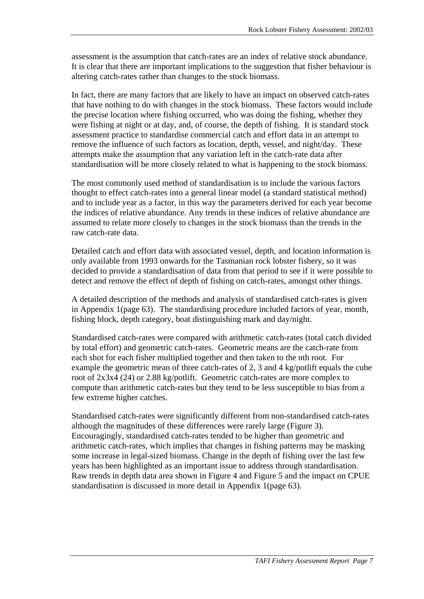assessment is the assumption that catch-rates are an index of relative stock abundance. It is clear that there are important implications to the suggestion that fisher behaviour is altering catch-rates rather than changes to the stock biomass.

In fact, there are many factors that are likely to have an impact on observed catch-rates that have nothing to do with changes in the stock biomass. These factors would include the precise location where fishing occurred, who was doing the fishing, whether they were fishing at night or at day, and, of course, the depth of fishing. It is standard stock assessment practice to standardise commercial catch and effort data in an attempt to remove the influence of such factors as location, depth, vessel, and night/day. These attempts make the assumption that any variation left in the catch-rate data after standardisation will be more closely related to what is happening to the stock biomass.

The most commonly used method of standardisation is to include the various factors thought to effect catch-rates into a general linear model (a standard statistical method) and to include year as a factor, in this way the parameters derived for each year become the indices of relative abundance. Any trends in these indices of relative abundance are assumed to relate more closely to changes in the stock biomass than the trends in the raw catch-rate data.

Detailed catch and effort data with associated vessel, depth, and location information is only available from 1993 onwards for the Tasmanian rock lobster fishery, so it was decided to provide a standardisation of data from that period to see if it were possible to detect and remove the effect of depth of fishing on catch-rates, amongst other things.

A detailed description of the methods and analysis of standardised catch-rates is given in Appendix 1(page [63\)](#page-70-0). The standardising procedure included factors of year, month, fishing block, depth category, boat distinguishing mark and day/night.

Standardised catch-rates were compared with arithmetic catch-rates (total catch divided by total effort) and geometric catch-rates. Geometric means are the catch-rate from each shot for each fisher multiplied together and then taken to the nth root. For example the geometric mean of three catch-rates of 2, 3 and 4 kg/potlift equals the cube root of 2x3x4 (24) or 2.88 kg/potlift. Geometric catch-rates are more complex to compute than arithmetic catch-rates but they tend to be less susceptible to bias from a few extreme higher catches.

Standardised catch-rates were significantly different from non-standardised catch-rates although the magnitudes of these differences were rarely large [\(Figure 3\)](#page-15-0). Encouragingly, standardised catch-rates tended to be higher than geometric and arithmetic catch-rates, which implies that changes in fishing patterns may be masking some increase in legal-sized biomass. Change in the depth of fishing over the last few years has been highlighted as an important issue to address through standardisation. Raw trends in depth data area shown in [Figure 4](#page-16-0) and [Figure 5](#page-16-0) and the impact on CPUE standardisation is discussed in more detail in Appendix 1(page [63\)](#page-70-0).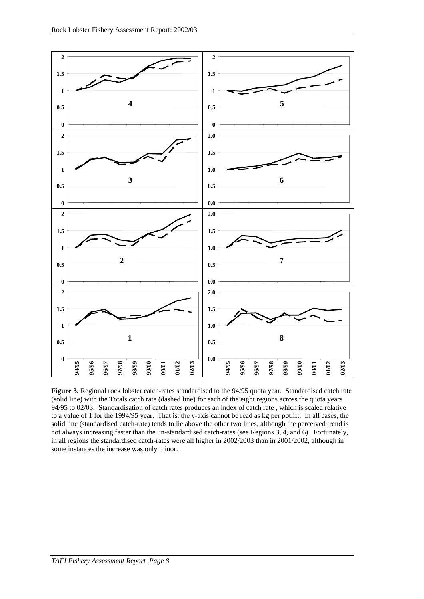<span id="page-15-0"></span>

**Figure 3.** Regional rock lobster catch-rates standardised to the 94/95 quota year. Standardised catch rate (solid line) with the Totals catch rate (dashed line) for each of the eight regions across the quota years 94/95 to 02/03. Standardisation of catch rates produces an index of catch rate , which is scaled relative to a value of 1 for the 1994/95 year. That is, the y-axis cannot be read as kg per potlift. In all cases, the solid line (standardised catch-rate) tends to lie above the other two lines, although the perceived trend is not always increasing faster than the un-standardised catch-rates (see Regions 3, 4, and 6). Fortunately, in all regions the standardised catch-rates were all higher in 2002/2003 than in 2001/2002, although in some instances the increase was only minor.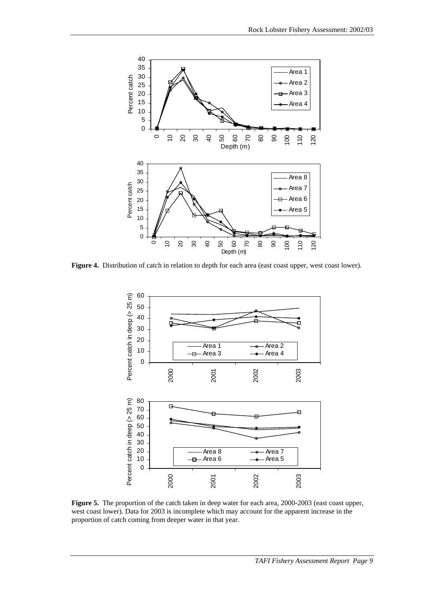<span id="page-16-0"></span>

Figure 4. Distribution of catch in relation to depth for each area (east coast upper, west coast lower).



**Figure 5.** The proportion of the catch taken in deep water for each area, 2000-2003 (east coast upper, west coast lower). Data for 2003 is incomplete which may account for the apparent increase in the proportion of catch coming from deeper water in that year.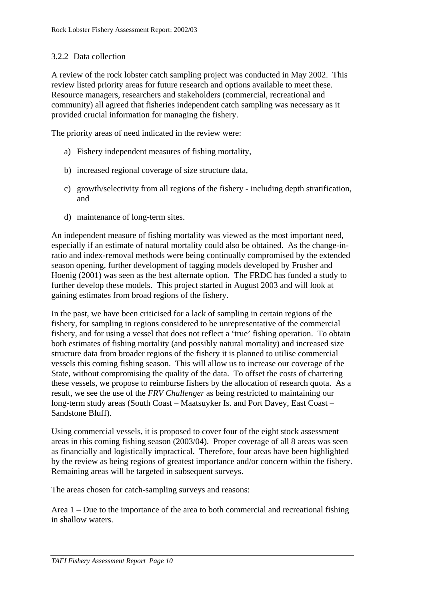#### <span id="page-17-0"></span>3.2.2 Data collection

A review of the rock lobster catch sampling project was conducted in May 2002. This review listed priority areas for future research and options available to meet these. Resource managers, researchers and stakeholders (commercial, recreational and community) all agreed that fisheries independent catch sampling was necessary as it provided crucial information for managing the fishery.

The priority areas of need indicated in the review were:

- a) Fishery independent measures of fishing mortality,
- b) increased regional coverage of size structure data,
- c) growth/selectivity from all regions of the fishery including depth stratification, and
- d) maintenance of long-term sites.

An independent measure of fishing mortality was viewed as the most important need, especially if an estimate of natural mortality could also be obtained. As the change-inratio and index-removal methods were being continually compromised by the extended season opening, further development of tagging models developed by Frusher and Hoenig (2001) was seen as the best alternate option. The FRDC has funded a study to further develop these models. This project started in August 2003 and will look at gaining estimates from broad regions of the fishery.

In the past, we have been criticised for a lack of sampling in certain regions of the fishery, for sampling in regions considered to be unrepresentative of the commercial fishery, and for using a vessel that does not reflect a 'true' fishing operation. To obtain both estimates of fishing mortality (and possibly natural mortality) and increased size structure data from broader regions of the fishery it is planned to utilise commercial vessels this coming fishing season. This will allow us to increase our coverage of the State, without compromising the quality of the data. To offset the costs of chartering these vessels, we propose to reimburse fishers by the allocation of research quota. As a result, we see the use of the *FRV Challenger* as being restricted to maintaining our long-term study areas (South Coast – Maatsuyker Is. and Port Davey, East Coast – Sandstone Bluff).

Using commercial vessels, it is proposed to cover four of the eight stock assessment areas in this coming fishing season (2003/04). Proper coverage of all 8 areas was seen as financially and logistically impractical. Therefore, four areas have been highlighted by the review as being regions of greatest importance and/or concern within the fishery. Remaining areas will be targeted in subsequent surveys.

The areas chosen for catch-sampling surveys and reasons:

Area 1 – Due to the importance of the area to both commercial and recreational fishing in shallow waters.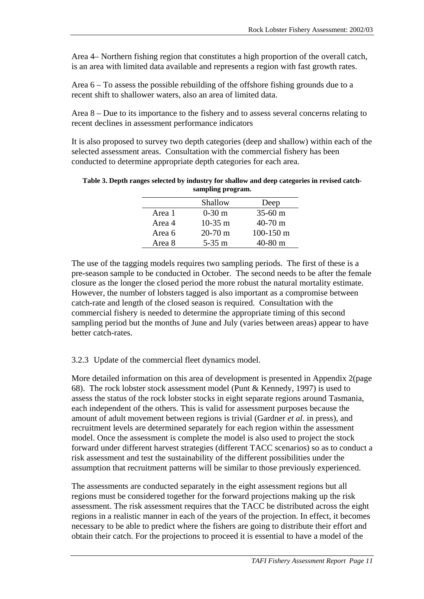<span id="page-18-0"></span>Area 4– Northern fishing region that constitutes a high proportion of the overall catch, is an area with limited data available and represents a region with fast growth rates.

Area 6 – To assess the possible rebuilding of the offshore fishing grounds due to a recent shift to shallower waters, also an area of limited data.

Area 8 – Due to its importance to the fishery and to assess several concerns relating to recent declines in assessment performance indicators

It is also proposed to survey two depth categories (deep and shallow) within each of the selected assessment areas. Consultation with the commercial fishery has been conducted to determine appropriate depth categories for each area.

|        | Shallow          | Deep              |
|--------|------------------|-------------------|
| Area 1 | $0-30 \text{ m}$ | $35-60 \text{ m}$ |
| Area 4 | $10-35$ m        | $40-70$ m         |
| Area 6 | $20-70$ m        | $100-150$ m       |
| Area 8 | $5-35$ m         | $40-80$ m         |

| Table 3. Depth ranges selected by industry for shallow and deep categories in revised catch- |
|----------------------------------------------------------------------------------------------|
| sampling program.                                                                            |

The use of the tagging models requires two sampling periods. The first of these is a pre-season sample to be conducted in October. The second needs to be after the female closure as the longer the closed period the more robust the natural mortality estimate. However, the number of lobsters tagged is also important as a compromise between catch-rate and length of the closed season is required. Consultation with the commercial fishery is needed to determine the appropriate timing of this second sampling period but the months of June and July (varies between areas) appear to have better catch-rates.

#### 3.2.3 Update of the commercial fleet dynamics model.

More detailed information on this area of development is presented in Appendix 2(page [68\)](#page-75-0). The rock lobster stock assessment model (Punt & Kennedy, 1997) is used to assess the status of the rock lobster stocks in eight separate regions around Tasmania, each independent of the others. This is valid for assessment purposes because the amount of adult movement between regions is trivial (Gardner *et al*. in press), and recruitment levels are determined separately for each region within the assessment model. Once the assessment is complete the model is also used to project the stock forward under different harvest strategies (different TACC scenarios) so as to conduct a risk assessment and test the sustainability of the different possibilities under the assumption that recruitment patterns will be similar to those previously experienced.

The assessments are conducted separately in the eight assessment regions but all regions must be considered together for the forward projections making up the risk assessment. The risk assessment requires that the TACC be distributed across the eight regions in a realistic manner in each of the years of the projection. In effect, it becomes necessary to be able to predict where the fishers are going to distribute their effort and obtain their catch. For the projections to proceed it is essential to have a model of the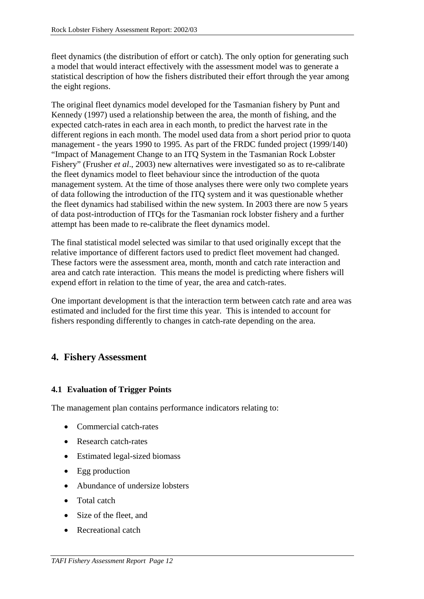<span id="page-19-0"></span>fleet dynamics (the distribution of effort or catch). The only option for generating such a model that would interact effectively with the assessment model was to generate a statistical description of how the fishers distributed their effort through the year among the eight regions.

The original fleet dynamics model developed for the Tasmanian fishery by Punt and Kennedy (1997) used a relationship between the area, the month of fishing, and the expected catch-rates in each area in each month, to predict the harvest rate in the different regions in each month. The model used data from a short period prior to quota management - the years 1990 to 1995. As part of the FRDC funded project (1999/140) "Impact of Management Change to an ITQ System in the Tasmanian Rock Lobster Fishery" (Frusher *et al*., 2003) new alternatives were investigated so as to re-calibrate the fleet dynamics model to fleet behaviour since the introduction of the quota management system. At the time of those analyses there were only two complete years of data following the introduction of the ITQ system and it was questionable whether the fleet dynamics had stabilised within the new system. In 2003 there are now 5 years of data post-introduction of ITQs for the Tasmanian rock lobster fishery and a further attempt has been made to re-calibrate the fleet dynamics model.

The final statistical model selected was similar to that used originally except that the relative importance of different factors used to predict fleet movement had changed. These factors were the assessment area, month, month and catch rate interaction and area and catch rate interaction. This means the model is predicting where fishers will expend effort in relation to the time of year, the area and catch-rates.

One important development is that the interaction term between catch rate and area was estimated and included for the first time this year. This is intended to account for fishers responding differently to changes in catch-rate depending on the area.

# **4. Fishery Assessment**

#### **4.1 Evaluation of Trigger Points**

The management plan contains performance indicators relating to:

- Commercial catch-rates
- Research catch-rates
- Estimated legal-sized biomass
- Egg production
- Abundance of undersize lobsters
- Total catch
- Size of the fleet, and
- Recreational catch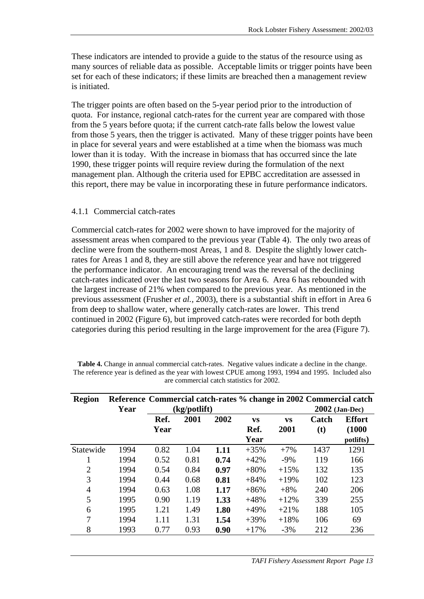<span id="page-20-0"></span>These indicators are intended to provide a guide to the status of the resource using as many sources of reliable data as possible. Acceptable limits or trigger points have been set for each of these indicators; if these limits are breached then a management review is initiated.

The trigger points are often based on the 5-year period prior to the introduction of quota. For instance, regional catch-rates for the current year are compared with those from the 5 years before quota; if the current catch-rate falls below the lowest value from those 5 years, then the trigger is activated. Many of these trigger points have been in place for several years and were established at a time when the biomass was much lower than it is today. With the increase in biomass that has occurred since the late 1990, these trigger points will require review during the formulation of the next management plan. Although the criteria used for EPBC accreditation are assessed in this report, there may be value in incorporating these in future performance indicators.

#### 4.1.1 Commercial catch-rates

Commercial catch-rates for 2002 were shown to have improved for the majority of assessment areas when compared to the previous year (Table 4). The only two areas of decline were from the southern-most Areas, 1 and 8. Despite the slightly lower catchrates for Areas 1 and 8, they are still above the reference year and have not triggered the performance indicator. An encouraging trend was the reversal of the declining catch-rates indicated over the last two seasons for Area 6. Area 6 has rebounded with the largest increase of 21% when compared to the previous year. As mentioned in the previous assessment (Frusher *et al.,* 2003), there is a substantial shift in effort in Area 6 from deep to shallow water, where generally catch-rates are lower. This trend continued in 2002 [\(Figure 6\)](#page-21-0), but improved catch-rates were recorded for both depth categories during this period resulting in the large improvement for the area [\(Figure 7\)](#page-21-0).

| <b>Region</b>  | Reference Commercial catch-rates % change in 2002 Commercial catch |      |              |      |           |           |       |                  |  |
|----------------|--------------------------------------------------------------------|------|--------------|------|-----------|-----------|-------|------------------|--|
|                | Year                                                               |      | (kg/potlift) |      |           |           |       | $2002$ (Jan-Dec) |  |
|                |                                                                    | Ref. | 2001         | 2002 | <b>VS</b> | <b>VS</b> | Catch | <b>Effort</b>    |  |
|                |                                                                    | Year |              |      | Ref.      | 2001      | (t)   | (1000)           |  |
|                |                                                                    |      |              |      | Year      |           |       | potlifts)        |  |
| Statewide      | 1994                                                               | 0.82 | 1.04         | 1.11 | $+35%$    | $+7%$     | 1437  | 1291             |  |
|                | 1994                                                               | 0.52 | 0.81         | 0.74 | $+42%$    | $-9\%$    | 119   | 166              |  |
| $\overline{2}$ | 1994                                                               | 0.54 | 0.84         | 0.97 | $+80%$    | $+15%$    | 132   | 135              |  |
| 3              | 1994                                                               | 0.44 | 0.68         | 0.81 | $+84%$    | $+19%$    | 102   | 123              |  |
| $\overline{4}$ | 1994                                                               | 0.63 | 1.08         | 1.17 | $+86%$    | $+8%$     | 240   | 206              |  |
| 5              | 1995                                                               | 0.90 | 1.19         | 1.33 | $+48%$    | $+12%$    | 339   | 255              |  |
| 6              | 1995                                                               | 1.21 | 1.49         | 1.80 | $+49%$    | $+21%$    | 188   | 105              |  |
| 7              | 1994                                                               | 1.11 | 1.31         | 1.54 | $+39%$    | $+18%$    | 106   | 69               |  |
| 8              | 1993                                                               | 0.77 | 0.93         | 0.90 | $+17%$    | $-3%$     | 212   | 236              |  |

| <b>Table 4.</b> Change in annual commercial catch-rates. Negative values indicate a decline in the change. |  |
|------------------------------------------------------------------------------------------------------------|--|
| The reference year is defined as the year with lowest CPUE among 1993, 1994 and 1995. Included also        |  |
| are commercial catch statistics for 2002.                                                                  |  |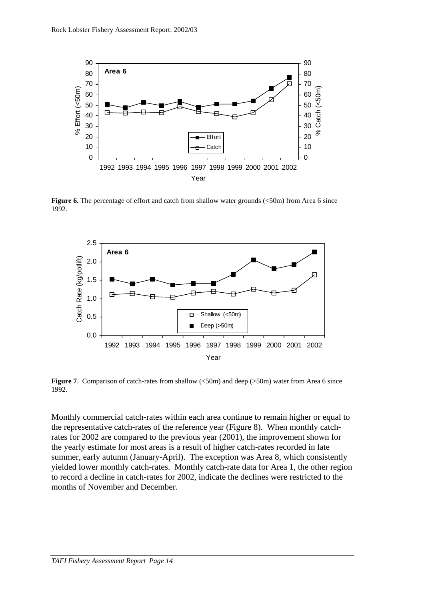<span id="page-21-0"></span>

**Figure 6.** The percentage of effort and catch from shallow water grounds (<50m) from Area 6 since 1992.



**Figure 7.** Comparison of catch-rates from shallow (<50m) and deep (>50m) water from Area 6 since 1992.

Monthly commercial catch-rates within each area continue to remain higher or equal to the representative catch-rates of the reference year [\(Figure 8\)](#page-22-0). When monthly catchrates for 2002 are compared to the previous year (2001), the improvement shown for the yearly estimate for most areas is a result of higher catch-rates recorded in late summer, early autumn (January-April). The exception was Area 8, which consistently yielded lower monthly catch-rates. Monthly catch-rate data for Area 1, the other region to record a decline in catch-rates for 2002, indicate the declines were restricted to the months of November and December.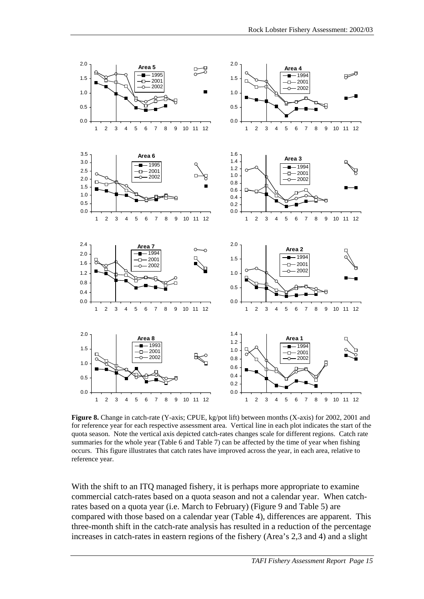<span id="page-22-0"></span>

**Figure 8.** Change in catch-rate (Y-axis; CPUE, kg/pot lift) between months (X-axis) for 2002, 2001 and for reference year for each respective assessment area. Vertical line in each plot indicates the start of the quota season. Note the vertical axis depicted catch-rates changes scale for different regions. Catch rate summaries for the whole year [\(Table 6](#page-26-0) and [Table 7\)](#page-27-0) can be affected by the time of year when fishing occurs. This figure illustrates that catch rates have improved across the year, in each area, relative to reference year.

With the shift to an ITQ managed fishery, it is perhaps more appropriate to examine commercial catch-rates based on a quota season and not a calendar year. When catchrates based on a quota year (i.e. March to February) [\(Figure 9](#page-25-0) and [Table 5\)](#page-23-0) are compared with those based on a calendar year [\(Table 4\)](#page-20-0), differences are apparent. This three-month shift in the catch-rate analysis has resulted in a reduction of the percentage increases in catch-rates in eastern regions of the fishery (Area's 2,3 and 4) and a slight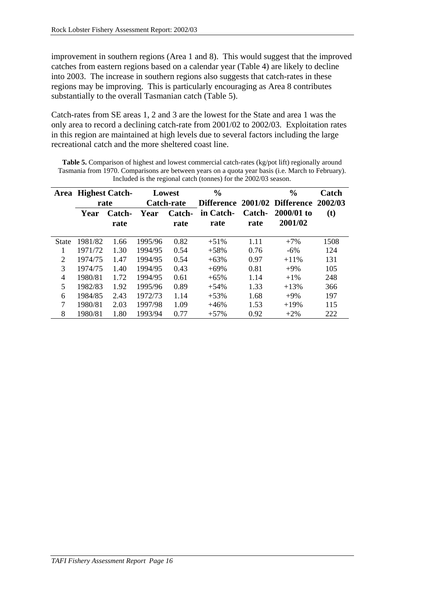<span id="page-23-0"></span>improvement in southern regions (Area 1 and 8). This would suggest that the improved catches from eastern regions based on a calendar year [\(Table 4\)](#page-20-0) are likely to decline into 2003. The increase in southern regions also suggests that catch-rates in these regions may be improving. This is particularly encouraging as Area 8 contributes substantially to the overall Tasmanian catch (Table 5).

Catch-rates from SE areas 1, 2 and 3 are the lowest for the State and area 1 was the only area to record a declining catch-rate from 2001/02 to 2002/03. Exploitation rates in this region are maintained at high levels due to several factors including the large recreational catch and the more sheltered coast line.

Table 5. Comparison of highest and lowest commercial catch-rates (kg/pot lift) regionally around Tasmania from 1970. Comparisons are between years on a quota year basis (i.e. March to February). Included is the regional catch (tonnes) for the 2002/03 season.

| Area         | <b>Highest Catch-</b> |               |                   | Lowest | $\frac{0}{0}$ |        | $\frac{0}{0}$                         | Catch |
|--------------|-----------------------|---------------|-------------------|--------|---------------|--------|---------------------------------------|-------|
|              |                       | rate          | <b>Catch-rate</b> |        |               |        | Difference 2001/02 Difference 2002/03 |       |
|              | Year                  | <b>Catch-</b> | Year              | Catch- | in Catch-     | Catch- | 2000/01 to                            | (t)   |
|              |                       | rate          |                   | rate   | rate          | rate   | 2001/02                               |       |
| <b>State</b> | 1981/82               | 1.66          | 1995/96           | 0.82   | $+51%$        | 1.11   | $+7%$                                 | 1508  |
|              | 1971/72               | 1.30          | 1994/95           | 0.54   | $+58%$        | 0.76   | $-6\%$                                | 124   |
| 2            | 1974/75               | 1.47          | 1994/95           | 0.54   | $+63%$        | 0.97   | $+11\%$                               | 131   |
| 3            | 1974/75               | 1.40          | 1994/95           | 0.43   | $+69%$        | 0.81   | $+9\%$                                | 105   |
| 4            | 1980/81               | 1.72          | 1994/95           | 0.61   | $+65%$        | 1.14   | $+1\%$                                | 248   |
| 5            | 1982/83               | 1.92          | 1995/96           | 0.89   | $+54%$        | 1.33   | $+13%$                                | 366   |
| 6            | 1984/85               | 2.43          | 1972/73           | 1.14   | $+53%$        | 1.68   | $+9\%$                                | 197   |
| 7            | 1980/81               | 2.03          | 1997/98           | 1.09   | $+46%$        | 1.53   | $+19%$                                | 115   |
| 8            | 1980/81               | 1.80          | 1993/94           | 0.77   | $+57%$        | 0.92   | $+2\%$                                | 222   |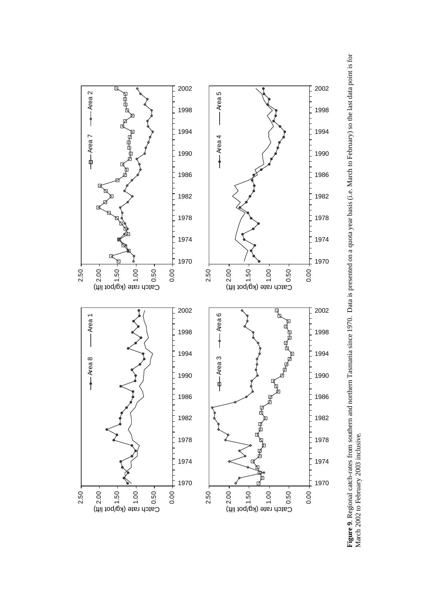<span id="page-25-0"></span>

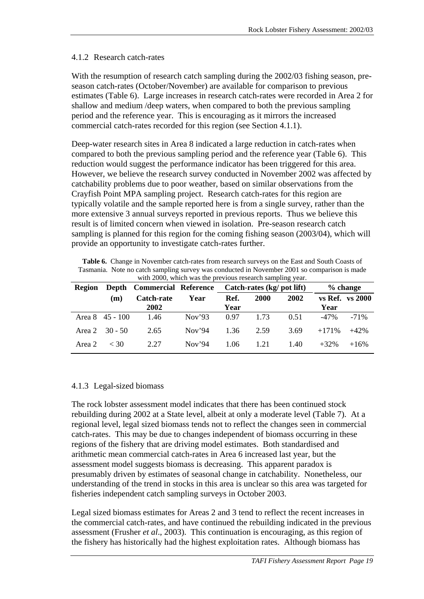#### <span id="page-26-0"></span>4.1.2 Research catch-rates

With the resumption of research catch sampling during the 2002/03 fishing season, preseason catch-rates (October/November) are available for comparison to previous estimates (Table 6). Large increases in research catch-rates were recorded in Area 2 for shallow and medium /deep waters, when compared to both the previous sampling period and the reference year. This is encouraging as it mirrors the increased commercial catch-rates recorded for this region (see Section [4.1.1\)](#page-20-0).

Deep-water research sites in Area 8 indicated a large reduction in catch-rates when compared to both the previous sampling period and the reference year (Table 6). This reduction would suggest the performance indicator has been triggered for this area. However, we believe the research survey conducted in November 2002 was affected by catchability problems due to poor weather, based on similar observations from the Crayfish Point MPA sampling project. Research catch-rates for this region are typically volatile and the sample reported here is from a single survey, rather than the more extensive 3 annual surveys reported in previous reports. Thus we believe this result is of limited concern when viewed in isolation. Pre-season research catch sampling is planned for this region for the coming fishing season (2003/04), which will provide an opportunity to investigate catch-rates further.

**Table 6.** Change in November catch-rates from research surveys on the East and South Coasts of Tasmania. Note no catch sampling survey was conducted in November 2001 so comparison is made with 2000, which was the previous research sampling year.

| <b>Region</b> |                         | Depth Commercial Reference Catch-rates (kg/ pot lift) |                   |              |             | $%$ change |         |                 |
|---------------|-------------------------|-------------------------------------------------------|-------------------|--------------|-------------|------------|---------|-----------------|
|               | (m)                     | Catch-rate<br>2002                                    | Year              | Ref.<br>Year | <b>2000</b> | 2002       | Year    | vs Ref. vs 2000 |
|               |                         |                                                       |                   |              |             |            |         |                 |
|               | Area $8 \quad 45 - 100$ | 1.46                                                  | Nov <sup>3</sup>  | 0.97         | 1.73        | 0.51       | $-47\%$ | $-71%$          |
|               | Area 2 $30 - 50$        | 2.65                                                  | Nov <sup>34</sup> | 1.36         | 2.59        | 3.69       | $+171%$ | $+42%$          |
| Area 2        | $<$ 30                  | 2.27                                                  | Nov <sup>34</sup> | 1.06         | 1.21        | 1.40       | $+32%$  | $+16%$          |

#### 4.1.3 Legal-sized biomass

The rock lobster assessment model indicates that there has been continued stock rebuilding during 2002 at a State level, albeit at only a moderate level [\(Table 7\)](#page-27-0). At a regional level, legal sized biomass tends not to reflect the changes seen in commercial catch-rates. This may be due to changes independent of biomass occurring in these regions of the fishery that are driving model estimates. Both standardised and arithmetic mean commercial catch-rates in Area 6 increased last year, but the assessment model suggests biomass is decreasing. This apparent paradox is presumably driven by estimates of seasonal change in catchability. Nonetheless, our understanding of the trend in stocks in this area is unclear so this area was targeted for fisheries independent catch sampling surveys in October 2003.

Legal sized biomass estimates for Areas 2 and 3 tend to reflect the recent increases in the commercial catch-rates, and have continued the rebuilding indicated in the previous assessment (Frusher *et al*., 2003). This continuation is encouraging, as this region of the fishery has historically had the highest exploitation rates. Although biomass has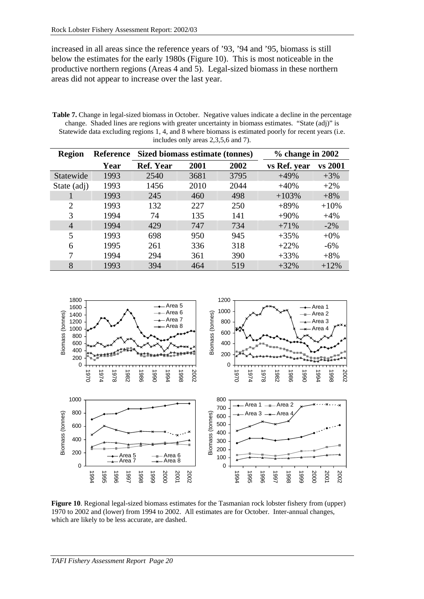<span id="page-27-0"></span>increased in all areas since the reference years of '93, '94 and '95, biomass is still below the estimates for the early 1980s (Figure 10). This is most noticeable in the productive northern regions (Areas 4 and 5). Legal-sized biomass in these northern areas did not appear to increase over the last year.

**Table 7.** Change in legal-sized biomass in October. Negative values indicate a decline in the percentage change. Shaded lines are regions with greater uncertainty in biomass estimates. "State (adj)" is Statewide data excluding regions 1, 4, and 8 where biomass is estimated poorly for recent years (i.e. includes only areas 2,3,5,6 and 7).

| <b>Region</b>            | Reference | Sized biomass estimate (tonnes) |      | $%$ change in 2002 |              |         |
|--------------------------|-----------|---------------------------------|------|--------------------|--------------|---------|
|                          | Year      | <b>Ref. Year</b>                | 2001 | 2002               | vs Ref. year | vs 2001 |
| Statewide                | 1993      | 2540                            | 3681 | 3795               | $+49%$       | $+3%$   |
| State (adj)              | 1993      | 1456                            | 2010 | 2044               | $+40%$       | $+2\%$  |
|                          | 1993      | 245                             | 460  | 498                | $+103%$      | $+8%$   |
| $\mathfrak{D}_{1}^{(1)}$ | 1993      | 132                             | 227  | 250                | $+89%$       | $+10%$  |
| 3                        | 1994      | 74                              | 135  | 141                | $+90%$       | $+4%$   |
| 4                        | 1994      | 429                             | 747  | 734                | $+71%$       | $-2\%$  |
| 5                        | 1993      | 698                             | 950  | 945                | $+35%$       | $+0\%$  |
| 6                        | 1995      | 261                             | 336  | 318                | $+22%$       | $-6%$   |
| 7                        | 1994      | 294                             | 361  | 390                | $+33%$       | $+8%$   |
| 8                        | 1993      | 394                             | 464  | 519                | $+32%$       | $+12%$  |



**Figure 10**. Regional legal-sized biomass estimates for the Tasmanian rock lobster fishery from (upper) 1970 to 2002 and (lower) from 1994 to 2002. All estimates are for October. Inter-annual changes, which are likely to be less accurate, are dashed.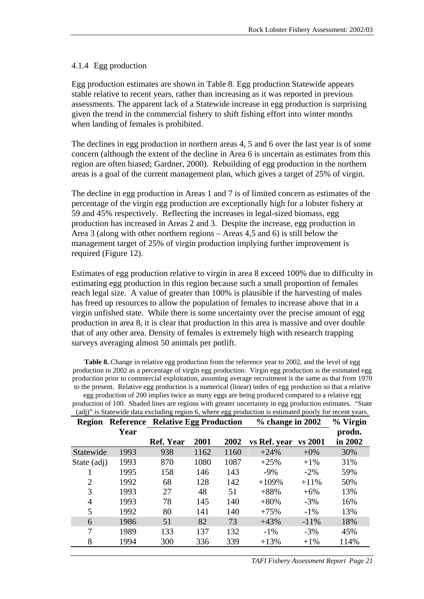#### <span id="page-28-0"></span>4.1.4 Egg production

Egg production estimates are shown in Table 8. Egg production Statewide appears stable relative to recent years, rather than increasing as it was reported in previous assessments. The apparent lack of a Statewide increase in egg production is surprising given the trend in the commercial fishery to shift fishing effort into winter months when landing of females is prohibited.

The declines in egg production in northern areas 4, 5 and 6 over the last year is of some concern (although the extent of the decline in Area 6 is uncertain as estimates from this region are often biased; Gardner, 2000). Rebuilding of egg production in the northern areas is a goal of the current management plan, which gives a target of 25% of virgin.

The decline in egg production in Areas 1 and 7 is of limited concern as estimates of the percentage of the virgin egg production are exceptionally high for a lobster fishery at 59 and 45% respectively. Reflecting the increases in legal-sized biomass, egg production has increased in Areas 2 and 3. Despite the increase, egg production in Area 3 (along with other northern regions – Areas 4,5 and 6) is still below the management target of 25% of virgin production implying further improvement is required [\(Figure 12\)](#page-29-0).

Estimates of egg production relative to virgin in area 8 exceed 100% due to difficulty in estimating egg production in this region because such a small proportion of females reach legal size. A value of greater than 100% is plausible if the harvesting of males has freed up resources to allow the population of females to increase above that in a virgin unfished state. While there is some uncertainty over the precise amount of egg production in area 8, it is clear that production in this area is massive and over double that of any other area. Density of females is extremely high with research trapping surveys averaging almost 50 animals per potlift.

**Table 8.** Change in relative egg production from the reference year to 2002, and the level of egg production in 2002 as a percentage of virgin egg production. Virgin egg production is the estimated egg production prior to commercial exploitation, assuming average recruitment is the same as that from 1970 to the present. Relative egg production is a numerical (linear) index of egg production so that a relative egg production of 200 implies twice as many eggs are being produced compared to a relative egg

production of 100. Shaded lines are regions with greater uncertainty in egg production estimates. "State (adj)" is Statewide data excluding region 6, where egg production is estimated poorly for recent years.

| <b>Region</b>  |      | <b>Reference Relative Egg Production</b> |      | $%$ change in 2002 | % Virgin     |         |         |
|----------------|------|------------------------------------------|------|--------------------|--------------|---------|---------|
|                | Year |                                          |      |                    |              |         | prodn.  |
|                |      | <b>Ref. Year</b>                         | 2001 | 2002               | vs Ref. year | vs 2001 | in 2002 |
| Statewide      | 1993 | 938                                      | 1162 | 1160               | $+24%$       | $+0\%$  | 30%     |
| State (adj)    | 1993 | 870                                      | 1080 | 1087               | $+25%$       | $+1\%$  | 31%     |
|                | 1995 | 158                                      | 146  | 143                | $-9\%$       | $-2\%$  | 59%     |
| $\overline{2}$ | 1992 | 68                                       | 128  | 142                | $+109%$      | $+11\%$ | 50%     |
| 3              | 1993 | 27                                       | 48   | 51                 | $+88%$       | $+6\%$  | 13%     |
| 4              | 1993 | 78                                       | 145  | 140                | $+80%$       | $-3%$   | 16%     |
| 5              | 1992 | 80                                       | 141  | 140                | $+75%$       | $-1\%$  | 13%     |
| 6              | 1986 | 51                                       | 82   | 73                 | $+43%$       | $-11\%$ | 18%     |
| 7              | 1989 | 133                                      | 137  | 132                | $-1\%$       | $-3%$   | 45%     |
| 8              | 1994 | 300                                      | 336  | 339                | $+13%$       | $+1\%$  | 114%    |

*TAFI Fishery Assessment Report Page 21*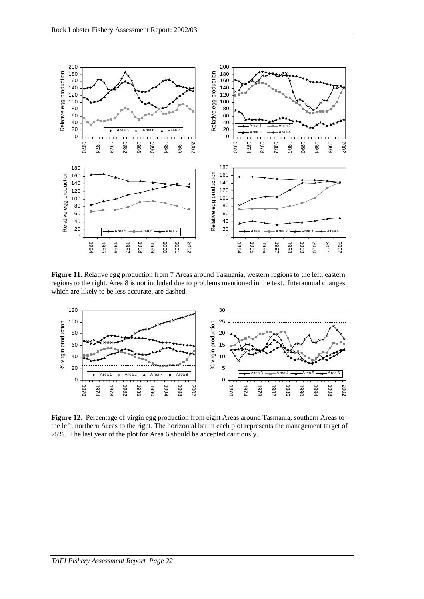<span id="page-29-0"></span>

**Figure 11.** Relative egg production from 7 Areas around Tasmania, western regions to the left, eastern regions to the right. Area 8 is not included due to problems mentioned in the text. Interannual changes, which are likely to be less accurate, are dashed.



**Figure 12.** Percentage of virgin egg production from eight Areas around Tasmania, southern Areas to the left, northern Areas to the right. The horizontal bar in each plot represents the management target of 25%. The last year of the plot for Area 6 should be accepted cautiously.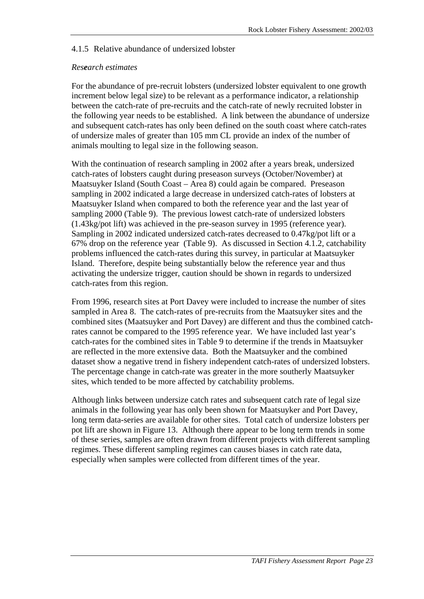#### <span id="page-30-0"></span>4.1.5 Relative abundance of undersized lobster

#### *Research estimates*

For the abundance of pre-recruit lobsters (undersized lobster equivalent to one growth increment below legal size) to be relevant as a performance indicator, a relationship between the catch-rate of pre-recruits and the catch-rate of newly recruited lobster in the following year needs to be established. A link between the abundance of undersize and subsequent catch-rates has only been defined on the south coast where catch-rates of undersize males of greater than 105 mm CL provide an index of the number of animals moulting to legal size in the following season.

With the continuation of research sampling in 2002 after a years break, undersized catch-rates of lobsters caught during preseason surveys (October/November) at Maatsuyker Island (South Coast – Area 8) could again be compared. Preseason sampling in 2002 indicated a large decrease in undersized catch-rates of lobsters at Maatsuyker Island when compared to both the reference year and the last year of sampling 2000 [\(Table 9\)](#page-31-0). The previous lowest catch-rate of undersized lobsters (1.43kg/pot lift) was achieved in the pre-season survey in 1995 (reference year). Sampling in 2002 indicated undersized catch-rates decreased to 0.47kg/pot lift or a 67% drop on the reference year [\(Table 9\)](#page-31-0). As discussed in Section [4.1.2,](#page-26-0) catchability problems influenced the catch-rates during this survey, in particular at Maatsuyker Island. Therefore, despite being substantially below the reference year and thus activating the undersize trigger, caution should be shown in regards to undersized catch-rates from this region.

From 1996, research sites at Port Davey were included to increase the number of sites sampled in Area 8. The catch-rates of pre-recruits from the Maatsuyker sites and the combined sites (Maatsuyker and Port Davey) are different and thus the combined catchrates cannot be compared to the 1995 reference year. We have included last year's catch-rates for the combined sites in [Table 9](#page-31-0) to determine if the trends in Maatsuyker are reflected in the more extensive data. Both the Maatsuyker and the combined dataset show a negative trend in fishery independent catch-rates of undersized lobsters. The percentage change in catch-rate was greater in the more southerly Maatsuyker sites, which tended to be more affected by catchability problems.

Although links between undersize catch rates and subsequent catch rate of legal size animals in the following year has only been shown for Maatsuyker and Port Davey, long term data-series are available for other sites. Total catch of undersize lobsters per pot lift are shown in [Figure 13.](#page-32-0) Although there appear to be long term trends in some of these series, samples are often drawn from different projects with different sampling regimes. These different sampling regimes can causes biases in catch rate data, especially when samples were collected from different times of the year.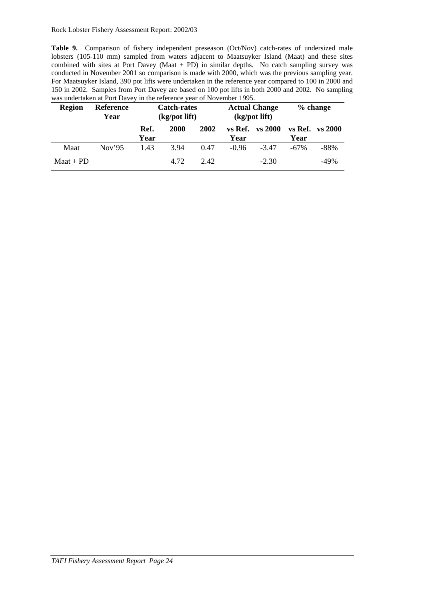<span id="page-31-0"></span>**Table 9.** Comparison of fishery independent preseason (Oct/Nov) catch-rates of undersized male lobsters (105-110 mm) sampled from waters adjacent to Maatsuyker Island (Maat) and these sites combined with sites at Port Davey (Maat + PD) in similar depths. No catch sampling survey was conducted in November 2001 so comparison is made with 2000, which was the previous sampling year. For Maatsuyker Island, 390 pot lifts were undertaken in the reference year compared to 100 in 2000 and 150 in 2002. Samples from Port Davey are based on 100 pot lifts in both 2000 and 2002. No sampling was undertaken at Port Davey in the reference year of November 1995.

| <b>Region</b> | Reference<br>Year | <b>Catch-rates</b><br>(kg/pot lift) |      | <b>Actual Change</b><br>$(kg$ /pot lift) |         | $%$ change          |         |                 |
|---------------|-------------------|-------------------------------------|------|------------------------------------------|---------|---------------------|---------|-----------------|
|               |                   | Ref.<br>Year                        | 2000 | 2002                                     | Year    | $vs$ Ref. $vs$ 2000 | Year    | vs Ref. vs 2000 |
| Maat          | Nov <sup>35</sup> | 1.43                                | 3.94 | 0.47                                     | $-0.96$ | $-347$              | $-67\%$ | $-88%$          |
| $M$ aat + PD  |                   |                                     | 4.72 | 2.42                                     |         | $-2.30$             |         | $-49%$          |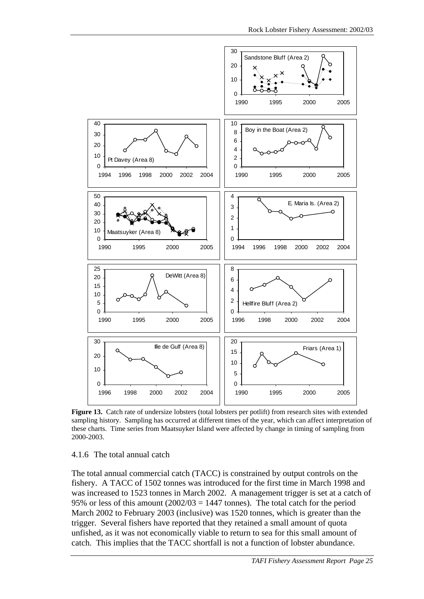<span id="page-32-0"></span>

**Figure 13.** Catch rate of undersize lobsters (total lobsters per potlift) from research sites with extended sampling history.Sampling has occurred at different times of the year, which can affect interpretation of these charts. Time series from Maatsuyker Island were affected by change in timing of sampling from 2000-2003.

#### 4.1.6 The total annual catch

The total annual commercial catch (TACC) is constrained by output controls on the fishery. A TACC of 1502 tonnes was introduced for the first time in March 1998 and was increased to 1523 tonnes in March 2002. A management trigger is set at a catch of 95% or less of this amount  $(2002/03 = 1447$  tonnes). The total catch for the period March 2002 to February 2003 (inclusive) was 1520 tonnes, which is greater than the trigger. Several fishers have reported that they retained a small amount of quota unfished, as it was not economically viable to return to sea for this small amount of catch. This implies that the TACC shortfall is not a function of lobster abundance.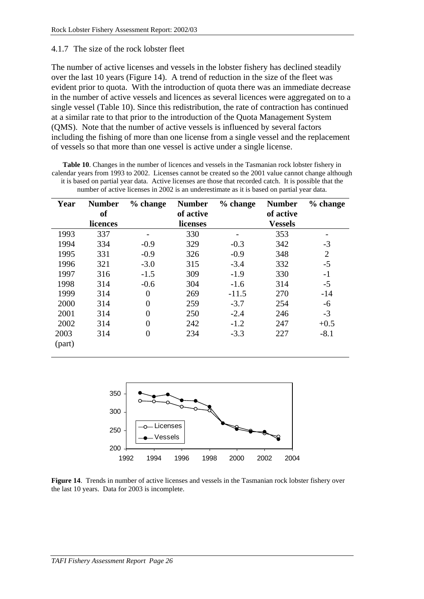#### <span id="page-33-0"></span>4.1.7 The size of the rock lobster fleet

The number of active licenses and vessels in the lobster fishery has declined steadily over the last 10 years (Figure 14). A trend of reduction in the size of the fleet was evident prior to quota. With the introduction of quota there was an immediate decrease in the number of active vessels and licences as several licences were aggregated on to a single vessel (Table 10). Since this redistribution, the rate of contraction has continued at a similar rate to that prior to the introduction of the Quota Management System (QMS). Note that the number of active vessels is influenced by several factors including the fishing of more than one license from a single vessel and the replacement of vessels so that more than one vessel is active under a single license.

**Table 10**. Changes in the number of licences and vessels in the Tasmanian rock lobster fishery in calendar years from 1993 to 2002. Licenses cannot be created so the 2001 value cannot change although it is based on partial year data. Active licenses are those that recorded catch. It is possible that the number of active licenses in 2002 is an underestimate as it is based on partial year data.

| Year   | <b>Number</b><br><b>of</b> | % change       | <b>Number</b><br>of active | $%$ change | <b>Number</b><br>of active | % change |
|--------|----------------------------|----------------|----------------------------|------------|----------------------------|----------|
|        | licences                   |                | licenses                   |            | <b>Vessels</b>             |          |
| 1993   | 337                        |                | 330                        |            | 353                        |          |
| 1994   | 334                        | $-0.9$         | 329                        | $-0.3$     | 342                        | $-3$     |
| 1995   | 331                        | $-0.9$         | 326                        | $-0.9$     | 348                        | 2        |
| 1996   | 321                        | $-3.0$         | 315                        | $-3.4$     | 332                        | $-5$     |
| 1997   | 316                        | $-1.5$         | 309                        | $-1.9$     | 330                        | $-1$     |
| 1998   | 314                        | $-0.6$         | 304                        | $-1.6$     | 314                        | $-5$     |
| 1999   | 314                        | $\overline{0}$ | 269                        | $-11.5$    | 270                        | $-14$    |
| 2000   | 314                        | $\overline{0}$ | 259                        | $-3.7$     | 254                        | -6       |
| 2001   | 314                        | $\overline{0}$ | 250                        | $-2.4$     | 246                        | $-3$     |
| 2002   | 314                        | $\overline{0}$ | 242                        | $-1.2$     | 247                        | $+0.5$   |
| 2003   | 314                        | $\overline{0}$ | 234                        | $-3.3$     | 227                        | $-8.1$   |
| (part) |                            |                |                            |            |                            |          |



**Figure 14**. Trends in number of active licenses and vessels in the Tasmanian rock lobster fishery over the last 10 years. Data for 2003 is incomplete.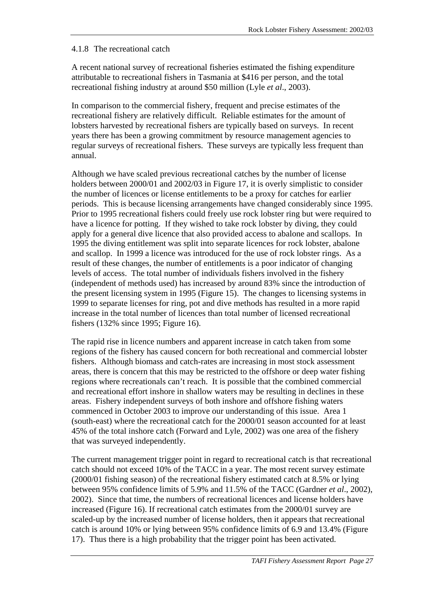#### <span id="page-34-0"></span>4.1.8 The recreational catch

A recent national survey of recreational fisheries estimated the fishing expenditure attributable to recreational fishers in Tasmania at \$416 per person, and the total recreational fishing industry at around \$50 million (Lyle *et al*., 2003).

In comparison to the commercial fishery, frequent and precise estimates of the recreational fishery are relatively difficult. Reliable estimates for the amount of lobsters harvested by recreational fishers are typically based on surveys. In recent years there has been a growing commitment by resource management agencies to regular surveys of recreational fishers. These surveys are typically less frequent than annual.

Although we have scaled previous recreational catches by the number of license holders between 2000/01 and 2002/03 in [Figure 17,](#page-36-0) it is overly simplistic to consider the number of licences or license entitlements to be a proxy for catches for earlier periods. This is because licensing arrangements have changed considerably since 1995. Prior to 1995 recreational fishers could freely use rock lobster ring but were required to have a licence for potting. If they wished to take rock lobster by diving, they could apply for a general dive licence that also provided access to abalone and scallops. In 1995 the diving entitlement was split into separate licences for rock lobster, abalone and scallop. In 1999 a licence was introduced for the use of rock lobster rings. As a result of these changes, the number of entitlements is a poor indicator of changing levels of access. The total number of individuals fishers involved in the fishery (independent of methods used) has increased by around 83% since the introduction of the present licensing system in 1995 ([Figure 15\)](#page-35-0). The changes to licensing systems in 1999 to separate licenses for ring, pot and dive methods has resulted in a more rapid increase in the total number of licences than total number of licensed recreational fishers (132% since 1995; [Figure 16\)](#page-35-0).

The rapid rise in licence numbers and apparent increase in catch taken from some regions of the fishery has caused concern for both recreational and commercial lobster fishers. Although biomass and catch-rates are increasing in most stock assessment areas, there is concern that this may be restricted to the offshore or deep water fishing regions where recreationals can't reach. It is possible that the combined commercial and recreational effort inshore in shallow waters may be resulting in declines in these areas. Fishery independent surveys of both inshore and offshore fishing waters commenced in October 2003 to improve our understanding of this issue. Area 1 (south-east) where the recreational catch for the 2000/01 season accounted for at least 45% of the total inshore catch (Forward and Lyle, 2002) was one area of the fishery that was surveyed independently.

The current management trigger point in regard to recreational catch is that recreational catch should not exceed 10% of the TACC in a year. The most recent survey estimate (2000/01 fishing season) of the recreational fishery estimated catch at 8.5% or lying between 95% confidence limits of 5.9% and 11.5% of the TACC (Gardner *et al*., 2002), 2002). Since that time, the numbers of recreational licences and license holders have increased [\(Figure 16\)](#page-35-0). If recreational catch estimates from the 2000/01 survey are scaled-up by the increased number of license holders, then it appears that recreational ca[t](#page-36-0)ch is around 10% or lying between 95% confidence limits of 6.9 and 13.4% [\(Figure](#page-36-0)  17). Thus there is a high probability that the trigger point has been activated.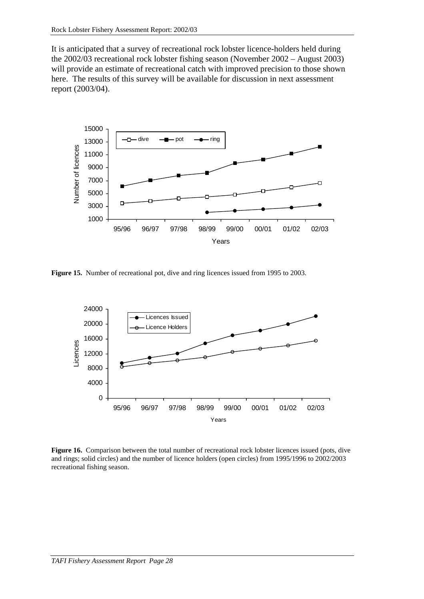<span id="page-35-0"></span>It is anticipated that a survey of recreational rock lobster licence-holders held during the 2002/03 recreational rock lobster fishing season (November 2002 – August 2003) will provide an estimate of recreational catch with improved precision to those shown here. The results of this survey will be available for discussion in next assessment report (2003/04).



**Figure 15.** Number of recreational pot, dive and ring licences issued from 1995 to 2003.



**Figure 16.** Comparison between the total number of recreational rock lobster licences issued (pots, dive and rings; solid circles) and the number of licence holders (open circles) from 1995/1996 to 2002/2003 recreational fishing season.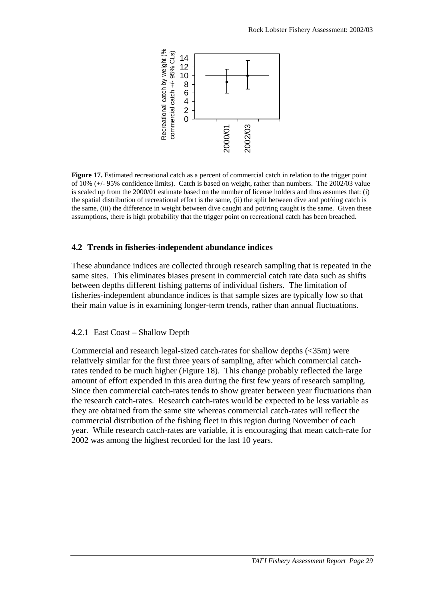

Figure 17. Estimated recreational catch as a percent of commercial catch in relation to the trigger point of 10% (+/- 95% confidence limits). Catch is based on weight, rather than numbers. The 2002/03 value is scaled up from the 2000/01 estimate based on the number of license holders and thus assumes that: (i) the spatial distribution of recreational effort is the same, (ii) the split between dive and pot/ring catch is the same, (iii) the difference in weight between dive caught and pot/ring caught is the same. Given these assumptions, there is high probability that the trigger point on recreational catch has been breached.

### **4.2 Trends in fisheries-independent abundance indices**

These abundance indices are collected through research sampling that is repeated in the same sites. This eliminates biases present in commercial catch rate data such as shifts between depths different fishing patterns of individual fishers. The limitation of fisheries-independent abundance indices is that sample sizes are typically low so that their main value is in examining longer-term trends, rather than annual fluctuations.

#### 4.2.1 East Coast – Shallow Depth

Commercial and research legal-sized catch-rates for shallow depths (<35m) were relatively similar for the first three years of sampling, after which commercial catchrates tended to be much higher [\(Figure 18\)](#page-37-0). This change probably reflected the large amount of effort expended in this area during the first few years of research sampling. Since then commercial catch-rates tends to show greater between year fluctuations than the research catch-rates. Research catch-rates would be expected to be less variable as they are obtained from the same site whereas commercial catch-rates will reflect the commercial distribution of the fishing fleet in this region during November of each year. While research catch-rates are variable, it is encouraging that mean catch-rate for 2002 was among the highest recorded for the last 10 years.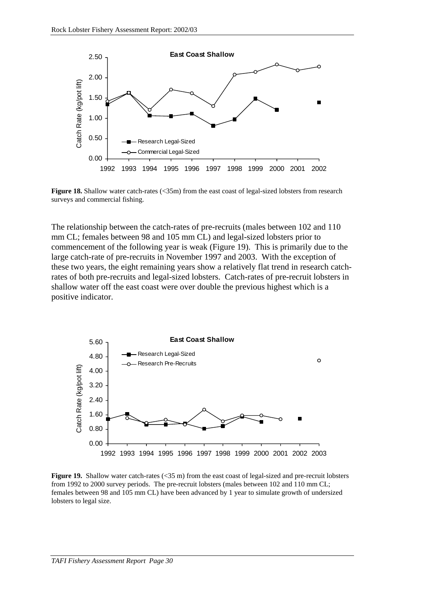<span id="page-37-0"></span>

**Figure 18.** Shallow water catch-rates (<35m) from the east coast of legal-sized lobsters from research surveys and commercial fishing.

The relationship between the catch-rates of pre-recruits (males between 102 and 110 mm CL; females between 98 and 105 mm CL) and legal-sized lobsters prior to commencement of the following year is weak (Figure 19). This is primarily due to the large catch-rate of pre-recruits in November 1997 and 2003. With the exception of these two years, the eight remaining years show a relatively flat trend in research catchrates of both pre-recruits and legal-sized lobsters. Catch-rates of pre-recruit lobsters in shallow water off the east coast were over double the previous highest which is a positive indicator.



**Figure 19.** Shallow water catch-rates (<35 m) from the east coast of legal-sized and pre-recruit lobsters from 1992 to 2000 survey periods. The pre-recruit lobsters (males between 102 and 110 mm CL; females between 98 and 105 mm CL) have been advanced by 1 year to simulate growth of undersized lobsters to legal size.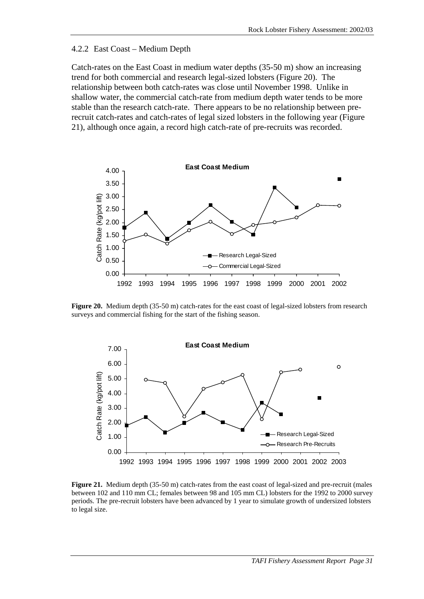#### 4.2.2 East Coast – Medium Depth

Catch-rates on the East Coast in medium water depths (35-50 m) show an increasing trend for both commercial and research legal-sized lobsters (Figure 20). The relationship between both catch-rates was close until November 1998. Unlike in shallow water, the commercial catch-rate from medium depth water tends to be more stable than the research catch-rate. There appears to be no relationship between prerecruit catch-rates and catch-rates of legal sized lobsters in the following year (Figure 21), although once again, a record high catch-rate of pre-recruits was recorded.



**Figure 20.** Medium depth (35-50 m) catch-rates for the east coast of legal-sized lobsters from research surveys and commercial fishing for the start of the fishing season.



**Figure 21.** Medium depth (35-50 m) catch-rates from the east coast of legal-sized and pre-recruit (males between 102 and 110 mm CL; females between 98 and 105 mm CL) lobsters for the 1992 to 2000 survey periods. The pre-recruit lobsters have been advanced by 1 year to simulate growth of undersized lobsters to legal size.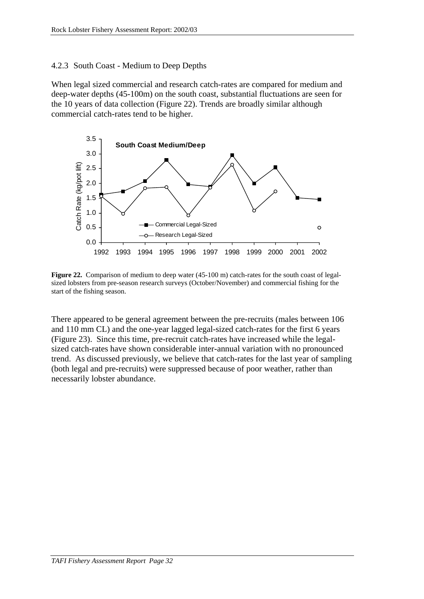## 4.2.3 South Coast - Medium to Deep Depths

When legal sized commercial and research catch-rates are compared for medium and deep-water depths (45-100m) on the south coast, substantial fluctuations are seen for the 10 years of data collection (Figure 22). Trends are broadly similar although commercial catch-rates tend to be higher.



**Figure 22.** Comparison of medium to deep water (45-100 m) catch-rates for the south coast of legalsized lobsters from pre-season research surveys (October/November) and commercial fishing for the start of the fishing season.

There appeared to be general agreement between the pre-recruits (males between 106 and 110 mm CL) and the one-year lagged legal-sized catch-rates for the first 6 years ([Figure 23\)](#page-40-0). Since this time, pre-recruit catch-rates have increased while the legalsized catch-rates have shown considerable inter-annual variation with no pronounced trend. As discussed previously, we believe that catch-rates for the last year of sampling (both legal and pre-recruits) were suppressed because of poor weather, rather than necessarily lobster abundance.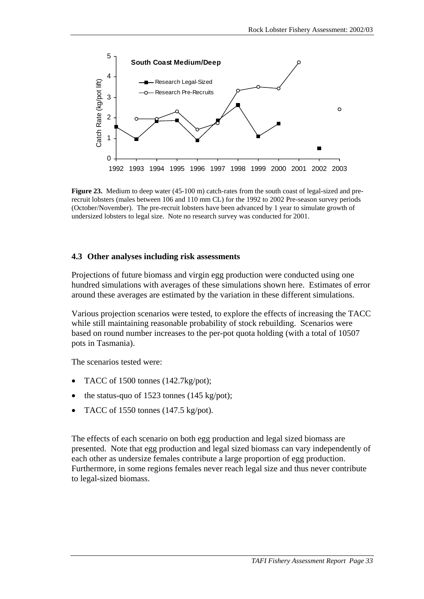<span id="page-40-0"></span>

**Figure 23.** Medium to deep water (45-100 m) catch-rates from the south coast of legal-sized and prerecruit lobsters (males between 106 and 110 mm CL) for the 1992 to 2002 Pre-season survey periods (October/November). The pre-recruit lobsters have been advanced by 1 year to simulate growth of undersized lobsters to legal size. Note no research survey was conducted for 2001.

### **4.3 Other analyses including risk assessments**

Projections of future biomass and virgin egg production were conducted using one hundred simulations with averages of these simulations shown here. Estimates of error around these averages are estimated by the variation in these different simulations.

Various projection scenarios were tested, to explore the effects of increasing the TACC while still maintaining reasonable probability of stock rebuilding. Scenarios were based on round number increases to the per-pot quota holding (with a total of 10507 pots in Tasmania).

The scenarios tested were:

- TACC of 1500 tonnes (142.7kg/pot);
- the status-quo of 1523 tonnes (145 kg/pot);
- TACC of 1550 tonnes (147.5 kg/pot).

The effects of each scenario on both egg production and legal sized biomass are presented. Note that egg production and legal sized biomass can vary independently of each other as undersize females contribute a large proportion of egg production. Furthermore, in some regions females never reach legal size and thus never contribute to legal-sized biomass.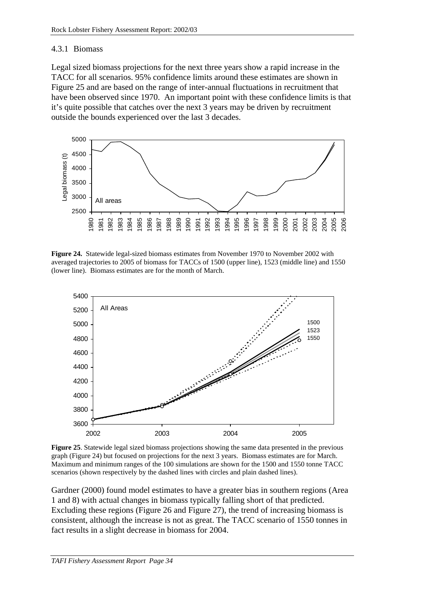### 4.3.1 Biomass

Legal sized biomass projections for the next three years show a rapid increase in the TACC for all scenarios. 95% confidence limits around these estimates are shown in Figure 25 and are based on the range of inter-annual fluctuations in recruitment that have been observed since 1970. An important point with these confidence limits is that it's quite possible that catches over the next 3 years may be driven by recruitment outside the bounds experienced over the last 3 decades.



**Figure 24.** Statewide legal-sized biomass estimates from November 1970 to November 2002 with averaged trajectories to 2005 of biomass for TACCs of 1500 (upper line), 1523 (middle line) and 1550 (lower line). Biomass estimates are for the month of March.



**Figure 25**. Statewide legal sized biomass projections showing the same data presented in the previous graph (Figure 24) but focused on projections for the next 3 years. Biomass estimates are for March. Maximum and minimum ranges of the 100 simulations are shown for the 1500 and 1550 tonne TACC scenarios (shown respectively by the dashed lines with circles and plain dashed lines).

Gardner (2000) found model estimates to have a greater bias in southern regions (Area 1 and 8) with actual changes in biomass typically falling short of that predicted. Excluding these regions [\(Figure 26](#page-43-0) and [Figure 27\)](#page-43-0), the trend of increasing biomass is consistent, although the increase is not as great. The TACC scenario of 1550 tonnes in fact results in a slight decrease in biomass for 2004.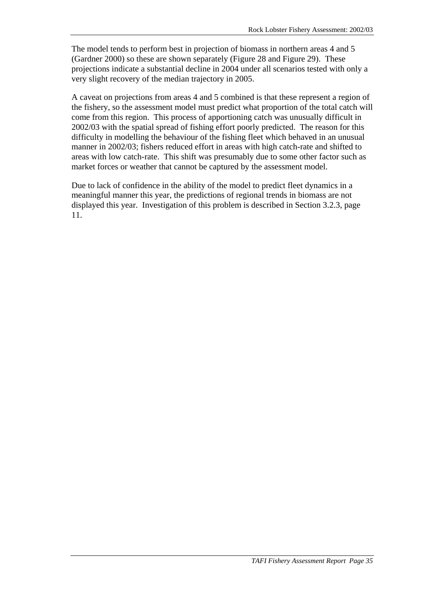The model tends to perform best in projection of biomass in northern areas 4 and 5 (Gardner 2000) so these are shown separately ([Figure 28](#page-44-0) and [Figure 29\)](#page-44-0). These projections indicate a substantial decline in 2004 under all scenarios tested with only a very slight recovery of the median trajectory in 2005.

A caveat on projections from areas 4 and 5 combined is that these represent a region of the fishery, so the assessment model must predict what proportion of the total catch will come from this region. This process of apportioning catch was unusually difficult in 2002/03 with the spatial spread of fishing effort poorly predicted. The reason for this difficulty in modelling the behaviour of the fishing fleet which behaved in an unusual manner in 2002/03; fishers reduced effort in areas with high catch-rate and shifted to areas with low catch-rate. This shift was presumably due to some other factor such as market forces or weather that cannot be captured by the assessment model.

Due to lack of confidence in the ability of the model to predict fleet dynamics in a meaningful manner this year, the predictions of regional trends in biomass are not displayed this year. Investigation of this problem is described in Section [3.2.3,](#page-18-0) page [11.](#page-18-0)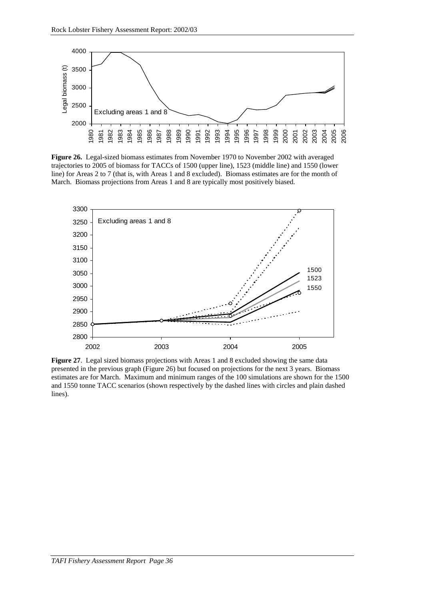<span id="page-43-0"></span>

**Figure 26.** Legal-sized biomass estimates from November 1970 to November 2002 with averaged trajectories to 2005 of biomass for TACCs of 1500 (upper line), 1523 (middle line) and 1550 (lower line) for Areas 2 to 7 (that is, with Areas 1 and 8 excluded). Biomass estimates are for the month of March. Biomass projections from Areas 1 and 8 are typically most positively biased.



**Figure 27**. Legal sized biomass projections with Areas 1 and 8 excluded showing the same data presented in the previous graph (Figure 26) but focused on projections for the next 3 years. Biomass estimates are for March. Maximum and minimum ranges of the 100 simulations are shown for the 1500 and 1550 tonne TACC scenarios (shown respectively by the dashed lines with circles and plain dashed lines).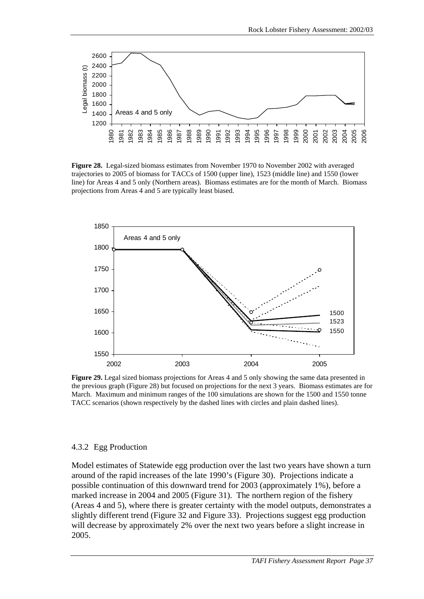<span id="page-44-0"></span>

**Figure 28.** Legal-sized biomass estimates from November 1970 to November 2002 with averaged trajectories to 2005 of biomass for TACCs of 1500 (upper line), 1523 (middle line) and 1550 (lower line) for Areas 4 and 5 only (Northern areas). Biomass estimates are for the month of March. Biomass projections from Areas 4 and 5 are typically least biased.



**Figure 29.** Legal sized biomass projections for Areas 4 and 5 only showing the same data presented in the previous graph (Figure 28) but focused on projections for the next 3 years. Biomass estimates are for March. Maximum and minimum ranges of the 100 simulations are shown for the 1500 and 1550 tonne TACC scenarios (shown respectively by the dashed lines with circles and plain dashed lines).

#### 4.3.2 Egg Production

Model estimates of Statewide egg production over the last two years have shown a turn around of the rapid increases of the late 1990's [\(Figure 30\)](#page-45-0). Projections indicate a possible continuation of this downward trend for 2003 (approximately 1%), before a marked increase in 2004 and 2005 [\(Figure 31\)](#page-45-0). The northern region of the fishery (Areas 4 and 5), where there is greater certainty with the model outputs, demonstrates a slightly different trend [\(Figure 32](#page-46-0) and [Figure 33\)](#page-46-0). Projections suggest egg production will decrease by approximately 2% over the next two years before a slight increase in 2005.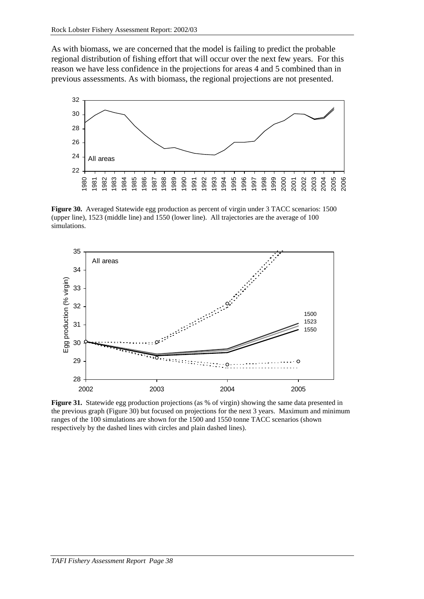<span id="page-45-0"></span>As with biomass, we are concerned that the model is failing to predict the probable regional distribution of fishing effort that will occur over the next few years. For this reason we have less confidence in the projections for areas 4 and 5 combined than in previous assessments. As with biomass, the regional projections are not presented.



**Figure 30.** Averaged Statewide egg production as percent of virgin under 3 TACC scenarios: 1500 (upper line), 1523 (middle line) and 1550 (lower line). All trajectories are the average of 100 simulations.



**Figure 31.** Statewide egg production projections (as % of virgin) showing the same data presented in the previous graph (Figure 30) but focused on projections for the next 3 years. Maximum and minimum ranges of the 100 simulations are shown for the 1500 and 1550 tonne TACC scenarios (shown respectively by the dashed lines with circles and plain dashed lines).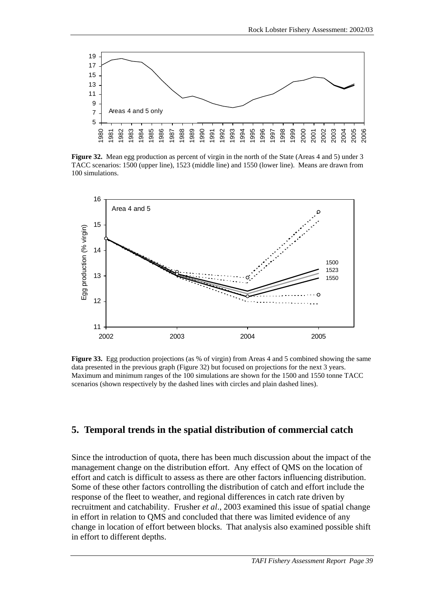<span id="page-46-0"></span>

**Figure 32.** Mean egg production as percent of virgin in the north of the State (Areas 4 and 5) under 3 TACC scenarios: 1500 (upper line), 1523 (middle line) and 1550 (lower line). Means are drawn from 100 simulations.



**Figure 33.** Egg production projections (as % of virgin) from Areas 4 and 5 combined showing the same data presented in the previous graph (Figure 32) but focused on projections for the next 3 years. Maximum and minimum ranges of the 100 simulations are shown for the 1500 and 1550 tonne TACC scenarios (shown respectively by the dashed lines with circles and plain dashed lines).

### **5. Temporal trends in the spatial distribution of commercial catch**

Since the introduction of quota, there has been much discussion about the impact of the management change on the distribution effort. Any effect of QMS on the location of effort and catch is difficult to assess as there are other factors influencing distribution. Some of these other factors controlling the distribution of catch and effort include the response of the fleet to weather, and regional differences in catch rate driven by recruitment and catchability. Frusher *et al*., 2003 examined this issue of spatial change in effort in relation to QMS and concluded that there was limited evidence of any change in location of effort between blocks. That analysis also examined possible shift in effort to different depths.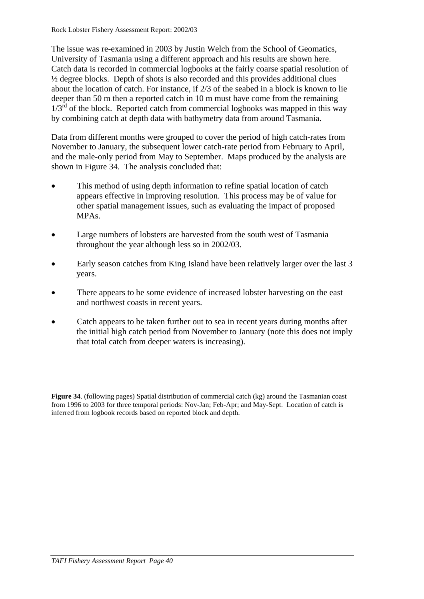The issue was re-examined in 2003 by Justin Welch from the School of Geomatics, University of Tasmania using a different approach and his results are shown here. Catch data is recorded in commercial logbooks at the fairly coarse spatial resolution of ½ degree blocks. Depth of shots is also recorded and this provides additional clues about the location of catch. For instance, if 2/3 of the seabed in a block is known to lie deeper than 50 m then a reported catch in 10 m must have come from the remaining  $1/3^{rd}$  of the block. Reported catch from commercial logbooks was mapped in this way by combining catch at depth data with bathymetry data from around Tasmania.

Data from different months were grouped to cover the period of high catch-rates from November to January, the subsequent lower catch-rate period from February to April, and the male-only period from May to September. Maps produced by the analysis are shown in Figure 34. The analysis concluded that:

- This method of using depth information to refine spatial location of catch appears effective in improving resolution. This process may be of value for other spatial management issues, such as evaluating the impact of proposed MPAs.
- Large numbers of lobsters are harvested from the south west of Tasmania throughout the year although less so in 2002/03.
- Early season catches from King Island have been relatively larger over the last 3 years.
- There appears to be some evidence of increased lobster harvesting on the east and northwest coasts in recent years.
- Catch appears to be taken further out to sea in recent years during months after the initial high catch period from November to January (note this does not imply that total catch from deeper waters is increasing).

**Figure 34**. (following pages) Spatial distribution of commercial catch (kg) around the Tasmanian coast from 1996 to 2003 for three temporal periods: Nov-Jan; Feb-Apr; and May-Sept. Location of catch is inferred from logbook records based on reported block and depth.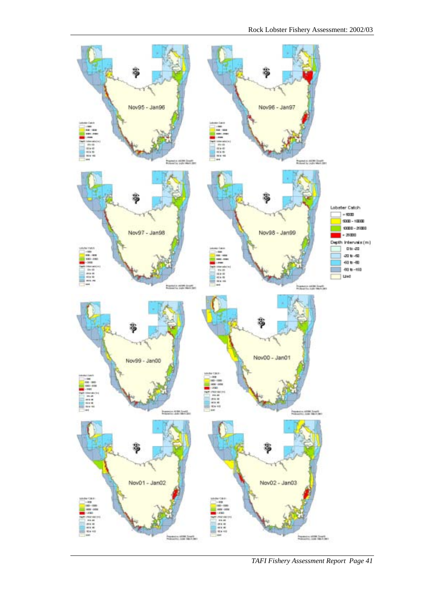

*TAFI Fishery Assessment Report Page 41*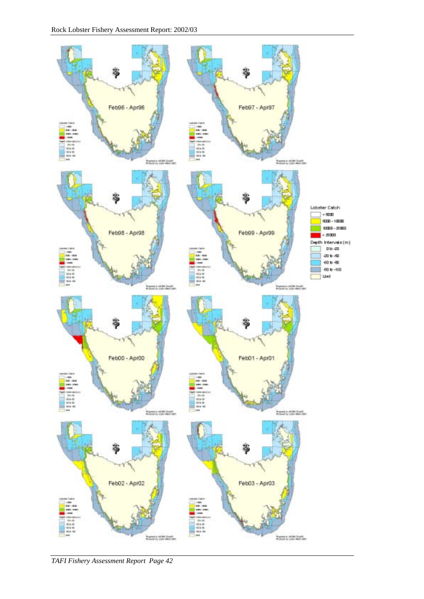

*TAFI Fishery Assessment Report Page 42*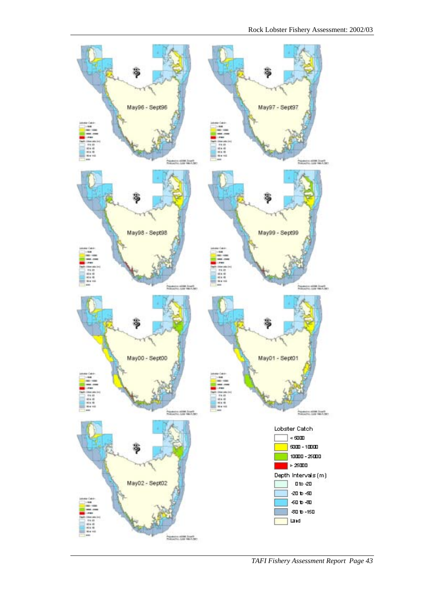

*TAFI Fishery Assessment Report Page 43*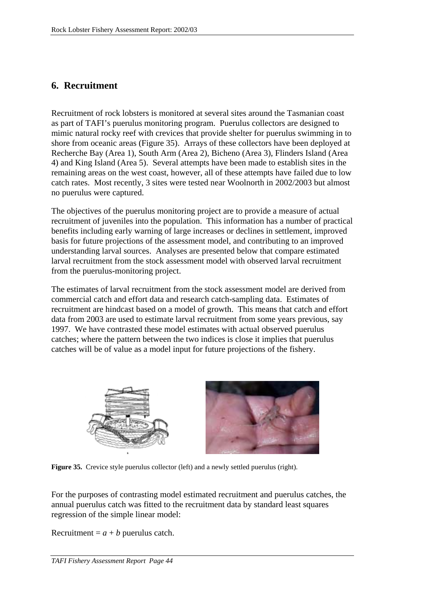# **6. Recruitment**

Recruitment of rock lobsters is monitored at several sites around the Tasmanian coast as part of TAFI's puerulus monitoring program. Puerulus collectors are designed to mimic natural rocky reef with crevices that provide shelter for puerulus swimming in to shore from oceanic areas (Figure 35). Arrays of these collectors have been deployed at Recherche Bay (Area 1), South Arm (Area 2), Bicheno (Area 3), Flinders Island (Area 4) and King Island (Area 5). Several attempts have been made to establish sites in the remaining areas on the west coast, however, all of these attempts have failed due to low catch rates. Most recently, 3 sites were tested near Woolnorth in 2002/2003 but almost no puerulus were captured.

The objectives of the puerulus monitoring project are to provide a measure of actual recruitment of juveniles into the population. This information has a number of practical benefits including early warning of large increases or declines in settlement, improved basis for future projections of the assessment model, and contributing to an improved understanding larval sources. Analyses are presented below that compare estimated larval recruitment from the stock assessment model with observed larval recruitment from the puerulus-monitoring project.

The estimates of larval recruitment from the stock assessment model are derived from commercial catch and effort data and research catch-sampling data. Estimates of recruitment are hindcast based on a model of growth. This means that catch and effort data from 2003 are used to estimate larval recruitment from some years previous, say 1997. We have contrasted these model estimates with actual observed puerulus catches; where the pattern between the two indices is close it implies that puerulus catches will be of value as a model input for future projections of the fishery.





**Figure 35.** Crevice style puerulus collector (left) and a newly settled puerulus (right).

For the purposes of contrasting model estimated recruitment and puerulus catches, the annual puerulus catch was fitted to the recruitment data by standard least squares regression of the simple linear model:

Recruitment =  $a + b$  puerulus catch.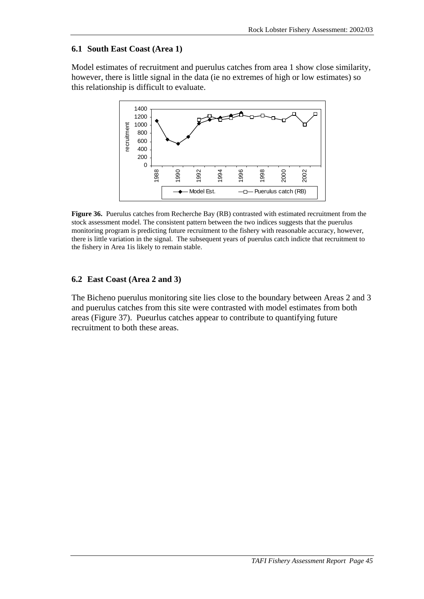### **6.1 South East Coast (Area 1)**

Model estimates of recruitment and puerulus catches from area 1 show close similarity, however, there is little signal in the data (ie no extremes of high or low estimates) so this relationship is difficult to evaluate.



**Figure 36.** Puerulus catches from Recherche Bay (RB) contrasted with estimated recruitment from the stock assessment model. The consistent pattern between the two indices suggests that the puerulus monitoring program is predicting future recruitment to the fishery with reasonable accuracy, however, there is little variation in the signal. The subsequent years of puerulus catch indicte that recruitment to the fishery in Area 1is likely to remain stable.

### **6.2 East Coast (Area 2 and 3)**

The Bicheno puerulus monitoring site lies close to the boundary between Areas 2 and 3 and puerulus catches from this site were contrasted with model estimates from both areas [\(Figure 37\)](#page-53-0). Pueurlus catches appear to contribute to quantifying future recruitment to both these areas.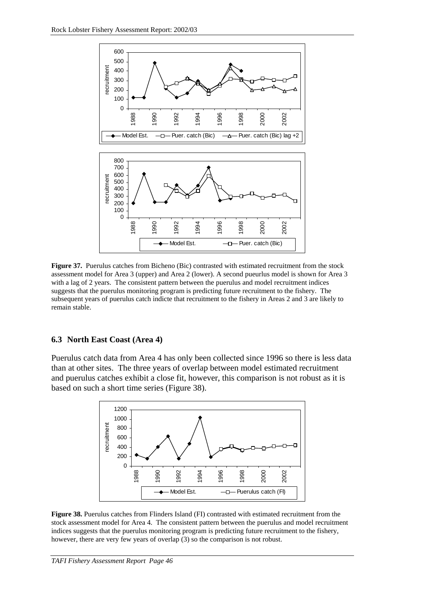<span id="page-53-0"></span>

**Figure 37.** Puerulus catches from Bicheno (Bic) contrasted with estimated recruitment from the stock assessment model for Area 3 (upper) and Area 2 (lower). A second pueurlus model is shown for Area 3 with a lag of 2 years. The consistent pattern between the puerulus and model recruitment indices suggests that the puerulus monitoring program is predicting future recruitment to the fishery. The subsequent years of puerulus catch indicte that recruitment to the fishery in Areas 2 and 3 are likely to remain stable.

#### **6.3 North East Coast (Area 4)**

Puerulus catch data from Area 4 has only been collected since 1996 so there is less data than at other sites. The three years of overlap between model estimated recruitment and puerulus catches exhibit a close fit, however, this comparison is not robust as it is based on such a short time series (Figure 38).



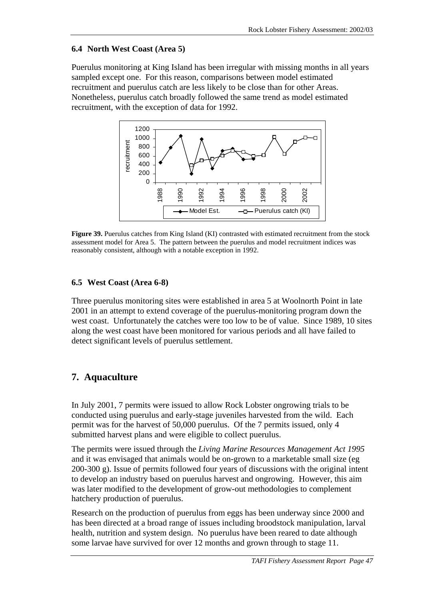### **6.4 North West Coast (Area 5)**

Puerulus monitoring at King Island has been irregular with missing months in all years sampled except one. For this reason, comparisons between model estimated recruitment and puerulus catch are less likely to be close than for other Areas. Nonetheless, puerulus catch broadly followed the same trend as model estimated recruitment, with the exception of data for 1992.



**Figure 39.** Puerulus catches from King Island (KI) contrasted with estimated recruitment from the stock assessment model for Area 5. The pattern between the puerulus and model recruitment indices was reasonably consistent, although with a notable exception in 1992.

### **6.5 West Coast (Area 6-8)**

Three puerulus monitoring sites were established in area 5 at Woolnorth Point in late 2001 in an attempt to extend coverage of the puerulus-monitoring program down the west coast. Unfortunately the catches were too low to be of value. Since 1989, 10 sites along the west coast have been monitored for various periods and all have failed to detect significant levels of puerulus settlement.

# **7. Aquaculture**

In July 2001, 7 permits were issued to allow Rock Lobster ongrowing trials to be conducted using puerulus and early-stage juveniles harvested from the wild. Each permit was for the harvest of 50,000 puerulus. Of the 7 permits issued, only 4 submitted harvest plans and were eligible to collect puerulus.

The permits were issued through the *Living Marine Resources Management Act 1995* and it was envisaged that animals would be on-grown to a marketable small size (eg 200-300 g). Issue of permits followed four years of discussions with the original intent to develop an industry based on puerulus harvest and ongrowing. However, this aim was later modified to the development of grow-out methodologies to complement hatchery production of puerulus.

Research on the production of puerulus from eggs has been underway since 2000 and has been directed at a broad range of issues including broodstock manipulation, larval health, nutrition and system design. No puerulus have been reared to date although some larvae have survived for over 12 months and grown through to stage 11.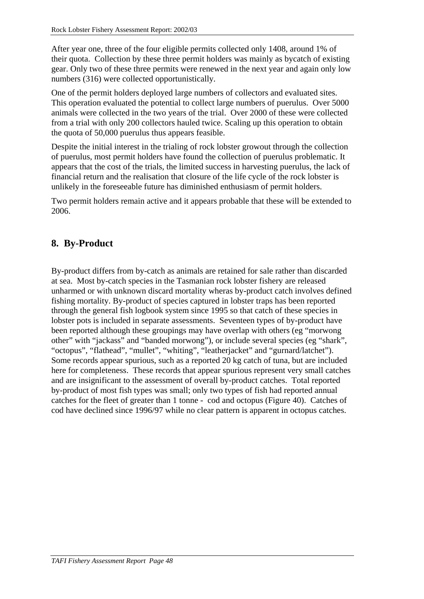After year one, three of the four eligible permits collected only 1408, around 1% of their quota. Collection by these three permit holders was mainly as bycatch of existing gear. Only two of these three permits were renewed in the next year and again only low numbers (316) were collected opportunistically.

One of the permit holders deployed large numbers of collectors and evaluated sites. This operation evaluated the potential to collect large numbers of puerulus. Over 5000 animals were collected in the two years of the trial. Over 2000 of these were collected from a trial with only 200 collectors hauled twice. Scaling up this operation to obtain the quota of 50,000 puerulus thus appears feasible.

Despite the initial interest in the trialing of rock lobster growout through the collection of puerulus, most permit holders have found the collection of puerulus problematic. It appears that the cost of the trials, the limited success in harvesting puerulus, the lack of financial return and the realisation that closure of the life cycle of the rock lobster is unlikely in the foreseeable future has diminished enthusiasm of permit holders.

Two permit holders remain active and it appears probable that these will be extended to 2006.

# **8. By-Product**

By-product differs from by-catch as animals are retained for sale rather than discarded at sea. Most by-catch species in the Tasmanian rock lobster fishery are released unharmed or with unknown discard mortality wheras by-product catch involves defined fishing mortality. By-product of species captured in lobster traps has been reported through the general fish logbook system since 1995 so that catch of these species in lobster pots is included in separate assessments. Seventeen types of by-product have been reported although these groupings may have overlap with others (eg "morwong other" with "jackass" and "banded morwong"), or include several species (eg "shark", "octopus", "flathead", "mullet", "whiting", "leatherjacket" and "gurnard/latchet"). Some records appear spurious, such as a reported 20 kg catch of tuna, but are included here for completeness. These records that appear spurious represent very small catches and are insignificant to the assessment of overall by-product catches. Total reported by-product of most fish types was small; only two types of fish had reported annual catches for the fleet of greater than 1 tonne - cod and octopus ([Figure 40\)](#page-56-0). Catches of cod have declined since 1996/97 while no clear pattern is apparent in octopus catches.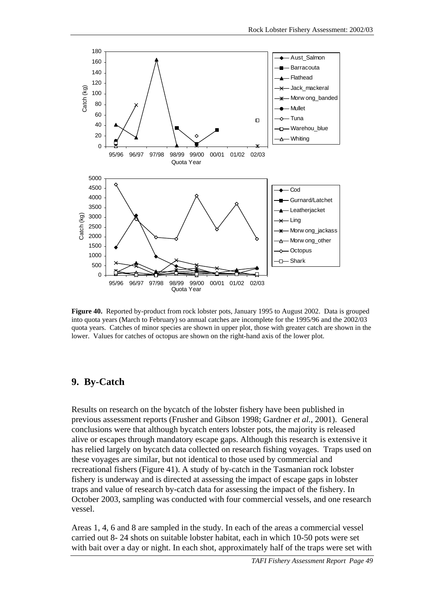<span id="page-56-0"></span>

**Figure 40.** Reported by-product from rock lobster pots, January 1995 to August 2002. Data is grouped into quota years (March to February) so annual catches are incomplete for the 1995/96 and the 2002/03 quota years. Catches of minor species are shown in upper plot, those with greater catch are shown in the lower. Values for catches of octopus are shown on the right-hand axis of the lower plot.

## **9. By-Catch**

Results on research on the bycatch of the lobster fishery have been published in previous assessment reports (Frusher and Gibson 1998; Gardner *et al.*, 2001). General conclusions were that although bycatch enters lobster pots, the majority is released alive or escapes through mandatory escape gaps. Although this research is extensive it has relied largely on bycatch data collected on research fishing voyages. Traps used on these voyages are similar, but not identical to those used by commercial and recreational fishers [\(Figure 41\)](#page-57-0). A study of by-catch in the Tasmanian rock lobster fishery is underway and is directed at assessing the impact of escape gaps in lobster traps and value of research by-catch data for assessing the impact of the fishery. In October 2003, sampling was conducted with four commercial vessels, and one research vessel.

Areas 1, 4, 6 and 8 are sampled in the study. In each of the areas a commercial vessel carried out 8- 24 shots on suitable lobster habitat, each in which 10-50 pots were set with bait over a day or night. In each shot, approximately half of the traps were set with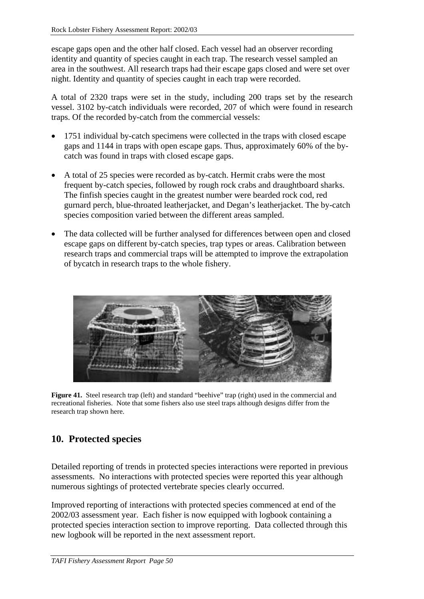<span id="page-57-0"></span>escape gaps open and the other half closed. Each vessel had an observer recording identity and quantity of species caught in each trap. The research vessel sampled an area in the southwest. All research traps had their escape gaps closed and were set over night. Identity and quantity of species caught in each trap were recorded.

A total of 2320 traps were set in the study, including 200 traps set by the research vessel. 3102 by-catch individuals were recorded, 207 of which were found in research traps. Of the recorded by-catch from the commercial vessels:

- 1751 individual by-catch specimens were collected in the traps with closed escape gaps and 1144 in traps with open escape gaps. Thus, approximately 60% of the bycatch was found in traps with closed escape gaps.
- A total of 25 species were recorded as by-catch. Hermit crabs were the most frequent by-catch species, followed by rough rock crabs and draughtboard sharks. The finfish species caught in the greatest number were bearded rock cod, red gurnard perch, blue-throated leatherjacket, and Degan's leatherjacket. The by-catch species composition varied between the different areas sampled.
- The data collected will be further analysed for differences between open and closed escape gaps on different by-catch species, trap types or areas. Calibration between research traps and commercial traps will be attempted to improve the extrapolation of bycatch in research traps to the whole fishery.



**Figure 41.** Steel research trap (left) and standard "beehive" trap (right) used in the commercial and recreational fisheries. Note that some fishers also use steel traps although designs differ from the research trap shown here.

# **10. Protected species**

Detailed reporting of trends in protected species interactions were reported in previous assessments. No interactions with protected species were reported this year although numerous sightings of protected vertebrate species clearly occurred.

Improved reporting of interactions with protected species commenced at end of the 2002/03 assessment year. Each fisher is now equipped with logbook containing a protected species interaction section to improve reporting. Data collected through this new logbook will be reported in the next assessment report.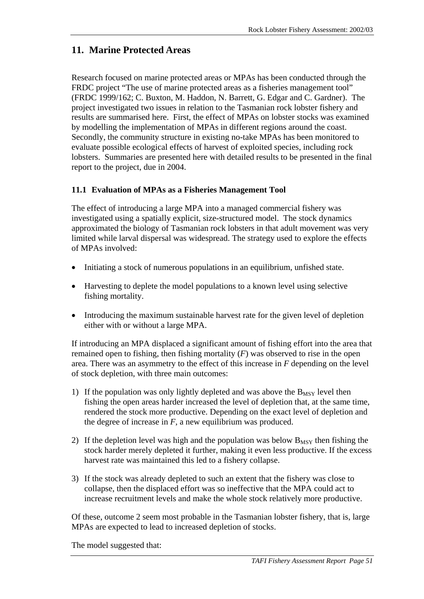# **11. Marine Protected Areas**

Research focused on marine protected areas or MPAs has been conducted through the FRDC project "The use of marine protected areas as a fisheries management tool" (FRDC 1999/162; C. Buxton, M. Haddon, N. Barrett, G. Edgar and C. Gardner). The project investigated two issues in relation to the Tasmanian rock lobster fishery and results are summarised here. First, the effect of MPAs on lobster stocks was examined by modelling the implementation of MPAs in different regions around the coast. Secondly, the community structure in existing no-take MPAs has been monitored to evaluate possible ecological effects of harvest of exploited species, including rock lobsters. Summaries are presented here with detailed results to be presented in the final report to the project, due in 2004.

## **11.1 Evaluation of MPAs as a Fisheries Management Tool**

The effect of introducing a large MPA into a managed commercial fishery was investigated using a spatially explicit, size-structured model. The stock dynamics approximated the biology of Tasmanian rock lobsters in that adult movement was very limited while larval dispersal was widespread. The strategy used to explore the effects of MPAs involved:

- Initiating a stock of numerous populations in an equilibrium, unfished state.
- Harvesting to deplete the model populations to a known level using selective fishing mortality.
- Introducing the maximum sustainable harvest rate for the given level of depletion either with or without a large MPA.

If introducing an MPA displaced a significant amount of fishing effort into the area that remained open to fishing, then fishing mortality (*F*) was observed to rise in the open area. There was an asymmetry to the effect of this increase in *F* depending on the level of stock depletion, with three main outcomes:

- 1) If the population was only lightly depleted and was above the  $B_{MSY}$  level then fishing the open areas harder increased the level of depletion that, at the same time, rendered the stock more productive. Depending on the exact level of depletion and the degree of increase in *F*, a new equilibrium was produced.
- 2) If the depletion level was high and the population was below  $B_{MSY}$  then fishing the stock harder merely depleted it further, making it even less productive. If the excess harvest rate was maintained this led to a fishery collapse.
- 3) If the stock was already depleted to such an extent that the fishery was close to collapse, then the displaced effort was so ineffective that the MPA could act to increase recruitment levels and make the whole stock relatively more productive.

Of these, outcome 2 seem most probable in the Tasmanian lobster fishery, that is, large MPAs are expected to lead to increased depletion of stocks.

The model suggested that: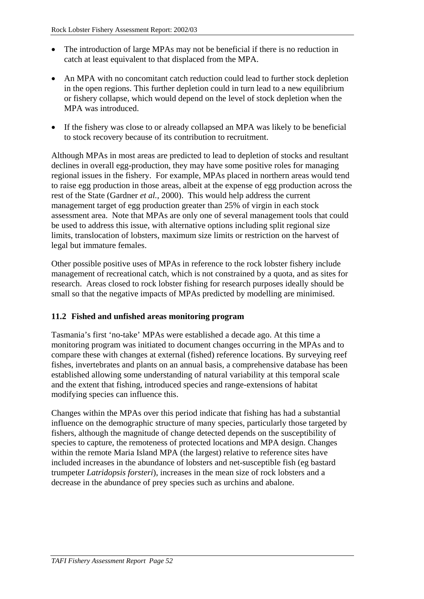- The introduction of large MPAs may not be beneficial if there is no reduction in catch at least equivalent to that displaced from the MPA.
- An MPA with no concomitant catch reduction could lead to further stock depletion in the open regions. This further depletion could in turn lead to a new equilibrium or fishery collapse, which would depend on the level of stock depletion when the MPA was introduced.
- If the fishery was close to or already collapsed an MPA was likely to be beneficial to stock recovery because of its contribution to recruitment.

Although MPAs in most areas are predicted to lead to depletion of stocks and resultant declines in overall egg-production, they may have some positive roles for managing regional issues in the fishery. For example, MPAs placed in northern areas would tend to raise egg production in those areas, albeit at the expense of egg production across the rest of the State (Gardner *et al.,* 2000). This would help address the current management target of egg production greater than 25% of virgin in each stock assessment area. Note that MPAs are only one of several management tools that could be used to address this issue, with alternative options including split regional size limits, translocation of lobsters, maximum size limits or restriction on the harvest of legal but immature females.

Other possible positive uses of MPAs in reference to the rock lobster fishery include management of recreational catch, which is not constrained by a quota, and as sites for research. Areas closed to rock lobster fishing for research purposes ideally should be small so that the negative impacts of MPAs predicted by modelling are minimised.

## **11.2 Fished and unfished areas monitoring program**

Tasmania's first 'no-take' MPAs were established a decade ago. At this time a monitoring program was initiated to document changes occurring in the MPAs and to compare these with changes at external (fished) reference locations. By surveying reef fishes, invertebrates and plants on an annual basis, a comprehensive database has been established allowing some understanding of natural variability at this temporal scale and the extent that fishing, introduced species and range-extensions of habitat modifying species can influence this.

Changes within the MPAs over this period indicate that fishing has had a substantial influence on the demographic structure of many species, particularly those targeted by fishers, although the magnitude of change detected depends on the susceptibility of species to capture, the remoteness of protected locations and MPA design. Changes within the remote Maria Island MPA (the largest) relative to reference sites have included increases in the abundance of lobsters and net-susceptible fish (eg bastard trumpeter *Latridopsis forsteri*), increases in the mean size of rock lobsters and a decrease in the abundance of prey species such as urchins and abalone.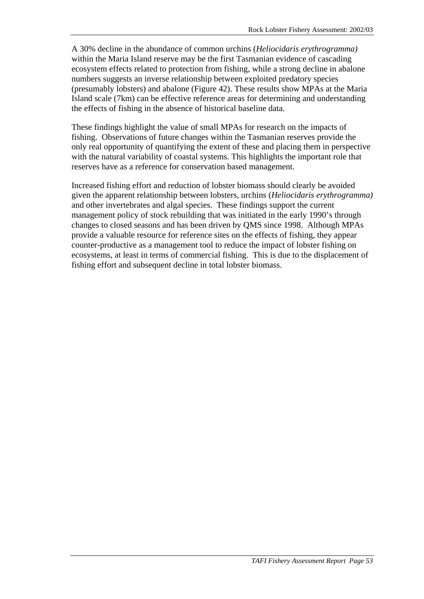A 30% decline in the abundance of common urchins (*Heliocidaris erythrogramma)* within the Maria Island reserve may be the first Tasmanian evidence of cascading ecosystem effects related to protection from fishing, while a strong decline in abalone numbers suggests an inverse relationship between exploited predatory species (presumably lobsters) and abalone [\(Figure 42\)](#page-61-0). These results show MPAs at the Maria Island scale (7km) can be effective reference areas for determining and understanding the effects of fishing in the absence of historical baseline data.

These findings highlight the value of small MPAs for research on the impacts of fishing. Observations of future changes within the Tasmanian reserves provide the only real opportunity of quantifying the extent of these and placing them in perspective with the natural variability of coastal systems. This highlights the important role that reserves have as a reference for conservation based management.

Increased fishing effort and reduction of lobster biomass should clearly be avoided given the apparent relationship between lobsters, urchins (*Heliocidaris erythrogramma)* and other invertebrates and algal species. These findings support the current management policy of stock rebuilding that was initiated in the early 1990's through changes to closed seasons and has been driven by QMS since 1998. Although MPAs provide a valuable resource for reference sites on the effects of fishing, they appear counter-productive as a management tool to reduce the impact of lobster fishing on ecosystems, at least in terms of commercial fishing. This is due to the displacement of fishing effort and subsequent decline in total lobster biomass.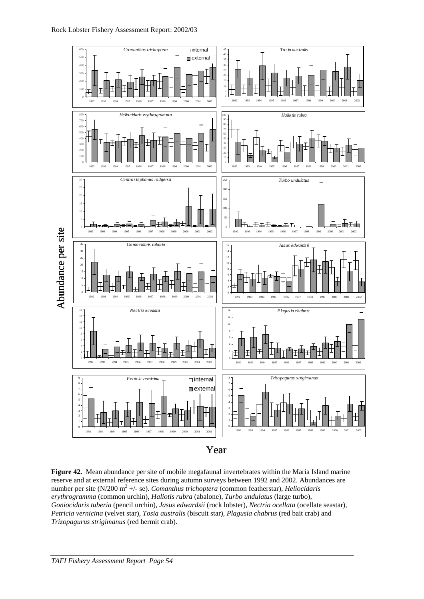<span id="page-61-0"></span>

**Figure 42.** Mean abundance per site of mobile megafaunal invertebrates within the Maria Island marine reserve and at external reference sites during autumn surveys between 1992 and 2002. Abundances are number per site (N/200 m<sup>2</sup> +/- se). *Comanthus trichoptera* (common featherstar), *Heliocidaris erythrogramma* (common urchin), *Haliotis rubra* (abalone), *Turbo undulatus* (large turbo), *Goniocidaris tuberia* (pencil urchin), *Jasus edwardsii* (rock lobster), *Nectria ocellata* (ocellate seastar), *Petricia vernicina* (velvet star), *Tosia australis* (biscuit star), *Plagusia chabrus* (red bait crab) and *Trizopagurus strigimanus* (red hermit crab).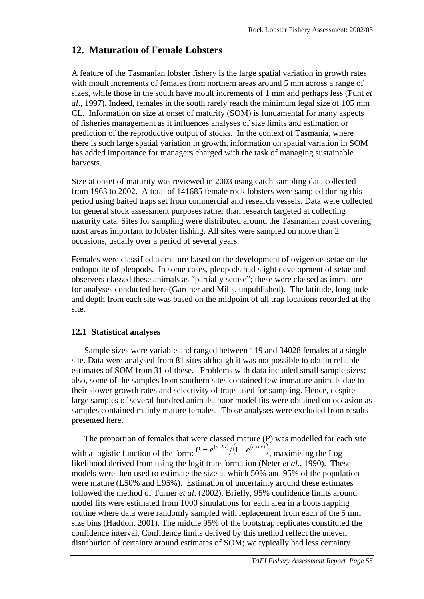# **12. Maturation of Female Lobsters**

A feature of the Tasmanian lobster fishery is the large spatial variation in growth rates with moult increments of females from northern areas around 5 mm across a range of sizes, while those in the south have moult increments of 1 mm and perhaps less (Punt *et al*., 1997). Indeed, females in the south rarely reach the minimum legal size of 105 mm CL. Information on size at onset of maturity (SOM) is fundamental for many aspects of fisheries management as it influences analyses of size limits and estimation or prediction of the reproductive output of stocks. In the context of Tasmania, where there is such large spatial variation in growth, information on spatial variation in SOM has added importance for managers charged with the task of managing sustainable harvests.

Size at onset of maturity was reviewed in 2003 using catch sampling data collected from 1963 to 2002. A total of 141685 female rock lobsters were sampled during this period using baited traps set from commercial and research vessels. Data were collected for general stock assessment purposes rather than research targeted at collecting maturity data. Sites for sampling were distributed around the Tasmanian coast covering most areas important to lobster fishing. All sites were sampled on more than 2 occasions, usually over a period of several years.

Females were classified as mature based on the development of ovigerous setae on the endopodite of pleopods. In some cases, pleopods had slight development of setae and observers classed these animals as "partially setose"; these were classed as immature for analyses conducted here (Gardner and Mills, unpublished). The latitude, longitude and depth from each site was based on the midpoint of all trap locations recorded at the site.

### **12.1 Statistical analyses**

Sample sizes were variable and ranged between 119 and 34028 females at a single site. Data were analysed from 81 sites although it was not possible to obtain reliable estimates of SOM from 31 of these. Problems with data included small sample sizes; also, some of the samples from southern sites contained few immature animals due to their slower growth rates and selectivity of traps used for sampling. Hence, despite large samples of several hundred animals, poor model fits were obtained on occasion as samples contained mainly mature females. Those analyses were excluded from results presented here.

The proportion of females that were classed mature (P) was modelled for each site with a logistic function of the form:  $P = e^{(a+bx)}/(1 + e^{(a+bx)})$ , maximising the Log likelihood derived from using the logit transformation (Neter *et al*., 1990). These models were then used to estimate the size at which 50% and 95% of the population were mature (L50% and L95%). Estimation of uncertainty around these estimates followed the method of Turner *et al*. (2002). Briefly, 95% confidence limits around model fits were estimated from 1000 simulations for each area in a bootstrapping routine where data were randomly sampled with replacement from each of the 5 mm size bins (Haddon, 2001). The middle 95% of the bootstrap replicates constituted the confidence interval. Confidence limits derived by this method reflect the uneven distribution of certainty around estimates of SOM; we typically had less certainty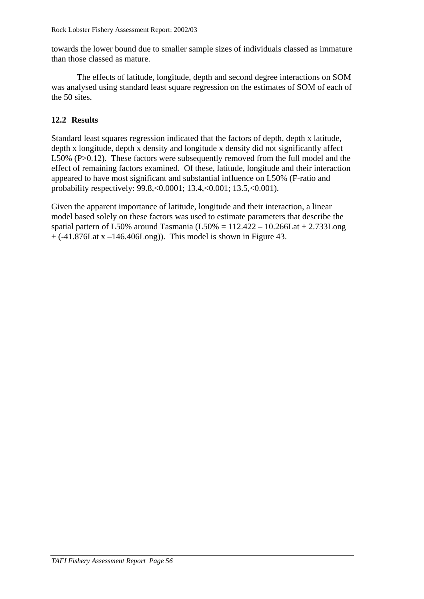towards the lower bound due to smaller sample sizes of individuals classed as immature than those classed as mature.

The effects of latitude, longitude, depth and second degree interactions on SOM was analysed using standard least square regression on the estimates of SOM of each of the 50 sites.

## **12.2 Results**

Standard least squares regression indicated that the factors of depth, depth x latitude, depth x longitude, depth x density and longitude x density did not significantly affect L50% (P>0.12). These factors were subsequently removed from the full model and the effect of remaining factors examined. Of these, latitude, longitude and their interaction appeared to have most significant and substantial influence on L50% (F-ratio and probability respectively: 99.8,<0.0001; 13.4,<0.001; 13.5,<0.001).

Given the apparent importance of latitude, longitude and their interaction, a linear model based solely on these factors was used to estimate parameters that describe the spatial pattern of L50% around Tasmania (L50% =  $112.422 - 10.266$ Lat + 2.733Long  $+$  (-41.876Lat x –146.406Long)). This model is shown in [Figure 43.](#page-64-0)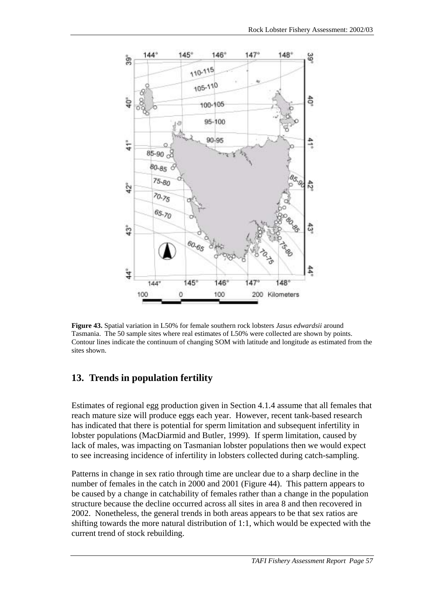<span id="page-64-0"></span>

**Figure 43.** Spatial variation in L50% for female southern rock lobsters *Jasus edwardsii* around Tasmania. The 50 sample sites where real estimates of L50% were collected are shown by points. Contour lines indicate the continuum of changing SOM with latitude and longitude as estimated from the sites shown.

# **13. Trends in population fertility**

Estimates of regional egg production given in Section [4.1.4](#page-28-0) assume that all females that reach mature size will produce eggs each year. However, recent tank-based research has indicated that there is potential for sperm limitation and subsequent infertility in lobster populations (MacDiarmid and Butler, 1999). If sperm limitation, caused by lack of males, was impacting on Tasmanian lobster populations then we would expect to see increasing incidence of infertility in lobsters collected during catch-sampling.

Patterns in change in sex ratio through time are unclear due to a sharp decline in the number of females in the catch in 2000 and 2001 [\(Figure 44\)](#page-65-0). This pattern appears to be caused by a change in catchability of females rather than a change in the population structure because the decline occurred across all sites in area 8 and then recovered in 2002. Nonetheless, the general trends in both areas appears to be that sex ratios are shifting towards the more natural distribution of 1:1, which would be expected with the current trend of stock rebuilding.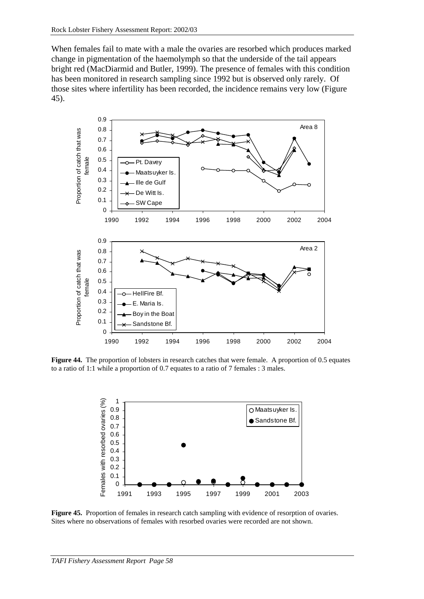<span id="page-65-0"></span>When females fail to mate with a male the ovaries are resorbed which produces marked change in pigmentation of the haemolymph so that the underside of the tail appears bright red (MacDiarmid and Butler, 1999). The presence of females with this condition has been monitored in research sampling since 1992 but is observed only rarely. Of those sites where infertility has been recorded, the incidence remains very low (Figure 45).



**Figure 44.** The proportion of lobsters in research catches that were female. A proportion of 0.5 equates to a ratio of 1:1 while a proportion of 0.7 equates to a ratio of 7 females : 3 males.



**Figure 45.** Proportion of females in research catch sampling with evidence of resorption of ovaries. Sites where no observations of females with resorbed ovaries were recorded are not shown.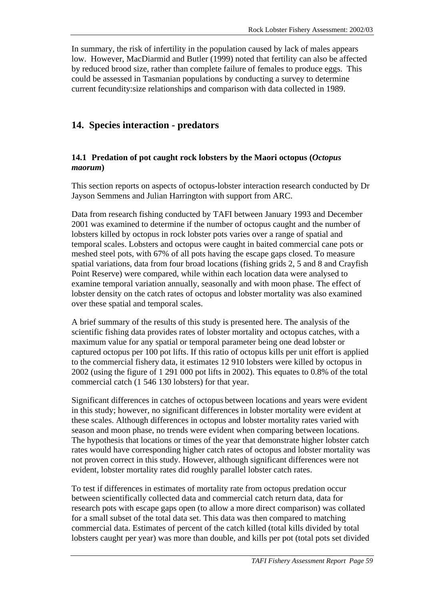In summary, the risk of infertility in the population caused by lack of males appears low. However, MacDiarmid and Butler (1999) noted that fertility can also be affected by reduced brood size, rather than complete failure of females to produce eggs. This could be assessed in Tasmanian populations by conducting a survey to determine current fecundity:size relationships and comparison with data collected in 1989.

# **14. Species interaction - predators**

## **14.1 Predation of pot caught rock lobsters by the Maori octopus (***Octopus maorum***)**

This section reports on aspects of octopus-lobster interaction research conducted by Dr Jayson Semmens and Julian Harrington with support from ARC.

Data from research fishing conducted by TAFI between January 1993 and December 2001 was examined to determine if the number of octopus caught and the number of lobsters killed by octopus in rock lobster pots varies over a range of spatial and temporal scales. Lobsters and octopus were caught in baited commercial cane pots or meshed steel pots, with 67% of all pots having the escape gaps closed. To measure spatial variations, data from four broad locations (fishing grids 2, 5 and 8 and Crayfish Point Reserve) were compared, while within each location data were analysed to examine temporal variation annually, seasonally and with moon phase. The effect of lobster density on the catch rates of octopus and lobster mortality was also examined over these spatial and temporal scales.

A brief summary of the results of this study is presented here. The analysis of the scientific fishing data provides rates of lobster mortality and octopus catches, with a maximum value for any spatial or temporal parameter being one dead lobster or captured octopus per 100 pot lifts. If this ratio of octopus kills per unit effort is applied to the commercial fishery data, it estimates 12 910 lobsters were killed by octopus in 2002 (using the figure of 1 291 000 pot lifts in 2002). This equates to 0.8% of the total commercial catch (1 546 130 lobsters) for that year.

Significant differences in catches of octopus between locations and years were evident in this study; however, no significant differences in lobster mortality were evident at these scales. Although differences in octopus and lobster mortality rates varied with season and moon phase, no trends were evident when comparing between locations. The hypothesis that locations or times of the year that demonstrate higher lobster catch rates would have corresponding higher catch rates of octopus and lobster mortality was not proven correct in this study. However, although significant differences were not evident, lobster mortality rates did roughly parallel lobster catch rates.

To test if differences in estimates of mortality rate from octopus predation occur between scientifically collected data and commercial catch return data, data for research pots with escape gaps open (to allow a more direct comparison) was collated for a small subset of the total data set. This data was then compared to matching commercial data. Estimates of percent of the catch killed (total kills divided by total lobsters caught per year) was more than double, and kills per pot (total pots set divided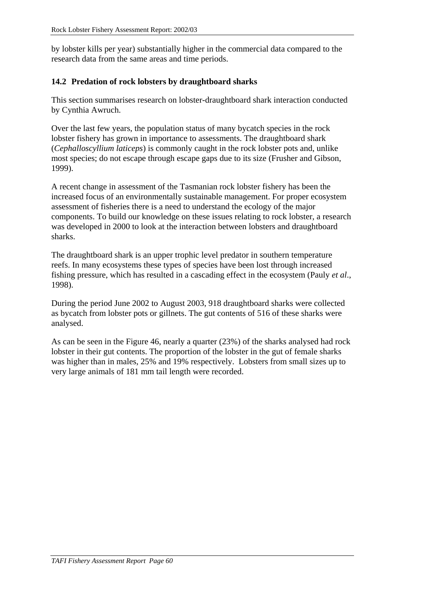by lobster kills per year) substantially higher in the commercial data compared to the research data from the same areas and time periods.

## **14.2 Predation of rock lobsters by draughtboard sharks**

This section summarises research on lobster-draughtboard shark interaction conducted by Cynthia Awruch.

Over the last few years, the population status of many bycatch species in the rock lobster fishery has grown in importance to assessments. The draughtboard shark (*Cephalloscyllium laticeps*) is commonly caught in the rock lobster pots and, unlike most species; do not escape through escape gaps due to its size (Frusher and Gibson, 1999).

A recent change in assessment of the Tasmanian rock lobster fishery has been the increased focus of an environmentally sustainable management. For proper ecosystem assessment of fisheries there is a need to understand the ecology of the major components. To build our knowledge on these issues relating to rock lobster, a research was developed in 2000 to look at the interaction between lobsters and draughtboard sharks.

The draughtboard shark is an upper trophic level predator in southern temperature reefs. In many ecosystems these types of species have been lost through increased fishing pressure, which has resulted in a cascading effect in the ecosystem (Pauly *et al*., 1998).

During the period June 2002 to August 2003, 918 draughtboard sharks were collected as bycatch from lobster pots or gillnets. The gut contents of 516 of these sharks were analysed.

As can be seen in the [Figure 46,](#page-68-0) nearly a quarter (23%) of the sharks analysed had rock lobster in their gut contents. The proportion of the lobster in the gut of female sharks was higher than in males, 25% and 19% respectively. Lobsters from small sizes up to very large animals of 181 mm tail length were recorded.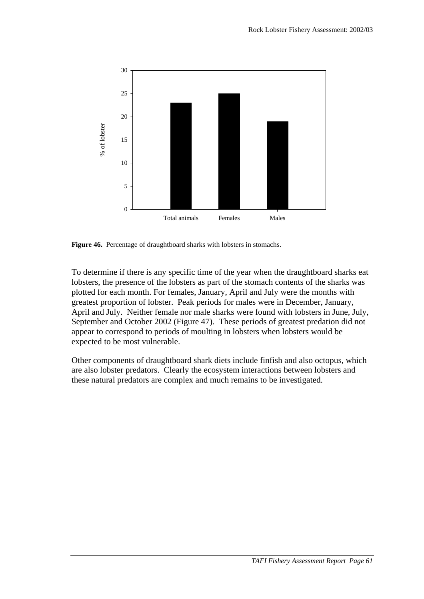<span id="page-68-0"></span>

**Figure 46.** Percentage of draughtboard sharks with lobsters in stomachs.

To determine if there is any specific time of the year when the draughtboard sharks eat lobsters, the presence of the lobsters as part of the stomach contents of the sharks was plotted for each month. For females, January, April and July were the months with greatest proportion of lobster. Peak periods for males were in December, January, April and July. Neither female nor male sharks were found with lobsters in June, July, September and October 2002 [\(Figure 47\)](#page-69-0). These periods of greatest predation did not appear to correspond to periods of moulting in lobsters when lobsters would be expected to be most vulnerable.

Other components of draughtboard shark diets include finfish and also octopus, which are also lobster predators. Clearly the ecosystem interactions between lobsters and these natural predators are complex and much remains to be investigated.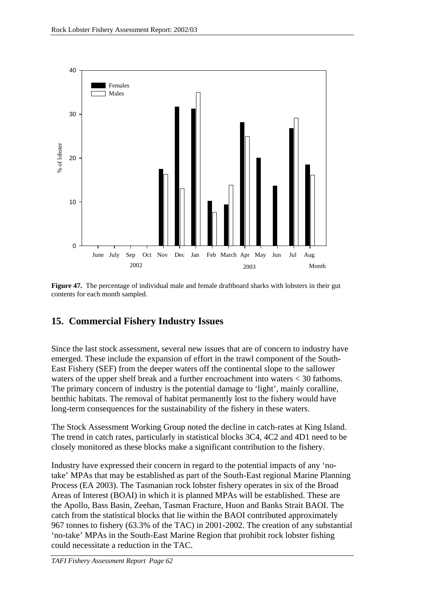<span id="page-69-0"></span>

**Figure 47.** The percentage of individual male and female draftboard sharks with lobsters in their gut contents for each month sampled.

# **15. Commercial Fishery Industry Issues**

Since the last stock assessment, several new issues that are of concern to industry have emerged. These include the expansion of effort in the trawl component of the South-East Fishery (SEF) from the deeper waters off the continental slope to the sallower waters of the upper shelf break and a further encroachment into waters < 30 fathoms. The primary concern of industry is the potential damage to 'light', mainly coralline, benthic habitats. The removal of habitat permanently lost to the fishery would have long-term consequences for the sustainability of the fishery in these waters.

The Stock Assessment Working Group noted the decline in catch-rates at King Island. The trend in catch rates, particularly in statistical blocks 3C4, 4C2 and 4D1 need to be closely monitored as these blocks make a significant contribution to the fishery.

Industry have expressed their concern in regard to the potential impacts of any 'notake' MPAs that may be established as part of the South-East regional Marine Planning Process (EA 2003). The Tasmanian rock lobster fishery operates in six of the Broad Areas of Interest (BOAI) in which it is planned MPAs will be established. These are the Apollo, Bass Basin, Zeehan, Tasman Fracture, Huon and Banks Strait BAOI. The catch from the statistical blocks that lie within the BAOI contributed approximately 967 tonnes to fishery (63.3% of the TAC) in 2001-2002. The creation of any substantial 'no-take' MPAs in the South-East Marine Region that prohibit rock lobster fishing could necessitate a reduction in the TAC.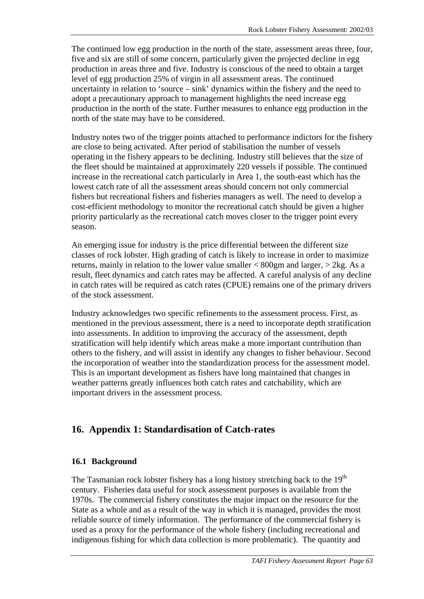The continued low egg production in the north of the state, assessment areas three, four, five and six are still of some concern, particularly given the projected decline in egg production in areas three and five. Industry is conscious of the need to obtain a target level of egg production 25% of virgin in all assessment areas. The continued uncertainty in relation to 'source – sink' dynamics within the fishery and the need to adopt a precautionary approach to management highlights the need increase egg production in the north of the state. Further measures to enhance egg production in the north of the state may have to be considered.

Industry notes two of the trigger points attached to performance indictors for the fishery are close to being activated. After period of stabilisation the number of vessels operating in the fishery appears to be declining. Industry still believes that the size of the fleet should be maintained at approximately 220 vessels if possible. The continued increase in the recreational catch particularly in Area 1, the south-east which has the lowest catch rate of all the assessment areas should concern not only commercial fishers but recreational fishers and fisheries managers as well. The need to develop a cost-efficient methodology to monitor the recreational catch should be given a higher priority particularly as the recreational catch moves closer to the trigger point every season.

An emerging issue for industry is the price differential between the different size classes of rock lobster. High grading of catch is likely to increase in order to maximize returns, mainly in relation to the lower value smaller < 800gm and larger, > 2kg. As a result, fleet dynamics and catch rates may be affected. A careful analysis of any decline in catch rates will be required as catch rates (CPUE) remains one of the primary drivers of the stock assessment.

Industry acknowledges two specific refinements to the assessment process. First, as mentioned in the previous assessment, there is a need to incorporate depth stratification into assessments. In addition to improving the accuracy of the assessment, depth stratification will help identify which areas make a more important contribution than others to the fishery, and will assist in identify any changes to fisher behaviour. Second the incorporation of weather into the standardization process for the assessment model. This is an important development as fishers have long maintained that changes in weather patterns greatly influences both catch rates and catchability, which are important drivers in the assessment process.

# **16. Appendix 1: Standardisation of Catch-rates**

### **16.1 Background**

The Tasmanian rock lobster fishery has a long history stretching back to the  $19<sup>th</sup>$ century. Fisheries data useful for stock assessment purposes is available from the 1970s. The commercial fishery constitutes the major impact on the resource for the State as a whole and as a result of the way in which it is managed, provides the most reliable source of timely information. The performance of the commercial fishery is used as a proxy for the performance of the whole fishery (including recreational and indigenous fishing for which data collection is more problematic). The quantity and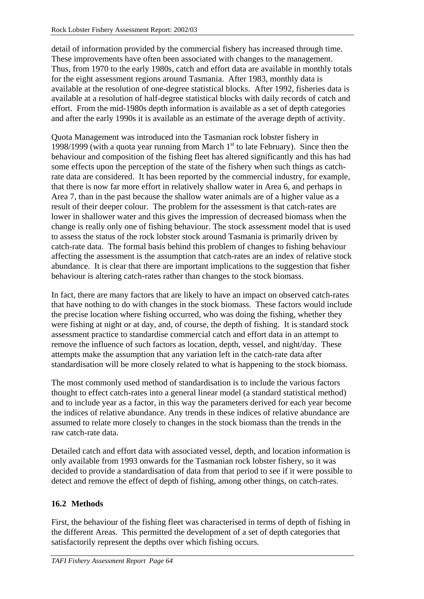detail of information provided by the commercial fishery has increased through time. These improvements have often been associated with changes to the management. Thus, from 1970 to the early 1980s, catch and effort data are available in monthly totals for the eight assessment regions around Tasmania. After 1983, monthly data is available at the resolution of one-degree statistical blocks. After 1992, fisheries data is available at a resolution of half-degree statistical blocks with daily records of catch and effort. From the mid-1980s depth information is available as a set of depth categories and after the early 1990s it is available as an estimate of the average depth of activity.

Quota Management was introduced into the Tasmanian rock lobster fishery in 1998/1999 (with a quota year running from March  $1<sup>st</sup>$  to late February). Since then the behaviour and composition of the fishing fleet has altered significantly and this has had some effects upon the perception of the state of the fishery when such things as catchrate data are considered. It has been reported by the commercial industry, for example, that there is now far more effort in relatively shallow water in Area 6, and perhaps in Area 7, than in the past because the shallow water animals are of a higher value as a result of their deeper colour. The problem for the assessment is that catch-rates are lower in shallower water and this gives the impression of decreased biomass when the change is really only one of fishing behaviour. The stock assessment model that is used to assess the status of the rock lobster stock around Tasmania is primarily driven by catch-rate data. The formal basis behind this problem of changes to fishing behaviour affecting the assessment is the assumption that catch-rates are an index of relative stock abundance. It is clear that there are important implications to the suggestion that fisher behaviour is altering catch-rates rather than changes to the stock biomass.

In fact, there are many factors that are likely to have an impact on observed catch-rates that have nothing to do with changes in the stock biomass. These factors would include the precise location where fishing occurred, who was doing the fishing, whether they were fishing at night or at day, and, of course, the depth of fishing. It is standard stock assessment practice to standardise commercial catch and effort data in an attempt to remove the influence of such factors as location, depth, vessel, and night/day. These attempts make the assumption that any variation left in the catch-rate data after standardisation will be more closely related to what is happening to the stock biomass.

The most commonly used method of standardisation is to include the various factors thought to effect catch-rates into a general linear model (a standard statistical method) and to include year as a factor, in this way the parameters derived for each year become the indices of relative abundance. Any trends in these indices of relative abundance are assumed to relate more closely to changes in the stock biomass than the trends in the raw catch-rate data.

Detailed catch and effort data with associated vessel, depth, and location information is only available from 1993 onwards for the Tasmanian rock lobster fishery, so it was decided to provide a standardisation of data from that period to see if it were possible to detect and remove the effect of depth of fishing, among other things, on catch-rates.

# **16.2 Methods**

First, the behaviour of the fishing fleet was characterised in terms of depth of fishing in the different Areas. This permitted the development of a set of depth categories that satisfactorily represent the depths over which fishing occurs.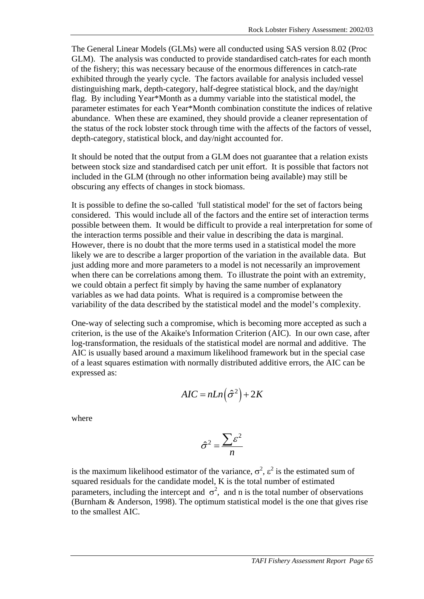The General Linear Models (GLMs) were all conducted using SAS version 8.02 (Proc GLM). The analysis was conducted to provide standardised catch-rates for each month of the fishery; this was necessary because of the enormous differences in catch-rate exhibited through the yearly cycle. The factors available for analysis included vessel distinguishing mark, depth-category, half-degree statistical block, and the day/night flag. By including Year\*Month as a dummy variable into the statistical model, the parameter estimates for each Year\*Month combination constitute the indices of relative abundance. When these are examined, they should provide a cleaner representation of the status of the rock lobster stock through time with the affects of the factors of vessel, depth-category, statistical block, and day/night accounted for.

It should be noted that the output from a GLM does not guarantee that a relation exists between stock size and standardised catch per unit effort. It is possible that factors not included in the GLM (through no other information being available) may still be obscuring any effects of changes in stock biomass.

It is possible to define the so-called 'full statistical model' for the set of factors being considered. This would include all of the factors and the entire set of interaction terms possible between them. It would be difficult to provide a real interpretation for some of the interaction terms possible and their value in describing the data is marginal. However, there is no doubt that the more terms used in a statistical model the more likely we are to describe a larger proportion of the variation in the available data. But just adding more and more parameters to a model is not necessarily an improvement when there can be correlations among them. To illustrate the point with an extremity, we could obtain a perfect fit simply by having the same number of explanatory variables as we had data points. What is required is a compromise between the variability of the data described by the statistical model and the model's complexity.

One-way of selecting such a compromise, which is becoming more accepted as such a criterion, is the use of the Akaike's Information Criterion (AIC). In our own case, after log-transformation, the residuals of the statistical model are normal and additive. The AIC is usually based around a maximum likelihood framework but in the special case of a least squares estimation with normally distributed additive errors, the AIC can be expressed as:

$$
AIC = nLn(\hat{\sigma}^2) + 2K
$$

where

$$
\hat{\sigma}^2 = \frac{\sum \varepsilon^2}{n}
$$

is the maximum likelihood estimator of the variance,  $\sigma^2$ ,  $\epsilon^2$  is the estimated sum of squared residuals for the candidate model, K is the total number of estimated parameters, including the intercept and  $\sigma^2$ , and n is the total number of observations (Burnham & Anderson, 1998). The optimum statistical model is the one that gives rise to the smallest AIC.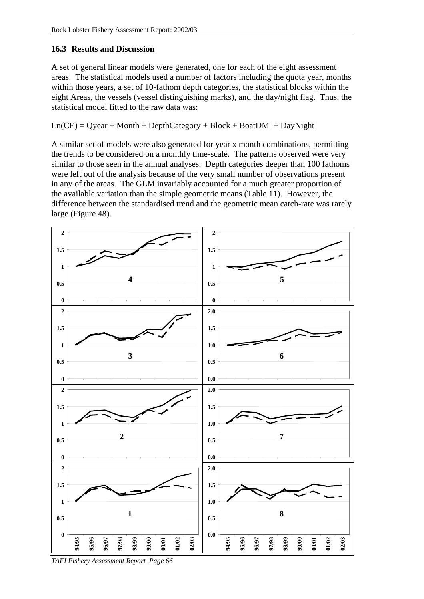## **16.3 Results and Discussion**

A set of general linear models were generated, one for each of the eight assessment areas. The statistical models used a number of factors including the quota year, months within those years, a set of 10-fathom depth categories, the statistical blocks within the eight Areas, the vessels (vessel distinguishing marks), and the day/night flag. Thus, the statistical model fitted to the raw data was:

 $Ln(CE) = Qyear + Month + DepthCategory + Block + Board + DayRight$ 

A similar set of models were also generated for year x month combinations, permitting the trends to be considered on a monthly time-scale. The patterns observed were very similar to those seen in the annual analyses. Depth categories deeper than 100 fathoms were left out of the analysis because of the very small number of observations present in any of the areas. The GLM invariably accounted for a much greater proportion of the available variation than the simple geometric means [\(Table 11\)](#page-74-0). However, the difference between the standardised trend and the geometric mean catch-rate was rarely large (Figure 48).



*TAFI Fishery Assessment Report Page 66*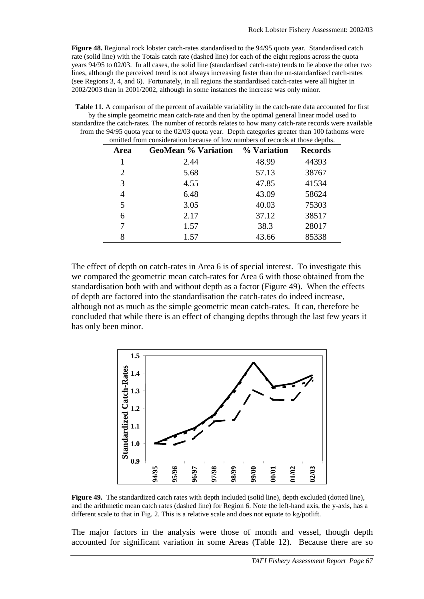<span id="page-74-0"></span>**Figure 48.** Regional rock lobster catch-rates standardised to the 94/95 quota year. Standardised catch rate (solid line) with the Totals catch rate (dashed line) for each of the eight regions across the quota years 94/95 to 02/03. In all cases, the solid line (standardised catch-rate) tends to lie above the other two lines, although the perceived trend is not always increasing faster than the un-standardised catch-rates (see Regions 3, 4, and 6). Fortunately, in all regions the standardised catch-rates were all higher in 2002/2003 than in 2001/2002, although in some instances the increase was only minor.

**Table 11.** A comparison of the percent of available variability in the catch-rate data accounted for first by the simple geometric mean catch-rate and then by the optimal general linear model used to standardize the catch-rates. The number of records relates to how many catch-rate records were available from the 94/95 quota year to the 02/03 quota year. Depth categories greater than 100 fathoms were omitted from consideration because of low numbers of records at those depths.

| Area | <b>GeoMean % Variation</b> | % Variation | <b>Records</b> |
|------|----------------------------|-------------|----------------|
|      | 2.44                       | 48.99       | 44393          |
| 2    | 5.68                       | 57.13       | 38767          |
| 3    | 4.55                       | 47.85       | 41534          |
| 4    | 6.48                       | 43.09       | 58624          |
| 5    | 3.05                       | 40.03       | 75303          |
| 6    | 2.17                       | 37.12       | 38517          |
| 7    | 1.57                       | 38.3        | 28017          |
| 8    | 1.57                       | 43.66       | 85338          |

The effect of depth on catch-rates in Area 6 is of special interest. To investigate this we compared the geometric mean catch-rates for Area 6 with those obtained from the standardisation both with and without depth as a factor (Figure 49). When the effects of depth are factored into the standardisation the catch-rates do indeed increase, although not as much as the simple geometric mean catch-rates. It can, therefore be concluded that while there is an effect of changing depths through the last few years it has only been minor.



**Figure 49.** The standardized catch rates with depth included (solid line), depth excluded (dotted line), and the arithmetic mean catch rates (dashed line) for Region 6. Note the left-hand axis, the y-axis, has a different scale to that in Fig. 2. This is a relative scale and does not equate to kg/potlift.

The major factors in the analysis were those of month and vessel, though depth accounted for significant variation in some Areas [\(Table 12\)](#page-75-0). Because there are so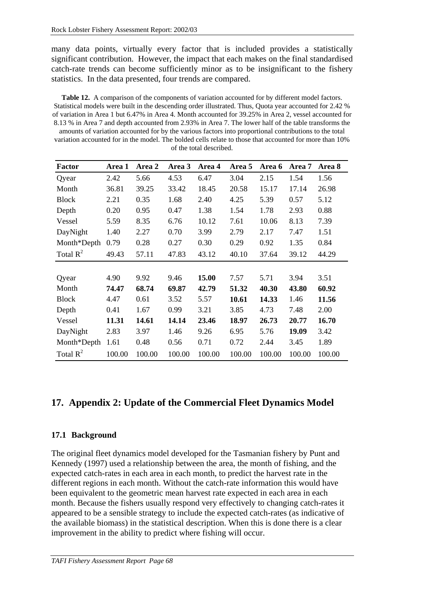<span id="page-75-0"></span>many data points, virtually every factor that is included provides a statistically significant contribution. However, the impact that each makes on the final standardised catch-rate trends can become sufficiently minor as to be insignificant to the fishery statistics. In the data presented, four trends are compared.

**Table 12.** A comparison of the components of variation accounted for by different model factors. Statistical models were built in the descending order illustrated. Thus, Quota year accounted for 2.42 % of variation in Area 1 but 6.47% in Area 4. Month accounted for 39.25% in Area 2, vessel accounted for 8.13 % in Area 7 and depth accounted from 2.93% in Area 7. The lower half of the table transforms the amounts of variation accounted for by the various factors into proportional contributions to the total variation accounted for in the model. The bolded cells relate to those that accounted for more than 10% of the total described.

| <b>Factor</b> | Area 1 | Area 2 | Area 3 | Area 4 | Area 5 | Area 6 | Area 7 | Area 8 |
|---------------|--------|--------|--------|--------|--------|--------|--------|--------|
| Qyear         | 2.42   | 5.66   | 4.53   | 6.47   | 3.04   | 2.15   | 1.54   | 1.56   |
| Month         | 36.81  | 39.25  | 33.42  | 18.45  | 20.58  | 15.17  | 17.14  | 26.98  |
| <b>Block</b>  | 2.21   | 0.35   | 1.68   | 2.40   | 4.25   | 5.39   | 0.57   | 5.12   |
| Depth         | 0.20   | 0.95   | 0.47   | 1.38   | 1.54   | 1.78   | 2.93   | 0.88   |
| Vessel        | 5.59   | 8.35   | 6.76   | 10.12  | 7.61   | 10.06  | 8.13   | 7.39   |
| DayNight      | 1.40   | 2.27   | 0.70   | 3.99   | 2.79   | 2.17   | 7.47   | 1.51   |
| Month*Depth   | 0.79   | 0.28   | 0.27   | 0.30   | 0.29   | 0.92   | 1.35   | 0.84   |
| Total $R^2$   | 49.43  | 57.11  | 47.83  | 43.12  | 40.10  | 37.64  | 39.12  | 44.29  |
|               |        |        |        |        |        |        |        |        |
| Qyear         | 4.90   | 9.92   | 9.46   | 15.00  | 7.57   | 5.71   | 3.94   | 3.51   |
| Month         | 74.47  | 68.74  | 69.87  | 42.79  | 51.32  | 40.30  | 43.80  | 60.92  |
| <b>Block</b>  | 4.47   | 0.61   | 3.52   | 5.57   | 10.61  | 14.33  | 1.46   | 11.56  |
| Depth         | 0.41   | 1.67   | 0.99   | 3.21   | 3.85   | 4.73   | 7.48   | 2.00   |
| Vessel        | 11.31  | 14.61  | 14.14  | 23.46  | 18.97  | 26.73  | 20.77  | 16.70  |
| DayNight      | 2.83   | 3.97   | 1.46   | 9.26   | 6.95   | 5.76   | 19.09  | 3.42   |
| Month*Depth   | 1.61   | 0.48   | 0.56   | 0.71   | 0.72   | 2.44   | 3.45   | 1.89   |
| Total $R^2$   | 100.00 | 100.00 | 100.00 | 100.00 | 100.00 | 100.00 | 100.00 | 100.00 |

# **17. Appendix 2: Update of the Commercial Fleet Dynamics Model**

## **17.1 Background**

The original fleet dynamics model developed for the Tasmanian fishery by Punt and Kennedy (1997) used a relationship between the area, the month of fishing, and the expected catch-rates in each area in each month, to predict the harvest rate in the different regions in each month. Without the catch-rate information this would have been equivalent to the geometric mean harvest rate expected in each area in each month. Because the fishers usually respond very effectively to changing catch-rates it appeared to be a sensible strategy to include the expected catch-rates (as indicative of the available biomass) in the statistical description. When this is done there is a clear improvement in the ability to predict where fishing will occur.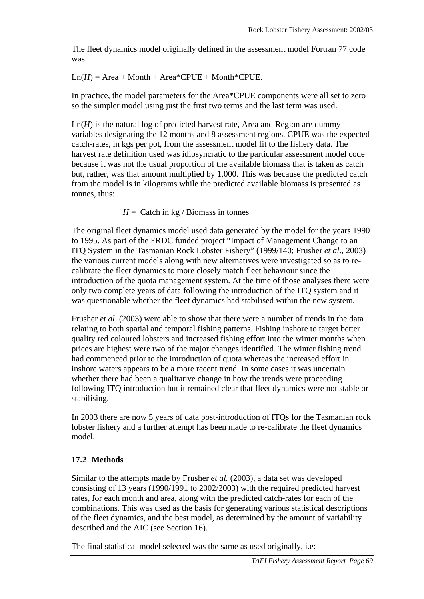The fleet dynamics model originally defined in the assessment model Fortran 77 code was:

 $Ln(H) = Area + Month + Area*CPUE + Month*CPUE.$ 

In practice, the model parameters for the Area\*CPUE components were all set to zero so the simpler model using just the first two terms and the last term was used.

Ln(*H*) is the natural log of predicted harvest rate, Area and Region are dummy variables designating the 12 months and 8 assessment regions. CPUE was the expected catch-rates, in kgs per pot, from the assessment model fit to the fishery data. The harvest rate definition used was idiosyncratic to the particular assessment model code because it was not the usual proportion of the available biomass that is taken as catch but, rather, was that amount multiplied by 1,000. This was because the predicted catch from the model is in kilograms while the predicted available biomass is presented as tonnes, thus:

 $H =$  Catch in kg / Biomass in tonnes

The original fleet dynamics model used data generated by the model for the years 1990 to 1995. As part of the FRDC funded project "Impact of Management Change to an ITQ System in the Tasmanian Rock Lobster Fishery" (1999/140; Frusher *et al*., 2003) the various current models along with new alternatives were investigated so as to recalibrate the fleet dynamics to more closely match fleet behaviour since the introduction of the quota management system. At the time of those analyses there were only two complete years of data following the introduction of the ITQ system and it was questionable whether the fleet dynamics had stabilised within the new system.

Frusher *et al*. (2003) were able to show that there were a number of trends in the data relating to both spatial and temporal fishing patterns. Fishing inshore to target better quality red coloured lobsters and increased fishing effort into the winter months when prices are highest were two of the major changes identified. The winter fishing trend had commenced prior to the introduction of quota whereas the increased effort in inshore waters appears to be a more recent trend. In some cases it was uncertain whether there had been a qualitative change in how the trends were proceeding following ITQ introduction but it remained clear that fleet dynamics were not stable or stabilising.

In 2003 there are now 5 years of data post-introduction of ITQs for the Tasmanian rock lobster fishery and a further attempt has been made to re-calibrate the fleet dynamics model.

# **17.2 Methods**

Similar to the attempts made by Frusher *et al.* (2003), a data set was developed consisting of 13 years (1990/1991 to 2002/2003) with the required predicted harvest rates, for each month and area, along with the predicted catch-rates for each of the combinations. This was used as the basis for generating various statistical descriptions of the fleet dynamics, and the best model, as determined by the amount of variability described and the AIC (see Section [16\)](#page-70-0).

The final statistical model selected was the same as used originally, i.e: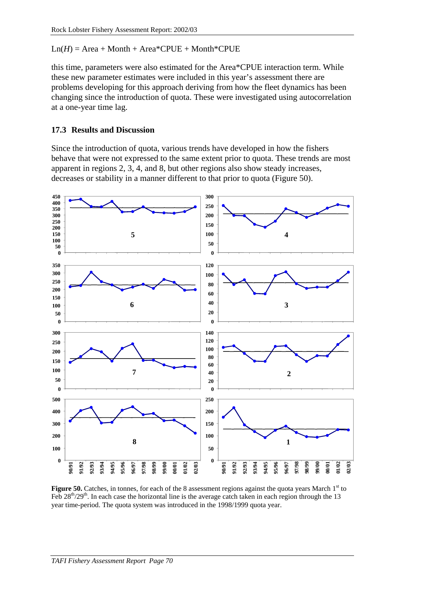$Ln(H) = Area + Month + Area*CPUE + Month*CPUE$ 

this time, parameters were also estimated for the Area\*CPUE interaction term. While these new parameter estimates were included in this year's assessment there are problems developing for this approach deriving from how the fleet dynamics has been changing since the introduction of quota. These were investigated using autocorrelation at a one-year time lag.

#### **17.3 Results and Discussion**

Since the introduction of quota, various trends have developed in how the fishers behave that were not expressed to the same extent prior to quota. These trends are most apparent in regions 2, 3, 4, and 8, but other regions also show steady increases, decreases or stability in a manner different to that prior to quota (Figure 50).



Figure 50. Catches, in tonnes, for each of the 8 assessment regions against the quota years March 1<sup>st</sup> to Feb  $28^{th}/29^{th}$ . In each case the horizontal line is the average catch taken in each region through the 13 year time-period. The quota system was introduced in the 1998/1999 quota year.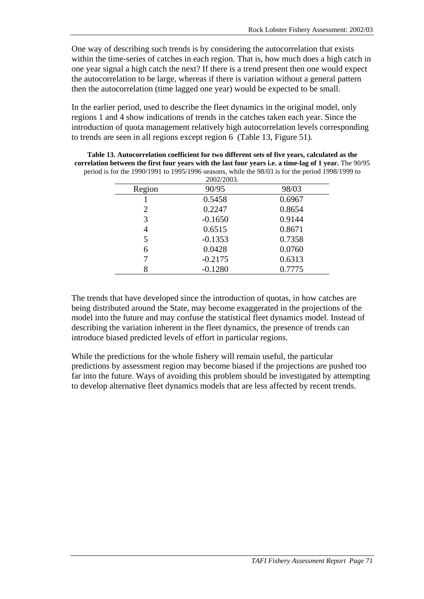One way of describing such trends is by considering the autocorrelation that exists within the time-series of catches in each region. That is, how much does a high catch in one year signal a high catch the next? If there is a trend present then one would expect the autocorrelation to be large, whereas if there is variation without a general pattern then the autocorrelation (time lagged one year) would be expected to be small.

In the earlier period, used to describe the fleet dynamics in the original model, only regions 1 and 4 show indications of trends in the catches taken each year. Since the introduction of quota management relatively high autocorrelation levels corresponding to trends are seen in all regions except region 6 (Table 13, [Figure 51\)](#page-79-0).

|        | 2002/2003. |        |
|--------|------------|--------|
| Region | 90/95      | 98/03  |
|        | 0.5458     | 0.6967 |
| 2      | 0.2247     | 0.8654 |
| 3      | $-0.1650$  | 0.9144 |
| 4      | 0.6515     | 0.8671 |
| 5      | $-0.1353$  | 0.7358 |
| 6      | 0.0428     | 0.0760 |
|        | $-0.2175$  | 0.6313 |
|        | $-0.1280$  | 0.7775 |

**Table 13. Autocorrelation coefficient for two different sets of five years, calculated as the correlation between the first four years with the last four years i.e. a time-lag of 1 year.** The 90/95 period is for the 1990/1991 to 1995/1996 seasons, while the 98/03 is for the period 1998/1999 to

The trends that have developed since the introduction of quotas, in how catches are being distributed around the State, may become exaggerated in the projections of the model into the future and may confuse the statistical fleet dynamics model. Instead of describing the variation inherent in the fleet dynamics, the presence of trends can introduce biased predicted levels of effort in particular regions.

While the predictions for the whole fishery will remain useful, the particular predictions by assessment region may become biased if the projections are pushed too far into the future. Ways of avoiding this problem should be investigated by attempting to develop alternative fleet dynamics models that are less affected by recent trends.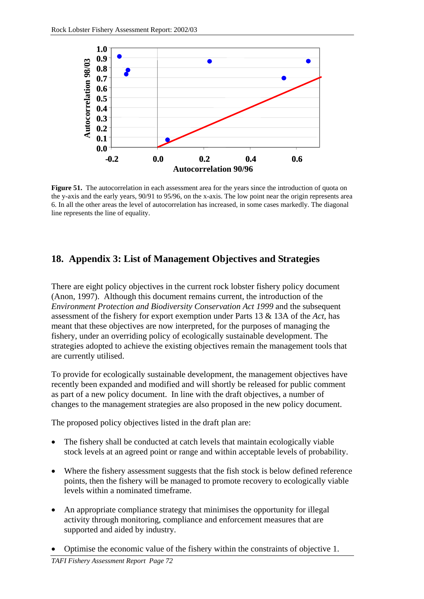<span id="page-79-0"></span>

**Figure 51.** The autocorrelation in each assessment area for the years since the introduction of quota on the y-axis and the early years, 90/91 to 95/96, on the x-axis. The low point near the origin represents area 6. In all the other areas the level of autocorrelation has increased, in some cases markedly. The diagonal line represents the line of equality.

# **18. Appendix 3: List of Management Objectives and Strategies**

There are eight policy objectives in the current rock lobster fishery policy document (Anon, 1997). Although this document remains current, the introduction of the *Environment Protection and Biodiversity Conservation Act 1999* and the subsequent assessment of the fishery for export exemption under Parts 13 & 13A of the *Act,* has meant that these objectives are now interpreted, for the purposes of managing the fishery, under an overriding policy of ecologically sustainable development. The strategies adopted to achieve the existing objectives remain the management tools that are currently utilised.

To provide for ecologically sustainable development, the management objectives have recently been expanded and modified and will shortly be released for public comment as part of a new policy document. In line with the draft objectives, a number of changes to the management strategies are also proposed in the new policy document.

The proposed policy objectives listed in the draft plan are:

- The fishery shall be conducted at catch levels that maintain ecologically viable stock levels at an agreed point or range and within acceptable levels of probability.
- Where the fishery assessment suggests that the fish stock is below defined reference points, then the fishery will be managed to promote recovery to ecologically viable levels within a nominated timeframe.
- An appropriate compliance strategy that minimises the opportunity for illegal activity through monitoring, compliance and enforcement measures that are supported and aided by industry.
- Optimise the economic value of the fishery within the constraints of objective 1.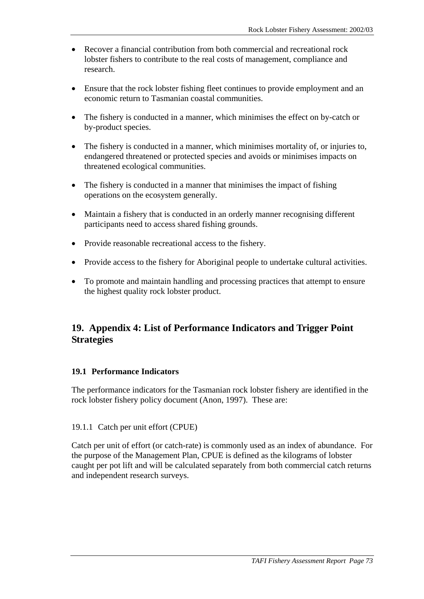- Recover a financial contribution from both commercial and recreational rock lobster fishers to contribute to the real costs of management, compliance and research.
- Ensure that the rock lobster fishing fleet continues to provide employment and an economic return to Tasmanian coastal communities.
- The fishery is conducted in a manner, which minimises the effect on by-catch or by-product species.
- The fishery is conducted in a manner, which minimises mortality of, or injuries to, endangered threatened or protected species and avoids or minimises impacts on threatened ecological communities.
- The fishery is conducted in a manner that minimises the impact of fishing operations on the ecosystem generally.
- Maintain a fishery that is conducted in an orderly manner recognising different participants need to access shared fishing grounds.
- Provide reasonable recreational access to the fishery.
- Provide access to the fishery for Aboriginal people to undertake cultural activities.
- To promote and maintain handling and processing practices that attempt to ensure the highest quality rock lobster product.

# **19. Appendix 4: List of Performance Indicators and Trigger Point Strategies**

#### **19.1 Performance Indicators**

The performance indicators for the Tasmanian rock lobster fishery are identified in the rock lobster fishery policy document (Anon, 1997). These are:

#### 19.1.1 Catch per unit effort (CPUE)

Catch per unit of effort (or catch-rate) is commonly used as an index of abundance. For the purpose of the Management Plan, CPUE is defined as the kilograms of lobster caught per pot lift and will be calculated separately from both commercial catch returns and independent research surveys.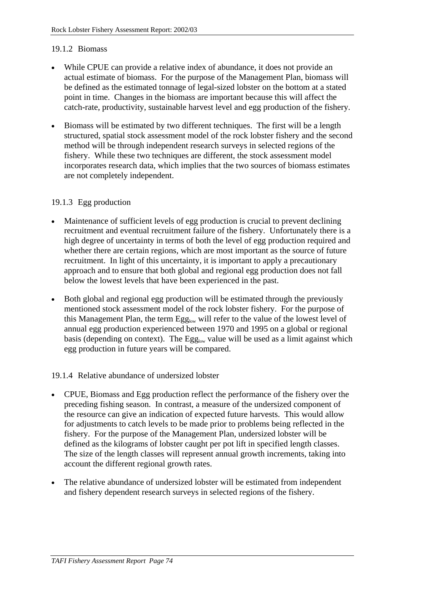#### 19.1.2 Biomass

- While CPUE can provide a relative index of abundance, it does not provide an actual estimate of biomass. For the purpose of the Management Plan, biomass will be defined as the estimated tonnage of legal-sized lobster on the bottom at a stated point in time. Changes in the biomass are important because this will affect the catch-rate, productivity, sustainable harvest level and egg production of the fishery.
- Biomass will be estimated by two different techniques. The first will be a length structured, spatial stock assessment model of the rock lobster fishery and the second method will be through independent research surveys in selected regions of the fishery. While these two techniques are different, the stock assessment model incorporates research data, which implies that the two sources of biomass estimates are not completely independent.

#### 19.1.3 Egg production

- Maintenance of sufficient levels of egg production is crucial to prevent declining recruitment and eventual recruitment failure of the fishery. Unfortunately there is a high degree of uncertainty in terms of both the level of egg production required and whether there are certain regions, which are most important as the source of future recruitment. In light of this uncertainty, it is important to apply a precautionary approach and to ensure that both global and regional egg production does not fall below the lowest levels that have been experienced in the past.
- Both global and regional egg production will be estimated through the previously mentioned stock assessment model of the rock lobster fishery. For the purpose of this Management Plan, the term Egg<sub>low</sub> will refer to the value of the lowest level of annual egg production experienced between 1970 and 1995 on a global or regional basis (depending on context). The  $Egg_{low}$  value will be used as a limit against which egg production in future years will be compared.

#### 19.1.4 Relative abundance of undersized lobster

- CPUE, Biomass and Egg production reflect the performance of the fishery over the preceding fishing season. In contrast, a measure of the undersized component of the resource can give an indication of expected future harvests. This would allow for adjustments to catch levels to be made prior to problems being reflected in the fishery. For the purpose of the Management Plan, undersized lobster will be defined as the kilograms of lobster caught per pot lift in specified length classes. The size of the length classes will represent annual growth increments, taking into account the different regional growth rates.
- The relative abundance of undersized lobster will be estimated from independent and fishery dependent research surveys in selected regions of the fishery.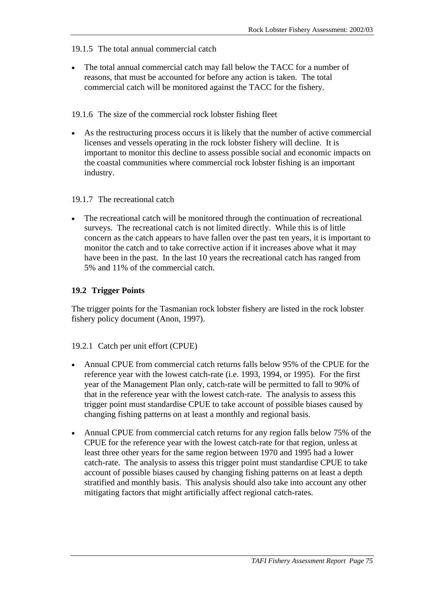## 19.1.5 The total annual commercial catch

• The total annual commercial catch may fall below the TACC for a number of reasons, that must be accounted for before any action is taken. The total commercial catch will be monitored against the TACC for the fishery.

## 19.1.6 The size of the commercial rock lobster fishing fleet

As the restructuring process occurs it is likely that the number of active commercial licenses and vessels operating in the rock lobster fishery will decline. It is important to monitor this decline to assess possible social and economic impacts on the coastal communities where commercial rock lobster fishing is an important industry.

#### 19.1.7 The recreational catch

The recreational catch will be monitored through the continuation of recreational surveys. The recreational catch is not limited directly. While this is of little concern as the catch appears to have fallen over the past ten years, it is important to monitor the catch and to take corrective action if it increases above what it may have been in the past. In the last 10 years the recreational catch has ranged from 5% and 11% of the commercial catch.

#### **19.2 Trigger Points**

The trigger points for the Tasmanian rock lobster fishery are listed in the rock lobster fishery policy document (Anon, 1997).

#### 19.2.1 Catch per unit effort (CPUE)

- Annual CPUE from commercial catch returns falls below 95% of the CPUE for the reference year with the lowest catch-rate (i.e. 1993, 1994, or 1995). For the first year of the Management Plan only, catch-rate will be permitted to fall to 90% of that in the reference year with the lowest catch-rate. The analysis to assess this trigger point must standardise CPUE to take account of possible biases caused by changing fishing patterns on at least a monthly and regional basis.
- Annual CPUE from commercial catch returns for any region falls below 75% of the CPUE for the reference year with the lowest catch-rate for that region, unless at least three other years for the same region between 1970 and 1995 had a lower catch-rate. The analysis to assess this trigger point must standardise CPUE to take account of possible biases caused by changing fishing patterns on at least a depth stratified and monthly basis. This analysis should also take into account any other mitigating factors that might artificially affect regional catch-rates.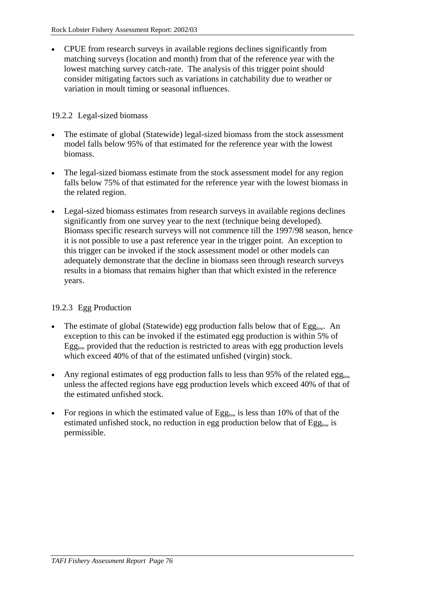• CPUE from research surveys in available regions declines significantly from matching surveys (location and month) from that of the reference year with the lowest matching survey catch-rate. The analysis of this trigger point should consider mitigating factors such as variations in catchability due to weather or variation in moult timing or seasonal influences.

#### 19.2.2 Legal-sized biomass

- The estimate of global (Statewide) legal-sized biomass from the stock assessment model falls below 95% of that estimated for the reference year with the lowest biomass.
- The legal-sized biomass estimate from the stock assessment model for any region falls below 75% of that estimated for the reference year with the lowest biomass in the related region.
- Legal-sized biomass estimates from research surveys in available regions declines significantly from one survey year to the next (technique being developed). Biomass specific research surveys will not commence till the 1997/98 season, hence it is not possible to use a past reference year in the trigger point. An exception to this trigger can be invoked if the stock assessment model or other models can adequately demonstrate that the decline in biomass seen through research surveys results in a biomass that remains higher than that which existed in the reference years.

## 19.2.3 Egg Production

- The estimate of global (Statewide) egg production falls below that of  $Egg_{low}$ . An exception to this can be invoked if the estimated egg production is within 5% of  $Egg<sub>low</sub>$  provided that the reduction is restricted to areas with egg production levels which exceed 40% of that of the estimated unfished (virgin) stock.
- Any regional estimates of egg production falls to less than 95% of the related egg<sub>low</sub> unless the affected regions have egg production levels which exceed 40% of that of the estimated unfished stock.
- For regions in which the estimated value of  $Egg_{low}$  is less than 10% of that of the estimated unfished stock, no reduction in egg production below that of  $Egg_{low}$  is permissible.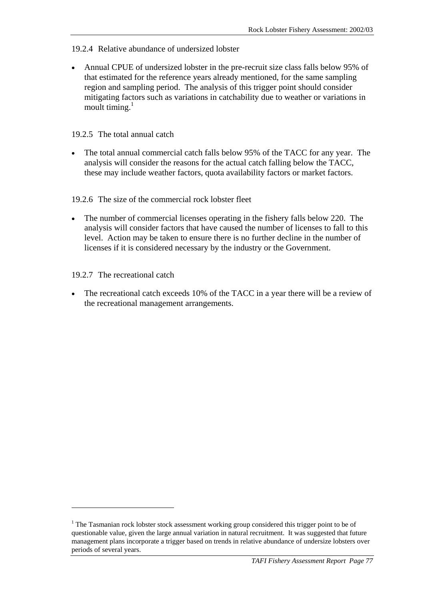- 19.2.4 Relative abundance of undersized lobster
- Annual CPUE of undersized lobster in the pre-recruit size class falls below 95% of that estimated for the reference years already mentioned, for the same sampling region and sampling period. The analysis of this trigger point should consider mitigating factors such as variations in catchability due to weather or variations in moult timing. $<sup>1</sup>$ </sup>

#### 19.2.5 The total annual catch

The total annual commercial catch falls below 95% of the TACC for any year. The analysis will consider the reasons for the actual catch falling below the TACC, these may include weather factors, quota availability factors or market factors.

## 19.2.6 The size of the commercial rock lobster fleet

The number of commercial licenses operating in the fishery falls below 220. The analysis will consider factors that have caused the number of licenses to fall to this level. Action may be taken to ensure there is no further decline in the number of licenses if it is considered necessary by the industry or the Government.

## 19.2.7 The recreational catch

 $\overline{a}$ 

The recreational catch exceeds 10% of the TACC in a year there will be a review of the recreational management arrangements.

<sup>&</sup>lt;sup>1</sup> The Tasmanian rock lobster stock assessment working group considered this trigger point to be of questionable value, given the large annual variation in natural recruitment. It was suggested that future management plans incorporate a trigger based on trends in relative abundance of undersize lobsters over periods of several years.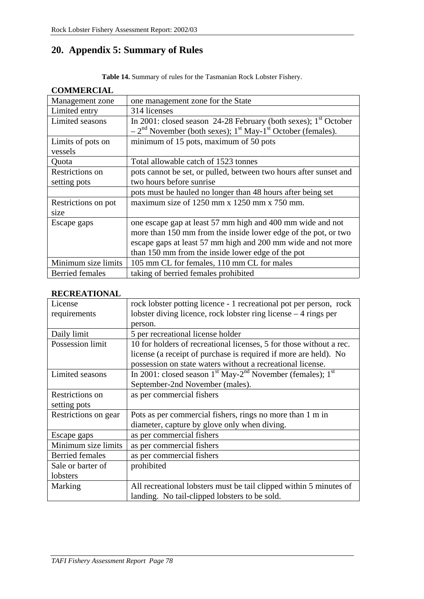# **20. Appendix 5: Summary of Rules**

**Table 14.** Summary of rules for the Tasmanian Rock Lobster Fishery.

| COMMERCIAL                   |                                                                                                                                                           |
|------------------------------|-----------------------------------------------------------------------------------------------------------------------------------------------------------|
| Management zone              | one management zone for the State                                                                                                                         |
| Limited entry                | 314 licenses                                                                                                                                              |
| Limited seasons              | In 2001: closed season 24-28 February (both sexes); $1st October$<br>$-2nd$ November (both sexes); 1 <sup>st</sup> May-1 <sup>st</sup> October (females). |
| Limits of pots on<br>vessels | minimum of 15 pots, maximum of 50 pots                                                                                                                    |
| Quota                        | Total allowable catch of 1523 tonnes                                                                                                                      |
| Restrictions on              | pots cannot be set, or pulled, between two hours after sunset and                                                                                         |
| setting pots                 | two hours before sunrise                                                                                                                                  |
|                              | pots must be hauled no longer than 48 hours after being set                                                                                               |
| Restrictions on pot          | maximum size of $1250$ mm x $1250$ mm x $750$ mm.                                                                                                         |
| size                         |                                                                                                                                                           |
| Escape gaps                  | one escape gap at least 57 mm high and 400 mm wide and not                                                                                                |
|                              | more than 150 mm from the inside lower edge of the pot, or two                                                                                            |
|                              | escape gaps at least 57 mm high and 200 mm wide and not more                                                                                              |
|                              | than 150 mm from the inside lower edge of the pot                                                                                                         |
| Minimum size limits          | 105 mm CL for females, 110 mm CL for males                                                                                                                |
| Berried females              | taking of berried females prohibited                                                                                                                      |

# **COMMERCIAL**

#### **RECREATIONAL**

| License                | rock lobster potting licence - 1 recreational pot per person, rock         |
|------------------------|----------------------------------------------------------------------------|
| requirements           | lobster diving licence, rock lobster ring license $-4$ rings per           |
|                        | person.                                                                    |
| Daily limit            | 5 per recreational license holder                                          |
| Possession limit       | 10 for holders of recreational licenses, 5 for those without a rec.        |
|                        | license (a receipt of purchase is required if more are held). No           |
|                        | possession on state waters without a recreational license.                 |
| Limited seasons        | In 2001: closed season $1st$ May-2 <sup>nd</sup> November (females); $1st$ |
|                        | September-2nd November (males).                                            |
| Restrictions on        | as per commercial fishers                                                  |
| setting pots           |                                                                            |
| Restrictions on gear   | Pots as per commercial fishers, rings no more than 1 m in                  |
|                        | diameter, capture by glove only when diving.                               |
| Escape gaps            | as per commercial fishers                                                  |
| Minimum size limits    | as per commercial fishers                                                  |
| <b>Berried</b> females | as per commercial fishers                                                  |
| Sale or barter of      | prohibited                                                                 |
| lobsters               |                                                                            |
| Marking                | All recreational lobsters must be tail clipped within 5 minutes of         |
|                        | landing. No tail-clipped lobsters to be sold.                              |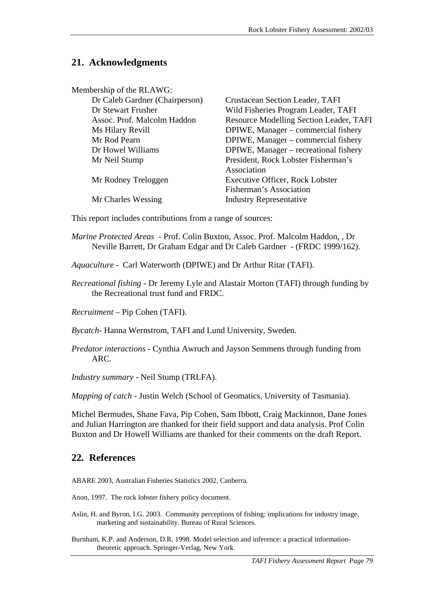# **21. Acknowledgments**

| Membership of the RLAWG:       |                                         |
|--------------------------------|-----------------------------------------|
| Dr Caleb Gardner (Chairperson) | Crustacean Section Leader, TAFI         |
| Dr Stewart Frusher             | Wild Fisheries Program Leader, TAFI     |
| Assoc. Prof. Malcolm Haddon    | Resource Modelling Section Leader, TAFI |
| Ms Hilary Revill               | DPIWE, Manager - commercial fishery     |
| Mr Rod Pearn                   | DPIWE, Manager - commercial fishery     |
| Dr Howel Williams              | DPIWE, Manager – recreational fishery   |
| Mr Neil Stump                  | President, Rock Lobster Fisherman's     |
|                                | Association                             |
| Mr Rodney Treloggen            | <b>Executive Officer, Rock Lobster</b>  |
|                                | Fisherman's Association                 |
| Mr Charles Wessing             | <b>Industry Representative</b>          |

This report includes contributions from a range of sources:

- *Marine Protected Areas* Prof. Colin Buxton, Assoc. Prof. Malcolm Haddon, , Dr Neville Barrett, Dr Graham Edgar and Dr Caleb Gardner - (FRDC 1999/162).
- *Aquaculture* Carl Waterworth (DPIWE) and Dr Arthur Ritar (TAFI).
- *Recreational fishing* Dr Jeremy Lyle and Alastair Morton (TAFI) through funding by the Recreational trust fund and FRDC.

*Recruitment* – Pip Cohen (TAFI).

*Bycatch*- Hanna Wernstrom, TAFI and Lund University, Sweden.

*Predator interactions* - Cynthia Awruch and Jayson Semmens through funding from ARC.

*Industry summary* - Neil Stump (TRLFA).

*Mapping of catch* - Justin Welch (School of Geomatics, University of Tasmania).

Michel Bermudes, Shane Fava, Pip Cohen, Sam Ibbott, Craig Mackinnon, Dane Jones and Julian Harrington are thanked for their field support and data analysis. Prof Colin Buxton and Dr Howell Williams are thanked for their comments on the draft Report.

## **22. References**

ABARE 2003, Australian Fisheries Statistics 2002, Canberra.

Anon, 1997. The rock lobster fishery policy document.

Aslin, H. and Byron, I.G. 2003. Community perceptions of fishing: implications for industry image, marketing and sustainability. Bureau of Rural Sciences.

Burnham, K.P. and Anderson, D.R. 1998. Model selection and inference: a practical informationtheoretic approach. Springer-Verlag, New York.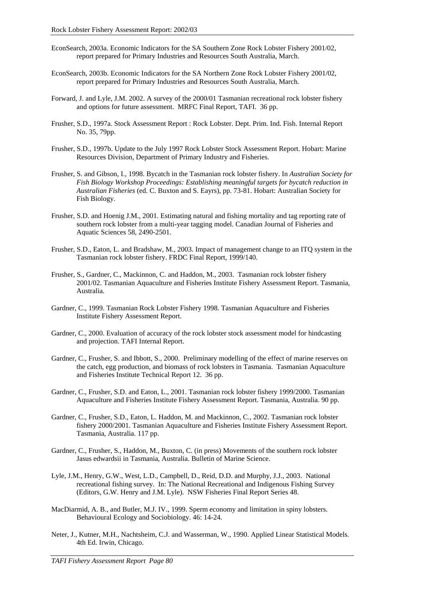- EconSearch, 2003a. Economic Indicators for the SA Southern Zone Rock Lobster Fishery 2001/02, report prepared for Primary Industries and Resources South Australia, March.
- EconSearch, 2003b. Economic Indicators for the SA Northern Zone Rock Lobster Fishery 2001/02, report prepared for Primary Industries and Resources South Australia, March.
- Forward, J. and Lyle, J.M. 2002. A survey of the 2000/01 Tasmanian recreational rock lobster fishery and options for future assessment. MRFC Final Report, TAFI. 36 pp.
- Frusher, S.D., 1997a. Stock Assessment Report : Rock Lobster. Dept. Prim. Ind. Fish. Internal Report No. 35, 79pp.
- Frusher, S.D., 1997b. Update to the July 1997 Rock Lobster Stock Assessment Report. Hobart: Marine Resources Division, Department of Primary Industry and Fisheries.
- Frusher, S. and Gibson, I., 1998. Bycatch in the Tasmanian rock lobster fishery. In *Australian Society for Fish Biology Workshop Proceedings: Establishing meaningful targets for bycatch reduction in Australian Fisheries* (ed. C. Buxton and S. Eayrs), pp. 73-81. Hobart: Australian Society for Fish Biology.
- Frusher, S.D. and Hoenig J.M., 2001. Estimating natural and fishing mortality and tag reporting rate of southern rock lobster from a multi-year tagging model. Canadian Journal of Fisheries and Aquatic Sciences 58, 2490-2501.
- Frusher, S.D., Eaton, L. and Bradshaw, M., 2003. Impact of management change to an ITQ system in the Tasmanian rock lobster fishery. FRDC Final Report, 1999/140.
- Frusher, S., Gardner, C., Mackinnon, C. and Haddon, M., 2003. Tasmanian rock lobster fishery 2001/02. Tasmanian Aquaculture and Fisheries Institute Fishery Assessment Report. Tasmania, Australia.
- Gardner, C., 1999. Tasmanian Rock Lobster Fishery 1998. Tasmanian Aquaculture and Fisheries Institute Fishery Assessment Report.
- Gardner, C., 2000. Evaluation of accuracy of the rock lobster stock assessment model for hindcasting and projection. TAFI Internal Report.
- Gardner, C., Frusher, S. and Ibbott, S., 2000. Preliminary modelling of the effect of marine reserves on the catch, egg production, and biomass of rock lobsters in Tasmania. Tasmanian Aquaculture and Fisheries Institute Technical Report 12. 36 pp.
- Gardner, C., Frusher, S.D. and Eaton, L., 2001. Tasmanian rock lobster fishery 1999/2000. Tasmanian Aquaculture and Fisheries Institute Fishery Assessment Report. Tasmania, Australia. 90 pp.
- Gardner, C., Frusher, S.D., Eaton, L. Haddon, M. and Mackinnon, C., 2002. Tasmanian rock lobster fishery 2000/2001. Tasmanian Aquaculture and Fisheries Institute Fishery Assessment Report. Tasmania, Australia. 117 pp.
- Gardner, C., Frusher, S., Haddon, M., Buxton, C. (in press) Movements of the southern rock lobster Jasus edwardsii in Tasmania, Australia. Bulletin of Marine Science.
- Lyle, J.M., Henry, G.W., West, L.D., Campbell, D., Reid, D.D. and Murphy, J.J., 2003. National recreational fishing survey. In: The National Recreational and Indigenous Fishing Survey (Editors, G.W. Henry and J.M. Lyle). NSW Fisheries Final Report Series 48.
- MacDiarmid, A. B., and Butler, M.J. IV., 1999. Sperm economy and limitation in spiny lobsters. Behavioural Ecology and Sociobiology. 46: 14-24.
- Neter, J., Kutner, M.H., Nachtsheim, C.J. and Wasserman, W., 1990. Applied Linear Statistical Models. 4th Ed. Irwin, Chicago.